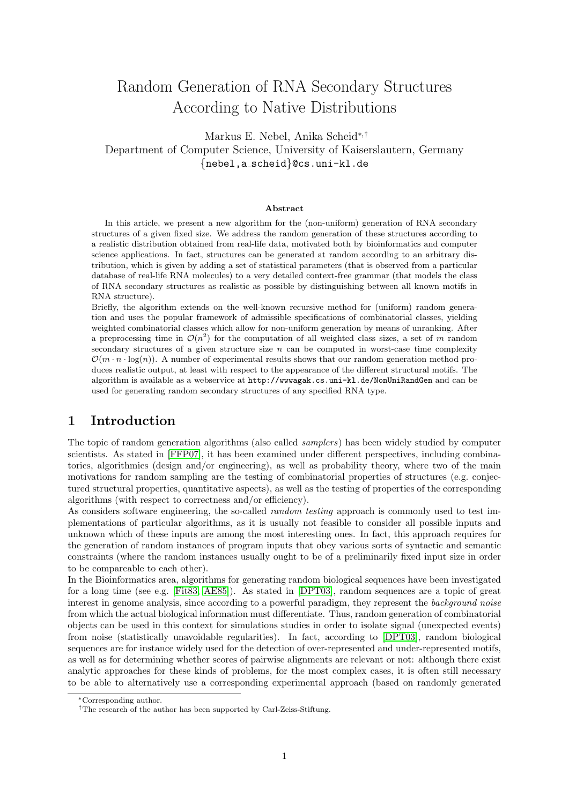# Random Generation of RNA Secondary Structures According to Native Distributions

# Markus E. Nebel, Anika Scheid<sup>∗</sup>,† Department of Computer Science, University of Kaiserslautern, Germany {nebel,a scheid}@cs.uni-kl.de

#### Abstract

In this article, we present a new algorithm for the (non-uniform) generation of RNA secondary structures of a given fixed size. We address the random generation of these structures according to a realistic distribution obtained from real-life data, motivated both by bioinformatics and computer science applications. In fact, structures can be generated at random according to an arbitrary distribution, which is given by adding a set of statistical parameters (that is observed from a particular database of real-life RNA molecules) to a very detailed context-free grammar (that models the class of RNA secondary structures as realistic as possible by distinguishing between all known motifs in RNA structure).

Briefly, the algorithm extends on the well-known recursive method for (uniform) random generation and uses the popular framework of admissible specifications of combinatorial classes, yielding weighted combinatorial classes which allow for non-uniform generation by means of unranking. After a preprocessing time in  $\mathcal{O}(n^2)$  for the computation of all weighted class sizes, a set of m random secondary structures of a given structure size  $n$  can be computed in worst-case time complexity  $\mathcal{O}(m \cdot n \cdot \log(n))$ . A number of experimental results shows that our random generation method produces realistic output, at least with respect to the appearance of the different structural motifs. The algorithm is available as a webservice at http://wwwagak.cs.uni-kl.de/NonUniRandGen and can be used for generating random secondary structures of any specified RNA type.

# 1 Introduction

The topic of random generation algorithms (also called samplers) has been widely studied by computer scientists. As stated in [\[FFP07\]](#page-19-0), it has been examined under different perspectives, including combinatorics, algorithmics (design and/or engineering), as well as probability theory, where two of the main motivations for random sampling are the testing of combinatorial properties of structures (e.g. conjectured structural properties, quantitative aspects), as well as the testing of properties of the corresponding algorithms (with respect to correctness and/or efficiency).

As considers software engineering, the so-called *random testing* approach is commonly used to test implementations of particular algorithms, as it is usually not feasible to consider all possible inputs and unknown which of these inputs are among the most interesting ones. In fact, this approach requires for the generation of random instances of program inputs that obey various sorts of syntactic and semantic constraints (where the random instances usually ought to be of a preliminarily fixed input size in order to be compareable to each other).

In the Bioinformatics area, algorithms for generating random biological sequences have been investigated for a long time (see e.g. [\[Fit83,](#page-19-1) [AE85\]](#page-19-2)). As stated in [\[DPT03\]](#page-19-3), random sequences are a topic of great interest in genome analysis, since according to a powerful paradigm, they represent the background noise from which the actual biological information must differentiate. Thus, random generation of combinatorial objects can be used in this context for simulations studies in order to isolate signal (unexpected events) from noise (statistically unavoidable regularities). In fact, according to [\[DPT03\]](#page-19-3), random biological sequences are for instance widely used for the detection of over-represented and under-represented motifs, as well as for determining whether scores of pairwise alignments are relevant or not: although there exist analytic approaches for these kinds of problems, for the most complex cases, it is often still necessary to be able to alternatively use a corresponding experimental approach (based on randomly generated

<sup>∗</sup>Corresponding author.

<sup>†</sup>The research of the author has been supported by Carl-Zeiss-Stiftung.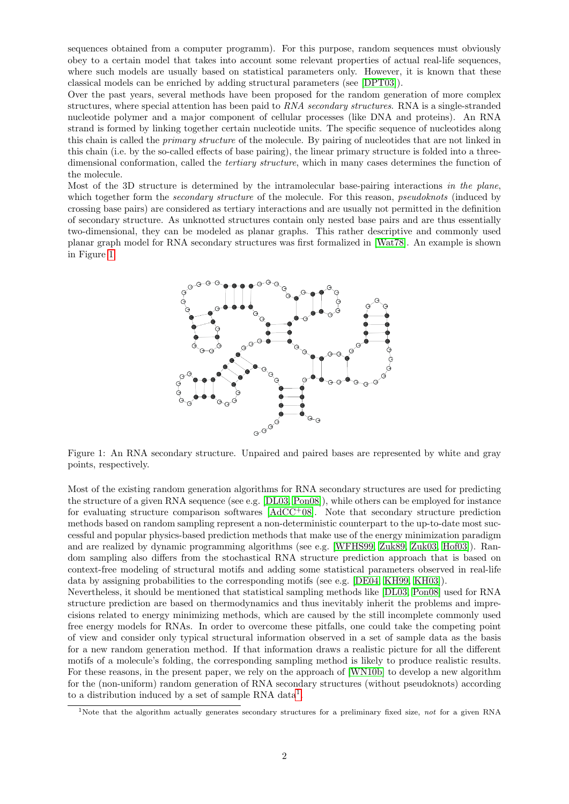sequences obtained from a computer programm). For this purpose, random sequences must obviously obey to a certain model that takes into account some relevant properties of actual real-life sequences, where such models are usually based on statistical parameters only. However, it is known that these classical models can be enriched by adding structural parameters (see [\[DPT03\]](#page-19-3)).

Over the past years, several methods have been proposed for the random generation of more complex structures, where special attention has been paid to RNA secondary structures. RNA is a single-stranded nucleotide polymer and a major component of cellular processes (like DNA and proteins). An RNA strand is formed by linking together certain nucleotide units. The specific sequence of nucleotides along this chain is called the primary structure of the molecule. By pairing of nucleotides that are not linked in this chain (i.e. by the so-called effects of base pairing), the linear primary structure is folded into a threedimensional conformation, called the *tertiary structure*, which in many cases determines the function of the molecule.

Most of the 3D structure is determined by the intramolecular base-pairing interactions in the plane, which together form the *secondary structure* of the molecule. For this reason, *pseudoknots* (induced by crossing base pairs) are considered as tertiary interactions and are usually not permitted in the definition of secondary structure. As unknotted structures contain only nested base pairs and are thus essentially two-dimensional, they can be modeled as planar graphs. This rather descriptive and commonly used planar graph model for RNA secondary structures was first formalized in [\[Wat78\]](#page-20-0). An example is shown in Figure [1.](#page-1-0)



<span id="page-1-0"></span>Figure 1: An RNA secondary structure. Unpaired and paired bases are represented by white and gray points, respectively.

Most of the existing random generation algorithms for RNA secondary structures are used for predicting the structure of a given RNA sequence (see e.g. [\[DL03,](#page-19-4) [Pon08\]](#page-20-1)), while others can be employed for instance for evaluating structure comparison softwares  $[AdCC^{+}08]$  $[AdCC^{+}08]$ . Note that secondary structure prediction methods based on random sampling represent a non-deterministic counterpart to the up-to-date most successful and popular physics-based prediction methods that make use of the energy minimization paradigm and are realized by dynamic programming algorithms (see e.g. [\[WFHS99,](#page-20-2) [Zuk89,](#page-21-0) [Zuk03,](#page-21-1) [Hof03\]](#page-19-6)). Random sampling also differs from the stochastical RNA structure prediction approach that is based on context-free modeling of structural motifs and adding some statistical parameters observed in real-life data by assigning probabilities to the corresponding motifs (see e.g. [\[DE04,](#page-19-7) [KH99,](#page-20-3) [KH03\]](#page-20-4)).

Nevertheless, it should be mentioned that statistical sampling methods like [\[DL03,](#page-19-4) [Pon08\]](#page-20-1) used for RNA structure prediction are based on thermodynamics and thus inevitably inherit the problems and imprecisions related to energy minimizing methods, which are caused by the still incomplete commonly used free energy models for RNAs. In order to overcome these pitfalls, one could take the competing point of view and consider only typical structural information observed in a set of sample data as the basis for a new random generation method. If that information draws a realistic picture for all the different motifs of a molecule's folding, the corresponding sampling method is likely to produce realistic results. For these reasons, in the present paper, we rely on the approach of [\[WN10b\]](#page-21-2) to develop a new algorithm for the (non-uniform) random generation of RNA secondary structures (without pseudoknots) according to a distribution induced by a set of sample RNA data<sup>[1](#page-1-1)</sup>.

<span id="page-1-1"></span><sup>&</sup>lt;sup>1</sup>Note that the algorithm actually generates secondary structures for a preliminary fixed size, not for a given RNA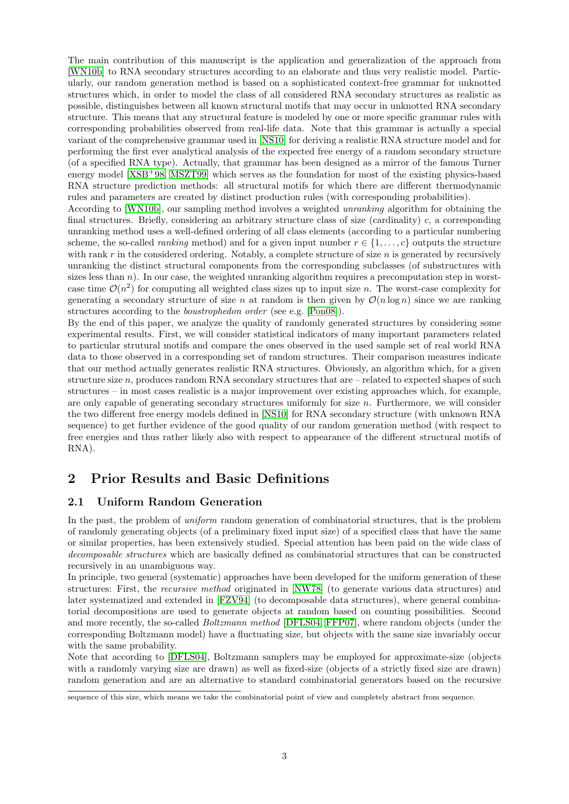The main contribution of this manuscript is the application and generalization of the approach from [\[WN10b\]](#page-21-2) to RNA secondary structures according to an elaborate and thus very realistic model. Particularly, our random generation method is based on a sophisticated context-free grammar for unknotted structures which, in order to model the class of all considered RNA secondary structures as realistic as possible, distinguishes between all known structural motifs that may occur in unknotted RNA secondary structure. This means that any structural feature is modeled by one or more specific grammar rules with corresponding probabilities observed from real-life data. Note that this grammar is actually a special variant of the comprehensive grammar used in [\[NS10\]](#page-20-5) for deriving a realistic RNA structure model and for performing the first ever analytical analysis of the expected free energy of a random secondary structure (of a specified RNA type). Actually, that grammar has been designed as a mirror of the famous Turner energy model  $[XSB<sup>+</sup>98$  $[XSB<sup>+</sup>98$ , MSZT99 which serves as the foundation for most of the existing physics-based RNA structure prediction methods: all structural motifs for which there are different thermodynamic rules and parameters are created by distinct production rules (with corresponding probabilities).

According to [\[WN10b\]](#page-21-2), our sampling method involves a weighted unranking algorithm for obtaining the final structures. Briefly, considering an arbitrary structure class of size (cardinality)  $c$ , a corresponding unranking method uses a well-defined ordering of all class elements (according to a particular numbering scheme, the so-called *ranking* method) and for a given input number  $r \in \{1, \ldots, c\}$  outputs the structure with rank  $r$  in the considered ordering. Notably, a complete structure of size  $n$  is generated by recursively unranking the distinct structural components from the corresponding subclasses (of substructures with sizes less than  $n$ ). In our case, the weighted unranking algorithm requires a precomputation step in worstcase time  $\mathcal{O}(n^2)$  for computing all weighted class sizes up to input size n. The worst-case complexity for generating a secondary structure of size n at random is then given by  $\mathcal{O}(n \log n)$  since we are ranking structures according to the boustrophedon order (see e.g. [\[Pon08\]](#page-20-1)).

By the end of this paper, we analyze the quality of randomly generated structures by considering some experimental results. First, we will consider statistical indicators of many important parameters related to particular strutural motifs and compare the ones observed in the used sample set of real world RNA data to those observed in a corresponding set of random structures. Their comparison measures indicate that our method actually generates realistic RNA structures. Obviously, an algorithm which, for a given structure size  $n$ , produces random RNA secondary structures that are – related to expected shapes of such structures – in most cases realistic is a major improvement over existing approaches which, for example, are only capable of generating secondary structures uniformly for size  $n$ . Furthermore, we will consider the two different free energy models defined in [\[NS10\]](#page-20-5) for RNA secondary structure (with unknown RNA sequence) to get further evidence of the good quality of our random generation method (with respect to free energies and thus rather likely also with respect to appearance of the different structural motifs of RNA).

# 2 Prior Results and Basic Definitions

# 2.1 Uniform Random Generation

In the past, the problem of uniform random generation of combinatorial structures, that is the problem of randomly generating objects (of a preliminary fixed input size) of a specified class that have the same or similar properties, has been extensively studied. Special attention has been paid on the wide class of decomposable structures which are basically defined as combinatorial structures that can be constructed recursively in an unambiguous way.

In principle, two general (systematic) approaches have been developed for the uniform generation of these structures: First, the recursive method originated in [\[NW78\]](#page-20-7) (to generate various data structures) and later systematized and extended in [\[FZV94\]](#page-19-8) (to decomposable data structures), where general combinatorial decompositions are used to generate objects at random based on counting possibilities. Second and more recently, the so-called *Boltzmann method* [\[DFLS04,](#page-19-9) [FFP07\]](#page-19-0), where random objects (under the corresponding Boltzmann model) have a fluctuating size, but objects with the same size invariably occur with the same probability.

Note that according to [\[DFLS04\]](#page-19-9), Boltzmann samplers may be employed for approximate-size (objects with a randomly varying size are drawn) as well as fixed-size (objects of a strictly fixed size are drawn) random generation and are an alternative to standard combinatorial generators based on the recursive

sequence of this size, which means we take the combinatorial point of view and completely abstract from sequence.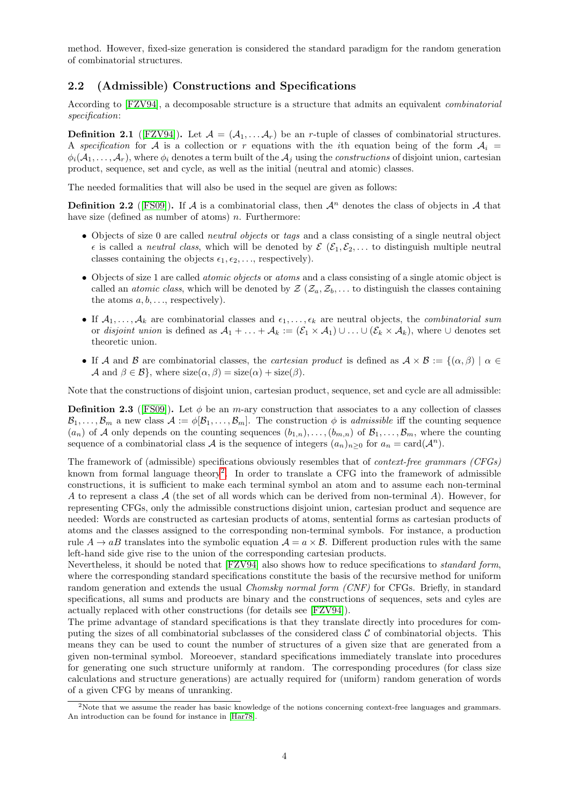method. However, fixed-size generation is considered the standard paradigm for the random generation of combinatorial structures.

### 2.2 (Admissible) Constructions and Specifications

According to [\[FZV94\]](#page-19-8), a decomposable structure is a structure that admits an equivalent combinatorial specification:

**Definition 2.1** ([\[FZV94\]](#page-19-8)). Let  $\mathcal{A} = (\mathcal{A}_1, \dots, \mathcal{A}_r)$  be an *r*-tuple of classes of combinatorial structures. A specification for A is a collection or r equations with the ith equation being of the form  $A_i =$  $\phi_i(\mathcal{A}_1,\ldots,\mathcal{A}_r)$ , where  $\phi_i$  denotes a term built of the  $\mathcal{A}_i$  using the *constructions* of disjoint union, cartesian product, sequence, set and cycle, as well as the initial (neutral and atomic) classes.

The needed formalities that will also be used in the sequel are given as follows:

**Definition 2.2** ([\[FS09\]](#page-19-10)). If A is a combinatorial class, then  $\mathcal{A}^n$  denotes the class of objects in A that have size (defined as number of atoms)  $n$ . Furthermore:

- Objects of size 0 are called *neutral objects* or tags and a class consisting of a single neutral object  $\epsilon$  is called a *neutral class*, which will be denoted by  $\mathcal{E}(\mathcal{E}_1, \mathcal{E}_2, \dots$  to distinguish multiple neutral classes containing the objects  $\epsilon_1, \epsilon_2, \ldots$ , respectively).
- Objects of size 1 are called *atomic objects* or *atoms* and a class consisting of a single atomic object is called an *atomic class*, which will be denoted by  $Z$  ( $Z_a, Z_b, \ldots$  to distinguish the classes containing the atoms  $a, b, \ldots$ , respectively).
- If  $A_1, \ldots, A_k$  are combinatorial classes and  $\epsilon_1, \ldots, \epsilon_k$  are neutral objects, the *combinatorial sum* or disjoint union is defined as  $A_1 + \ldots + A_k := (\mathcal{E}_1 \times A_1) \cup \ldots \cup (\mathcal{E}_k \times A_k)$ , where  $\cup$  denotes set theoretic union.
- If A and B are combinatorial classes, the *cartesian product* is defined as  $A \times B := \{(\alpha, \beta) \mid \alpha \in$ A and  $\beta \in \mathcal{B}$ , where  $size(\alpha, \beta) = size(\alpha) + size(\beta)$ .

Note that the constructions of disjoint union, cartesian product, sequence, set and cycle are all admissible:

**Definition 2.3** ([\[FS09\]](#page-19-10)). Let  $\phi$  be an m-ary construction that associates to a any collection of classes  $\mathcal{B}_1,\ldots,\mathcal{B}_m$  a new class  $\mathcal{A} := \phi[\mathcal{B}_1,\ldots,\mathcal{B}_m]$ . The construction  $\phi$  is *admissible* iff the counting sequence  $(a_n)$  of A only depends on the counting sequences  $(b_{1,n}), \ldots, (b_{m,n})$  of  $B_1, \ldots, B_m$ , where the counting sequence of a combinatorial class A is the sequence of integers  $(a_n)_{n>0}$  for  $a_n = \text{card}(\mathcal{A}^n)$ .

The framework of (admissible) specifications obviously resembles that of context-free grammars (CFGs) known from formal language theory<sup>[2](#page-3-0)</sup>. In order to translate a CFG into the framework of admissible constructions, it is sufficient to make each terminal symbol an atom and to assume each non-terminal A to represent a class A (the set of all words which can be derived from non-terminal A). However, for representing CFGs, only the admissible constructions disjoint union, cartesian product and sequence are needed: Words are constructed as cartesian products of atoms, sentential forms as cartesian products of atoms and the classes assigned to the corresponding non-terminal symbols. For instance, a production rule  $A \to aB$  translates into the symbolic equation  $A = a \times B$ . Different production rules with the same left-hand side give rise to the union of the corresponding cartesian products.

Nevertheless, it should be noted that [\[FZV94\]](#page-19-8) also shows how to reduce specifications to standard form, where the corresponding standard specifications constitute the basis of the recursive method for uniform random generation and extends the usual Chomsky normal form (CNF) for CFGs. Briefly, in standard specifications, all sums and products are binary and the constructions of sequences, sets and cyles are actually replaced with other constructions (for details see [\[FZV94\]](#page-19-8)).

The prime advantage of standard specifications is that they translate directly into procedures for computing the sizes of all combinatorial subclasses of the considered class  $\mathcal C$  of combinatorial objects. This means they can be used to count the number of structures of a given size that are generated from a given non-terminal symbol. Moreoever, standard specifications immediately translate into procedures for generating one such structure uniformly at random. The corresponding procedures (for class size calculations and structure generations) are actually required for (uniform) random generation of words of a given CFG by means of unranking.

<span id="page-3-0"></span><sup>2</sup>Note that we assume the reader has basic knowledge of the notions concerning context-free languages and grammars. An introduction can be found for instance in [\[Har78\]](#page-19-11).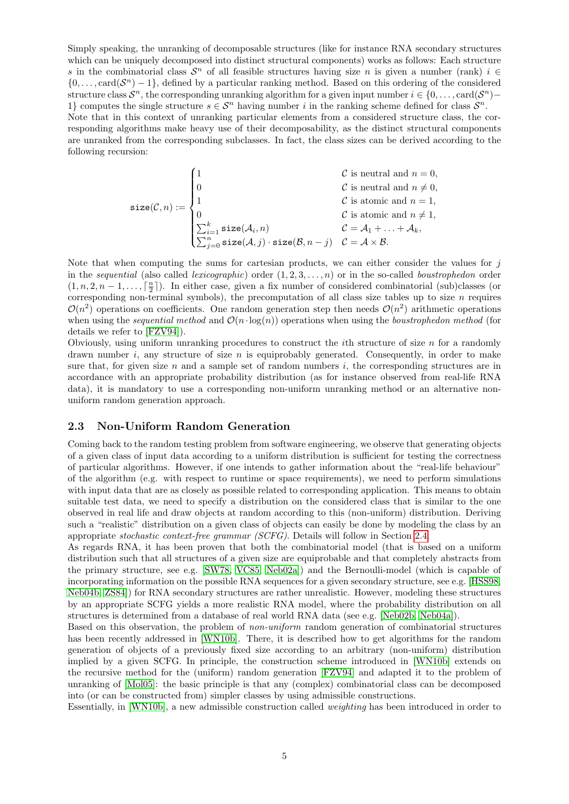Simply speaking, the unranking of decomposable structures (like for instance RNA secondary structures which can be uniquely decomposed into distinct structural components) works as follows: Each structure s in the combinatorial class  $S<sup>n</sup>$  of all feasible structures having size n is given a number (rank)  $i \in$  $\{0,\ldots,\text{card}(\mathcal{S}^n)-1\},$  defined by a particular ranking method. Based on this ordering of the considered structure class  $\mathcal{S}^n$ , the corresponding unranking algorithm for a given input number  $i \in \{0, \ldots, \text{card}(\mathcal{S}^n)$ 1} computes the single structure  $s \in \mathcal{S}^n$  having number i in the ranking scheme defined for class  $\mathcal{S}^n$ . Note that in this context of unranking particular elements from a considered structure class, the corresponding algorithms make heavy use of their decomposability, as the distinct structural components are unranked from the corresponding subclasses. In fact, the class sizes can be derived according to the following recursion:

$$
\text{size}(\mathcal{C}, n) := \begin{cases} 1 & \mathcal{C} \text{ is neutral and } n = 0, \\ 0 & \mathcal{C} \text{ is neutral and } n \neq 0, \\ 1 & \mathcal{C} \text{ is atomic and } n = 1, \\ 0 & \mathcal{C} \text{ is atomic and } n = 1, \\ \sum_{i=1}^{k} \text{size}(\mathcal{A}_i, n) & \mathcal{C} = \mathcal{A}_1 + \ldots + \mathcal{A}_k, \\ \sum_{j=0}^{n} \text{size}(\mathcal{A}, j) \cdot \text{size}(\mathcal{B}, n - j) & \mathcal{C} = \mathcal{A} \times \mathcal{B}. \end{cases}
$$

Note that when computing the sums for cartesian products, we can either consider the values for  $j$ in the sequential (also called *lexicographic*) order  $(1, 2, 3, \ldots, n)$  or in the so-called *boustrophedon* order  $(1, n, 2, n-1, \ldots, \lceil \frac{n}{2} \rceil)$ . In either case, given a fix number of considered combinatorial (sub)classes (or corresponding non-terminal symbols), the precomputation of all class size tables up to size  $n$  requires  $\mathcal{O}(n^2)$  operations on coefficients. One random generation step then needs  $\mathcal{O}(n^2)$  arithmetic operations when using the sequential method and  $\mathcal{O}(n \cdot \log(n))$  operations when using the boustrophedon method (for details we refer to [\[FZV94\]](#page-19-8)).

Obviously, using uniform unranking procedures to construct the ith structure of size n for a randomly drawn number  $i$ , any structure of size  $n$  is equiprobably generated. Consequently, in order to make sure that, for given size n and a sample set of random numbers i, the corresponding structures are in accordance with an appropriate probability distribution (as for instance observed from real-life RNA data), it is mandatory to use a corresponding non-uniform unranking method or an alternative nonuniform random generation approach.

### 2.3 Non-Uniform Random Generation

Coming back to the random testing problem from software engineering, we observe that generating objects of a given class of input data according to a uniform distribution is sufficient for testing the correctness of particular algorithms. However, if one intends to gather information about the "real-life behaviour" of the algorithm (e.g. with respect to runtime or space requirements), we need to perform simulations with input data that are as closely as possible related to corresponding application. This means to obtain suitable test data, we need to specify a distribution on the considered class that is similar to the one observed in real life and draw objects at random according to this (non-uniform) distribution. Deriving such a "realistic" distribution on a given class of objects can easily be done by modeling the class by an appropriate stochastic context-free grammar (SCFG). Details will follow in Section [2.4.](#page-5-0)

As regards RNA, it has been proven that both the combinatorial model (that is based on a uniform distribution such that all structures of a given size are equiprobable and that completely abstracts from the primary structure, see e.g. [\[SW78,](#page-20-8) [VC85,](#page-20-9) [Neb02a\]](#page-20-10)) and the Bernoulli-model (which is capable of incorporating information on the possible RNA sequences for a given secondary structure, see e.g. [\[HSS98,](#page-20-11) [Neb04b,](#page-20-12) [ZS84\]](#page-21-4)) for RNA secondary structures are rather unrealistic. However, modeling these structures by an appropriate SCFG yields a more realistic RNA model, where the probability distribution on all structures is determined from a database of real world RNA data (see e.g. [\[Neb02b,](#page-20-13) [Neb04a\]](#page-20-14)).

Based on this observation, the problem of non-uniform random generation of combinatorial structures has been recently addressed in [\[WN10b\]](#page-21-2). There, it is described how to get algorithms for the random generation of objects of a previously fixed size according to an arbitrary (non-uniform) distribution implied by a given SCFG. In principle, the construction scheme introduced in [\[WN10b\]](#page-21-2) extends on the recursive method for the (uniform) random generation [\[FZV94\]](#page-19-8) and adapted it to the problem of unranking of [\[Mol05\]](#page-20-15): the basic principle is that any (complex) combinatorial class can be decomposed into (or can be constructed from) simpler classes by using admissible constructions.

Essentially, in [\[WN10b\]](#page-21-2), a new admissible construction called weighting has been introduced in order to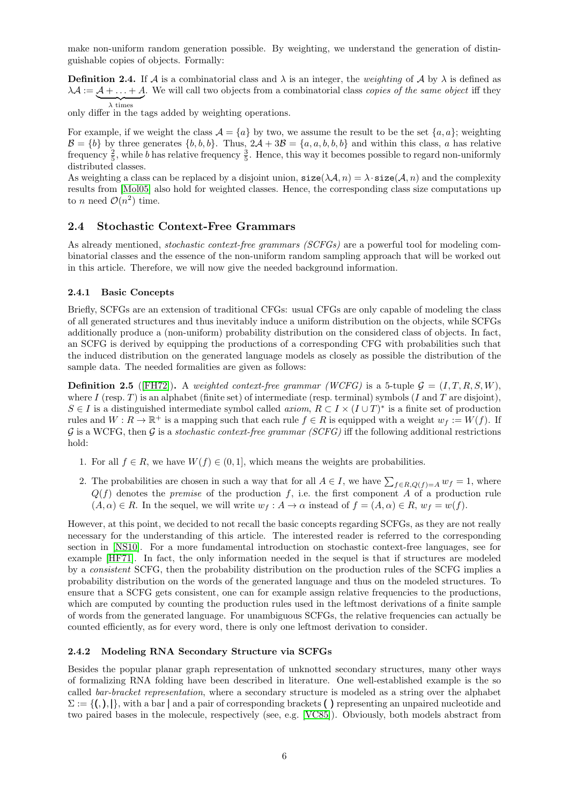make non-uniform random generation possible. By weighting, we understand the generation of distinguishable copies of objects. Formally:

**Definition 2.4.** If A is a combinatorial class and  $\lambda$  is an integer, the weighting of A by  $\lambda$  is defined as  $\lambda \mathcal{A} := \mathcal{A} + \ldots + A$ . We will call two objects from a combinatorial class *copies of the same object* iff they  $\lambda$  times

only differ in the tags added by weighting operations.

For example, if we weight the class  $\mathcal{A} = \{a\}$  by two, we assume the result to be the set  $\{a, a\}$ ; weighting  $\mathcal{B} = \{b\}$  by three generates  $\{b, b, b\}$ . Thus,  $2\mathcal{A} + 3\mathcal{B} = \{a, a, b, b, b\}$  and within this class, a has relative frequency  $\frac{2}{5}$ , while b has relative frequency  $\frac{3}{5}$ . Hence, this way it becomes possible to regard non-uniformly distributed classes.

As weighting a class can be replaced by a disjoint union,  $size(\lambda \mathcal{A}, n) = \lambda \cdot size(\mathcal{A}, n)$  and the complexity results from [\[Mol05\]](#page-20-15) also hold for weighted classes. Hence, the corresponding class size computations up to *n* need  $\mathcal{O}(n^2)$  time.

#### <span id="page-5-0"></span>2.4 Stochastic Context-Free Grammars

As already mentioned, *stochastic context-free grammars (SCFGs)* are a powerful tool for modeling combinatorial classes and the essence of the non-uniform random sampling approach that will be worked out in this article. Therefore, we will now give the needed background information.

#### 2.4.1 Basic Concepts

Briefly, SCFGs are an extension of traditional CFGs: usual CFGs are only capable of modeling the class of all generated structures and thus inevitably induce a uniform distribution on the objects, while SCFGs additionally produce a (non-uniform) probability distribution on the considered class of objects. In fact, an SCFG is derived by equipping the productions of a corresponding CFG with probabilities such that the induced distribution on the generated language models as closely as possible the distribution of the sample data. The needed formalities are given as follows:

**Definition 2.5** ([\[FH72\]](#page-19-12)). A weighted context-free grammar (WCFG) is a 5-tuple  $\mathcal{G} = (I, T, R, S, W)$ , where I (resp. T) is an alphabet (finite set) of intermediate (resp. terminal) symbols (I and T are disjoint),  $S \in I$  is a distinguished intermediate symbol called *axiom*,  $R \subset I \times (I \cup T)^*$  is a finite set of production rules and  $W: R \to \mathbb{R}^+$  is a mapping such that each rule  $f \in R$  is equipped with a weight  $w_f := W(f)$ . If  $\mathcal G$  is a WCFG, then  $\mathcal G$  is a stochastic context-free grammar (SCFG) iff the following additional restrictions hold:

- 1. For all  $f \in R$ , we have  $W(f) \in (0, 1]$ , which means the weights are probabilities.
- 2. The probabilities are chosen in such a way that for all  $A \in I$ , we have  $\sum_{f \in R, Q(f) = A} w_f = 1$ , where  $Q(f)$  denotes the *premise* of the production f, i.e. the first component A of a production rule  $(A, \alpha) \in R$ . In the sequel, we will write  $w_f : A \to \alpha$  instead of  $f = (A, \alpha) \in R$ ,  $w_f = w(f)$ .

However, at this point, we decided to not recall the basic concepts regarding SCFGs, as they are not really necessary for the understanding of this article. The interested reader is referred to the corresponding section in [\[NS10\]](#page-20-5). For a more fundamental introduction on stochastic context-free languages, see for example [\[HF71\]](#page-19-13). In fact, the only information needed in the sequel is that if structures are modeled by a consistent SCFG, then the probability distribution on the production rules of the SCFG implies a probability distribution on the words of the generated language and thus on the modeled structures. To ensure that a SCFG gets consistent, one can for example assign relative frequencies to the productions, which are computed by counting the production rules used in the leftmost derivations of a finite sample of words from the generated language. For unambiguous SCFGs, the relative frequencies can actually be counted efficiently, as for every word, there is only one leftmost derivation to consider.

#### 2.4.2 Modeling RNA Secondary Structure via SCFGs

Besides the popular planar graph representation of unknotted secondary structures, many other ways of formalizing RNA folding have been described in literature. One well-established example is the so called bar-bracket representation, where a secondary structure is modeled as a string over the alphabet  $\Sigma := \{(),],\}$ , with a bar | and a pair of corresponding brackets () representing an unpaired nucleotide and two paired bases in the molecule, respectively (see, e.g. [\[VC85\]](#page-20-9)). Obviously, both models abstract from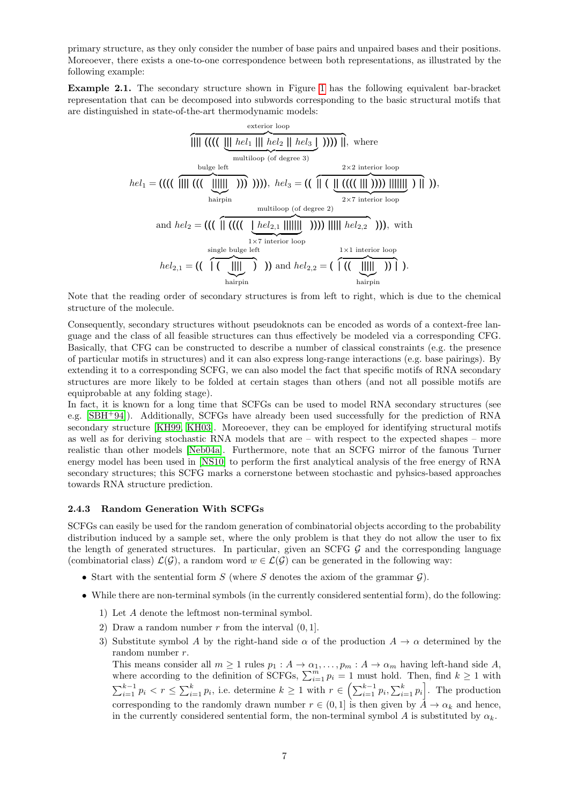primary structure, as they only consider the number of base pairs and unpaired bases and their positions. Moreoever, there exists a one-to-one correspondence between both representations, as illustrated by the following example:

<span id="page-6-0"></span>Example 2.1. The secondary structure shown in Figure [1](#page-1-0) has the following equivalent bar-bracket representation that can be decomposed into subwords corresponding to the basic structural motifs that are distinguished in state-of-the-art thermodynamic models:



Note that the reading order of secondary structures is from left to right, which is due to the chemical structure of the molecule.

Consequently, secondary structures without pseudoknots can be encoded as words of a context-free language and the class of all feasible structures can thus effectively be modeled via a corresponding CFG. Basically, that CFG can be constructed to describe a number of classical constraints (e.g. the presence of particular motifs in structures) and it can also express long-range interactions (e.g. base pairings). By extending it to a corresponding SCFG, we can also model the fact that specific motifs of RNA secondary structures are more likely to be folded at certain stages than others (and not all possible motifs are equiprobable at any folding stage).

In fact, it is known for a long time that SCFGs can be used to model RNA secondary structures (see e.g. [\[SBH](#page-20-16)<sup>+94]</sup>). Additionally, SCFGs have already been used successfully for the prediction of RNA secondary structure [\[KH99,](#page-20-3) [KH03\]](#page-20-4). Moreoever, they can be employed for identifying structural motifs as well as for deriving stochastic RNA models that are  $-$  with respect to the expected shapes  $-$  more realistic than other models [\[Neb04a\]](#page-20-14). Furthermore, note that an SCFG mirror of the famous Turner energy model has been used in [\[NS10\]](#page-20-5) to perform the first analytical analysis of the free energy of RNA secondary structures; this SCFG marks a cornerstone between stochastic and pyhsics-based approaches towards RNA structure prediction.

#### 2.4.3 Random Generation With SCFGs

SCFGs can easily be used for the random generation of combinatorial objects according to the probability distribution induced by a sample set, where the only problem is that they do not allow the user to fix the length of generated structures. In particular, given an SCFG  $G$  and the corresponding language (combinatorial class)  $\mathcal{L}(\mathcal{G})$ , a random word  $w \in \mathcal{L}(\mathcal{G})$  can be generated in the following way:

- Start with the sentential form S (where S denotes the axiom of the grammar  $\mathcal{G}$ ).
- While there are non-terminal symbols (in the currently considered sentential form), do the following:
	- 1) Let A denote the leftmost non-terminal symbol.
	- 2) Draw a random number  $r$  from the interval  $(0, 1]$ .
	- 3) Substitute symbol A by the right-hand side  $\alpha$  of the production  $A \rightarrow \alpha$  determined by the random number r.

This means consider all  $m \ge 1$  rules  $p_1 : A \to \alpha_1, \ldots, p_m : A \to \alpha_m$  having left-hand side A, where according to the definition of SCFGs,  $\sum_{i=1}^{m} p_i = 1$  must hold. Then, find  $k \ge 1$  with  $\sum_{i=1}^{k-1} p_i < r \leq \sum_{i=1}^k p_i$ , i.e. determine  $k \geq 1$  with  $r \in \left(\sum_{i=1}^{k-1} p_i, \sum_{i=1}^k p_i\right]$ . The production corresponding to the randomly drawn number  $r \in (0,1]$  is then given by  $\overline{A} \to \alpha_k$  and hence, in the currently considered sentential form, the non-terminal symbol A is substituted by  $\alpha_k$ .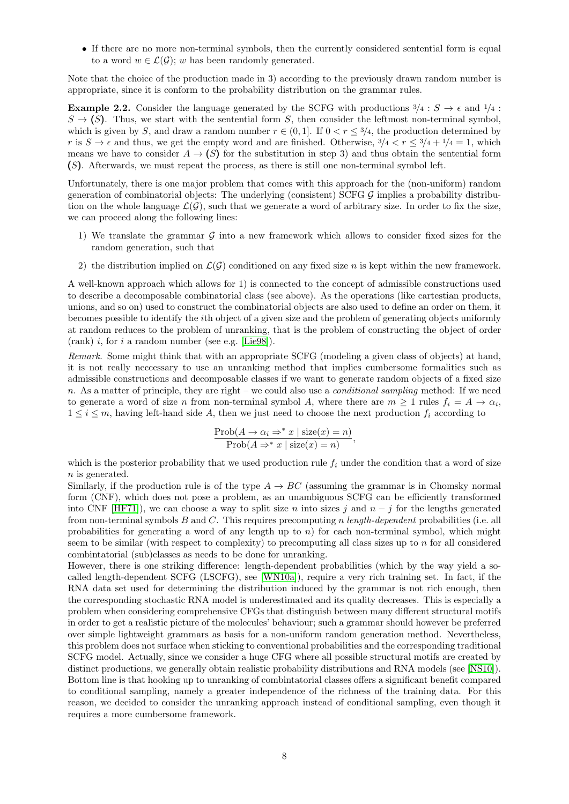• If there are no more non-terminal symbols, then the currently considered sentential form is equal to a word  $w \in \mathcal{L}(\mathcal{G})$ ; w has been randomly generated.

Note that the choice of the production made in 3) according to the previously drawn random number is appropriate, since it is conform to the probability distribution on the grammar rules.

**Example 2.2.** Consider the language generated by the SCFG with productions  $\frac{3}{4}$ :  $S \rightarrow \epsilon$  and  $\frac{1}{4}$ :  $S \to (S)$ . Thus, we start with the sentential form S, then consider the leftmost non-terminal symbol, which is given by S, and draw a random number  $r \in (0, 1]$ . If  $0 < r \leq 3/4$ , the production determined by r is  $S \to \epsilon$  and thus, we get the empty word and are finished. Otherwise,  $\frac{3}{4} < r < \frac{3}{4} + \frac{1}{4} = 1$ , which means we have to consider  $A \to (S)$  for the substitution in step 3) and thus obtain the sentential form (S). Afterwards, we must repeat the process, as there is still one non-terminal symbol left.

Unfortunately, there is one major problem that comes with this approach for the (non-uniform) random generation of combinatorial objects: The underlying (consistent) SCFG G implies a probability distribution on the whole language  $\mathcal{L}(G)$ , such that we generate a word of arbitrary size. In order to fix the size, we can proceed along the following lines:

- 1) We translate the grammar  $G$  into a new framework which allows to consider fixed sizes for the random generation, such that
- 2) the distribution implied on  $\mathcal{L}(\mathcal{G})$  conditioned on any fixed size n is kept within the new framework.

A well-known approach which allows for 1) is connected to the concept of admissible constructions used to describe a decomposable combinatorial class (see above). As the operations (like cartestian products, unions, and so on) used to construct the combinatorial objects are also used to define an order on them, it becomes possible to identify the ith object of a given size and the problem of generating objects uniformly at random reduces to the problem of unranking, that is the problem of constructing the object of order  $(rank)$  *i*, for *i* a random number (see e.g. [\[Lie98\]](#page-20-17)).

Remark. Some might think that with an appropriate SCFG (modeling a given class of objects) at hand, it is not really neccessary to use an unranking method that implies cumbersome formalities such as admissible constructions and decomposable classes if we want to generate random objects of a fixed size n. As a matter of principle, they are right – we could also use a *conditional sampling* method: If we need to generate a word of size n from non-terminal symbol A, where there are  $m \geq 1$  rules  $f_i = A \rightarrow \alpha_i$ ,  $1 \leq i \leq m$ , having left-hand side A, then we just need to choose the next production  $f_i$  according to

$$
\frac{\text{Prob}(A \to \alpha_i \Rightarrow^* x \mid \text{size}(x) = n)}{\text{Prob}(A \Rightarrow^* x \mid \text{size}(x) = n)},
$$

which is the posterior probability that we used production rule  $f_i$  under the condition that a word of size n is generated.

Similarly, if the production rule is of the type  $A \rightarrow BC$  (assuming the grammar is in Chomsky normal form (CNF), which does not pose a problem, as an unambiguous SCFG can be efficiently transformed into CNF [\[HF71\]](#page-19-13)), we can choose a way to split size n into sizes j and  $n - j$  for the lengths generated from non-terminal symbols  $B$  and  $C$ . This requires precomputing n length-dependent probabilities (i.e. all probabilities for generating a word of any length up to  $n$ ) for each non-terminal symbol, which might seem to be similar (with respect to complexity) to precomputing all class sizes up to  $n$  for all considered combintatorial (sub)classes as needs to be done for unranking.

However, there is one striking difference: length-dependent probabilities (which by the way yield a socalled length-dependent SCFG (LSCFG), see [\[WN10a\]](#page-21-5)), require a very rich training set. In fact, if the RNA data set used for determining the distribution induced by the grammar is not rich enough, then the corresponding stochastic RNA model is underestimated and its quality decreases. This is especially a problem when considering comprehensive CFGs that distinguish between many different structural motifs in order to get a realistic picture of the molecules' behaviour; such a grammar should however be preferred over simple lightweight grammars as basis for a non-uniform random generation method. Nevertheless, this problem does not surface when sticking to conventional probabilities and the corresponding traditional SCFG model. Actually, since we consider a huge CFG where all possible structural motifs are created by distinct productions, we generally obtain realistic probability distributions and RNA models (see [\[NS10\]](#page-20-5)). Bottom line is that hooking up to unranking of combintatorial classes offers a significant benefit compared to conditional sampling, namely a greater independence of the richness of the training data. For this reason, we decided to consider the unranking approach instead of conditional sampling, even though it requires a more cumbersome framework.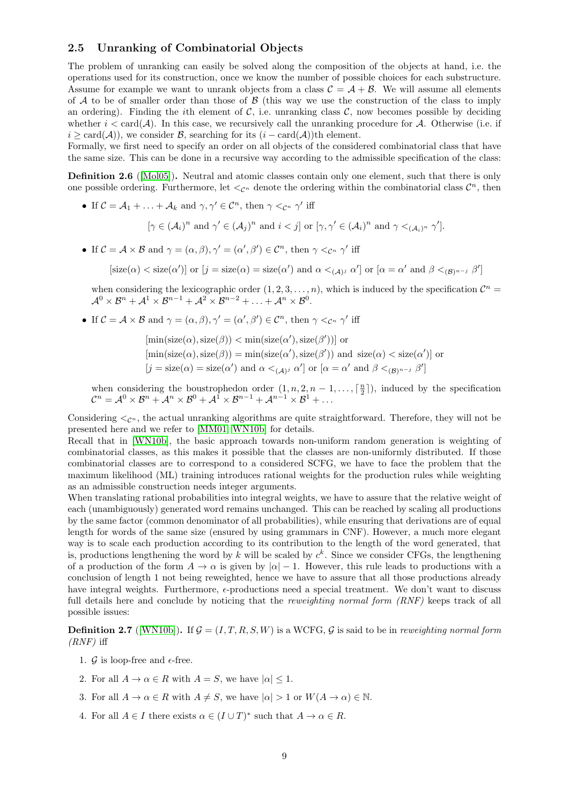### 2.5 Unranking of Combinatorial Objects

The problem of unranking can easily be solved along the composition of the objects at hand, i.e. the operations used for its construction, once we know the number of possible choices for each substructure. Assume for example we want to unrank objects from a class  $C = A + B$ . We will assume all elements of A to be of smaller order than those of B (this way we use the construction of the class to imply an ordering). Finding the *i*th element of  $C$ , i.e. unranking class  $C$ , now becomes possible by deciding whether  $i < \text{card}(\mathcal{A})$ . In this case, we recursively call the unranking procedure for A. Otherwise (i.e. if  $i \geq \text{card}(\mathcal{A})$ , we consider  $\mathcal{B}$ , searching for its  $(i - \text{card}(\mathcal{A}))$ th element.

Formally, we first need to specify an order on all objects of the considered combinatorial class that have the same size. This can be done in a recursive way according to the admissible specification of the class:

Definition 2.6 ([\[Mol05\]](#page-20-15)). Neutral and atomic classes contain only one element, such that there is only one possible ordering. Furthermore, let  $\langle c_n \rangle$  denote the ordering within the combinatorial class  $\mathcal{C}^n$ , then

• If  $C = A_1 + ... + A_k$  and  $\gamma, \gamma' \in \mathcal{C}^n$ , then  $\gamma <_{\mathcal{C}^n} \gamma'$  iff

$$
[\gamma \in (\mathcal{A}_i)^n
$$
 and  $\gamma' \in (\mathcal{A}_j)^n$  and  $i < j$  or  $[\gamma, \gamma' \in (\mathcal{A}_i)^n$  and  $\gamma <_{(\mathcal{A}_i)^n} \gamma'$ .

• If  $\mathcal{C} = \mathcal{A} \times \mathcal{B}$  and  $\gamma = (\alpha, \beta), \gamma' = (\alpha', \beta') \in \mathcal{C}^n$ , then  $\gamma <_{\mathcal{C}^n} \gamma'$  iff

 $[\text{size}(\alpha) < \text{size}(\alpha')]$  or  $[j = \text{size}(\alpha) = \text{size}(\alpha')$  and  $\alpha <_{(\mathcal{A})^j} \alpha'$  or  $[\alpha = \alpha'$  and  $\beta <_{(\mathcal{B})^{n-j}} \beta']$ 

when considering the lexicographic order  $(1, 2, 3, \ldots, n)$ , which is induced by the specification  $\mathcal{C}^n =$  $\mathcal{A}^{0}\times\mathcal{B}^{n}+\mathcal{A}^{1}\times\mathcal{B}^{n-1}+\mathcal{A}^{2}\times\mathcal{B}^{n-2}+\ldots+\mathcal{A}^{n}\times\mathcal{B}^{0}.$ 

• If  $\mathcal{C} = \mathcal{A} \times \mathcal{B}$  and  $\gamma = (\alpha, \beta), \gamma' = (\alpha', \beta') \in \mathcal{C}^n$ , then  $\gamma <_{\mathcal{C}^n} \gamma'$  iff

$$
[\min(\text{size}(\alpha), \text{size}(\beta)) < \min(\text{size}(\alpha'), \text{size}(\beta'))] \text{ or}
$$
\n
$$
[\min(\text{size}(\alpha), \text{size}(\beta)) = \min(\text{size}(\alpha'), \text{size}(\beta')) \text{ and } \text{size}(\alpha) < \text{size}(\alpha')] \text{ or}
$$
\n
$$
[j = \text{size}(\alpha) = \text{size}(\alpha') \text{ and } \alpha <_{(\mathcal{A})^j} \alpha' \text{ or } [\alpha = \alpha' \text{ and } \beta <_{(\mathcal{B})^{n-j}} \beta']
$$

when considering the boustrophedon order  $(1, n, 2, n-1, \ldots, \lceil \frac{n}{2} \rceil)$ , induced by the specification  $\mathcal{C}^n = \mathcal{A}^0 \times \mathcal{B}^n + \mathcal{A}^n \times \mathcal{B}^0 + \mathcal{A}^1 \times \mathcal{B}^{n-1} + \mathcal{A}^{n-1} \times \mathcal{B}^1 + \ldots$ 

Considering  $\langle c_n, \rangle$  the actual unranking algorithms are quite straightforward. Therefore, they will not be presented here and we refer to [\[MM01,](#page-20-18) [WN10b\]](#page-21-2) for details.

Recall that in [\[WN10b\]](#page-21-2), the basic approach towards non-uniform random generation is weighting of combinatorial classes, as this makes it possible that the classes are non-uniformly distributed. If those combinatorial classes are to correspond to a considered SCFG, we have to face the problem that the maximum likelihood (ML) training introduces rational weights for the production rules while weighting as an admissible construction needs integer arguments.

When translating rational probabilities into integral weights, we have to assure that the relative weight of each (unambiguously) generated word remains unchanged. This can be reached by scaling all productions by the same factor (common denominator of all probabilities), while ensuring that derivations are of equal length for words of the same size (ensured by using grammars in CNF). However, a much more elegant way is to scale each production according to its contribution to the length of the word generated, that is, productions lengthening the word by k will be scaled by  $c^k$ . Since we consider CFGs, the lengthening of a production of the form  $A \to \alpha$  is given by  $|\alpha| - 1$ . However, this rule leads to productions with a conclusion of length 1 not being reweighted, hence we have to assure that all those productions already have integral weights. Furthermore,  $\epsilon$ -productions need a special treatment. We don't want to discuss full details here and conclude by noticing that the *reweighting normal form (RNF)* keeps track of all possible issues:

**Definition 2.7** ([\[WN10b\]](#page-21-2)). If  $\mathcal{G} = (I, T, R, S, W)$  is a WCFG,  $\mathcal{G}$  is said to be in reweighting normal form  $(RNF)$  iff

- 1.  $\mathcal G$  is loop-free and  $\epsilon$ -free.
- 2. For all  $A \to \alpha \in R$  with  $A = S$ , we have  $|\alpha| \leq 1$ .
- 3. For all  $A \to \alpha \in R$  with  $A \neq S$ , we have  $|\alpha| > 1$  or  $W(A \to \alpha) \in \mathbb{N}$ .
- 4. For all  $A \in I$  there exists  $\alpha \in (I \cup T)^*$  such that  $A \to \alpha \in R$ .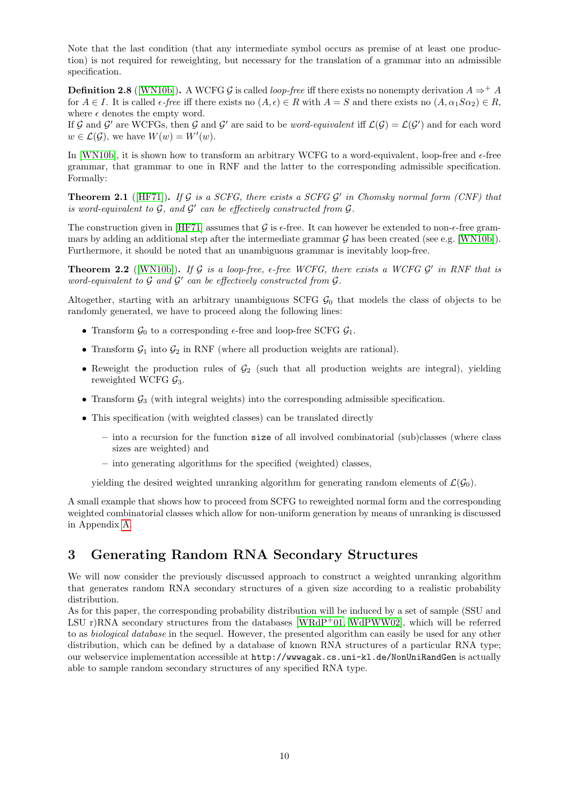Note that the last condition (that any intermediate symbol occurs as premise of at least one production) is not required for reweighting, but necessary for the translation of a grammar into an admissible specification.

**Definition 2.8** ([\[WN10b\]](#page-21-2)). A WCFG G is called *loop-free* iff there exists no nonempty derivation  $A \Rightarrow^+ A$ for  $A \in I$ . It is called  $\epsilon$ -free iff there exists no  $(A, \epsilon) \in R$  with  $A = S$  and there exists no  $(A, \alpha_1 S \alpha_2) \in R$ . where  $\epsilon$  denotes the empty word.

If G and G' are WCFGs, then G and G' are said to be *word-equivalent* iff  $\mathcal{L}(\mathcal{G}) = \mathcal{L}(\mathcal{G}')$  and for each word  $w \in \mathcal{L}(\mathcal{G})$ , we have  $W(w) = W'(w)$ .

In [\[WN10b\]](#page-21-2), it is shown how to transform an arbitrary WCFG to a word-equivalent, loop-free and  $\epsilon$ -free grammar, that grammar to one in RNF and the latter to the corresponding admissible specification. Formally:

**Theorem 2.1** ([\[HF71\]](#page-19-13)). If G is a SCFG, there exists a SCFG  $G'$  in Chomsky normal form (CNF) that is word-equivalent to  $G$ , and  $G'$  can be effectively constructed from  $G$ .

The construction given in [\[HF71\]](#page-19-13) assumes that  $G$  is  $\epsilon$ -free. It can however be extended to non- $\epsilon$ -free gram-mars by adding an additional step after the intermediate grammar G has been created (see e.g. [\[WN10b\]](#page-21-2)). Furthermore, it should be noted that an unambiguous grammar is inevitably loop-free.

**Theorem 2.2** ([\[WN10b\]](#page-21-2)). If G is a loop-free,  $\epsilon$ -free WCFG, there exists a WCFG  $\mathcal{G}'$  in RNF that is word-equivalent to  $\mathcal G$  and  $\mathcal G'$  can be effectively constructed from  $\mathcal G$ .

Altogether, starting with an arbitrary unambiguous SCFG  $\mathcal{G}_0$  that models the class of objects to be randomly generated, we have to proceed along the following lines:

- Transform  $\mathcal{G}_0$  to a corresponding  $\epsilon$ -free and loop-free SCFG  $\mathcal{G}_1$ .
- Transform  $\mathcal{G}_1$  into  $\mathcal{G}_2$  in RNF (where all production weights are rational).
- Reweight the production rules of  $G_2$  (such that all production weights are integral), yielding reweighted WCFG  $\mathcal{G}_3$ .
- Transform  $\mathcal{G}_3$  (with integral weights) into the corresponding admissible specification.
- This specification (with weighted classes) can be translated directly
	- into a recursion for the function size of all involved combinatorial (sub)classes (where class sizes are weighted) and
	- into generating algorithms for the specified (weighted) classes,

yielding the desired weighted unranking algorithm for generating random elements of  $\mathcal{L}(\mathcal{G}_0)$ .

A small example that shows how to proceed from SCFG to reweighted normal form and the corresponding weighted combinatorial classes which allow for non-uniform generation by means of unranking is discussed in Appendix [A.](#page-21-6)

# 3 Generating Random RNA Secondary Structures

We will now consider the previously discussed approach to construct a weighted unranking algorithm that generates random RNA secondary structures of a given size according to a realistic probability distribution.

As for this paper, the corresponding probability distribution will be induced by a set of sample (SSU and LSU r)RNA secondary structures from the databases [\[WRdP](#page-21-7)+01, [WdPWW02\]](#page-20-19), which will be referred to as biological database in the sequel. However, the presented algorithm can easily be used for any other distribution, which can be defined by a database of known RNA structures of a particular RNA type; our webservice implementation accessible at http://wwwagak.cs.uni-kl.de/NonUniRandGen is actually able to sample random secondary structures of any specified RNA type.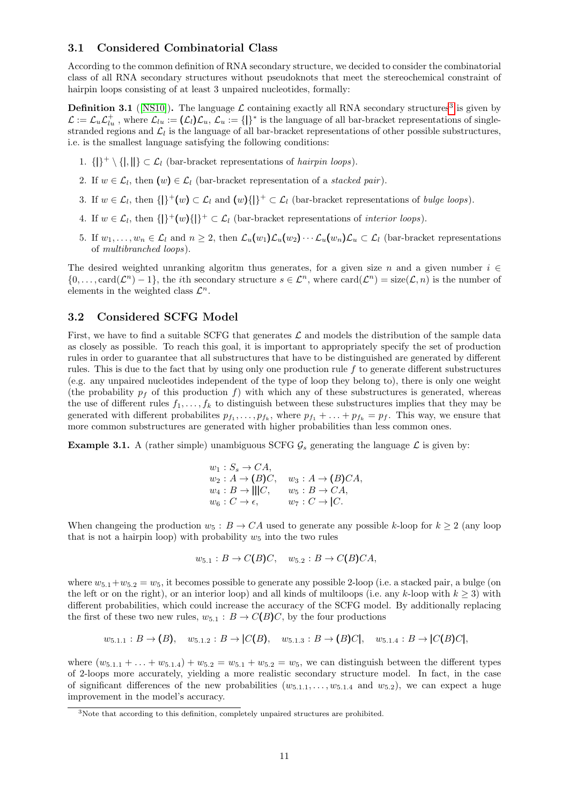### 3.1 Considered Combinatorial Class

According to the common definition of RNA secondary structure, we decided to consider the combinatorial class of all RNA secondary structures without pseudoknots that meet the stereochemical constraint of hairpin loops consisting of at least 3 unpaired nucleotides, formally:

<span id="page-10-3"></span>**Definition [3](#page-10-0).1** ([\[NS10\]](#page-20-5)). The language  $\mathcal{L}$  containing exactly all RNA secondary structures<sup>3</sup> is given by  $\mathcal{L} := \mathcal{L}_u \mathcal{L}_{lu}^+$ , where  $\mathcal{L}_{lu} := (\mathcal{L}_l) \mathcal{L}_u$ ,  $\mathcal{L}_u := \{ \}^*$  is the language of all bar-bracket representations of singlestranded regions and  $\mathcal{L}_l$  is the language of all bar-bracket representations of other possible substructures, i.e. is the smallest language satisfying the following conditions:

- 1.  $\{|\}^+ \setminus \{|\}|\} \subset \mathcal{L}_l$  (bar-bracket representations of *hairpin loops*).
- 2. If  $w \in \mathcal{L}_l$ , then  $(w) \in \mathcal{L}_l$  (bar-bracket representation of a *stacked pair*).
- 3. If  $w \in \mathcal{L}_l$ , then  $\{ \}^+(w) \subset \mathcal{L}_l$  and  $(w)\{ \}^+ \subset \mathcal{L}_l$  (bar-bracket representations of *bulge loops*).
- 4. If  $w \in \mathcal{L}_l$ , then  $\{|\}^+(w)\{|\}^+ \subset \mathcal{L}_l$  (bar-bracket representations of *interior loops*).
- 5. If  $w_1, \ldots, w_n \in \mathcal{L}_l$  and  $n \geq 2$ , then  $\mathcal{L}_u(w_1)\mathcal{L}_u(w_2)\cdots \mathcal{L}_u(w_n)\mathcal{L}_u \subset \mathcal{L}_l$  (bar-bracket representations of multibranched loops).

The desired weighted unranking algoritm thus generates, for a given size n and a given number  $i \in$  $\{0,\ldots,\text{card}(\mathcal{L}^n)-1\}$ , the *i*th secondary structure  $s \in \mathcal{L}^n$ , where  $\text{card}(\mathcal{L}^n) = \text{size}(\mathcal{L},n)$  is the number of elements in the weighted class  $\mathcal{L}^n$ .

## 3.2 Considered SCFG Model

First, we have to find a suitable SCFG that generates  $\mathcal L$  and models the distribution of the sample data as closely as possible. To reach this goal, it is important to appropriately specify the set of production rules in order to guarantee that all substructures that have to be distinguished are generated by different rules. This is due to the fact that by using only one production rule f to generate different substructures (e.g. any unpaired nucleotides independent of the type of loop they belong to), there is only one weight (the probability  $p_f$  of this production f) with which any of these substructures is generated, whereas the use of different rules  $f_1, \ldots, f_k$  to distinguish between these substructures implies that they may be generated with different probabilites  $p_{f_1}, \ldots, p_{f_k}$ , where  $p_{f_1} + \ldots + p_{f_k} = p_f$ . This way, we ensure that more common substructures are generated with higher probabilities than less common ones.

<span id="page-10-2"></span><span id="page-10-1"></span>**Example 3.1.** A (rather simple) unambiguous SCFG  $\mathcal{G}_s$  generating the language  $\mathcal{L}$  is given by:

$$
w_1: S_s \to CA,
$$
  
\n
$$
w_2: A \to (B)C, \quad w_3: A \to (B)CA,
$$
  
\n
$$
w_4: B \to |||C, \quad w_5: B \to CA,
$$
  
\n
$$
w_6: C \to \epsilon, \quad w_7: C \to |C.
$$

When changeing the production  $w_5 : B \to CA$  used to generate any possible k-loop for  $k \ge 2$  (any loop that is not a hairpin loop) with probability  $w_5$  into the two rules

$$
w_{5.1}: B \to C(B)C, \quad w_{5.2}: B \to C(B)CA,
$$

where  $w_{5,1}+w_{5,2}=w_5$ , it becomes possible to generate any possible 2-loop (i.e. a stacked pair, a bulge (on the left or on the right), or an interior loop) and all kinds of multiloops (i.e. any k-loop with  $k \geq 3$ ) with different probabilities, which could increase the accuracy of the SCFG model. By additionally replacing the first of these two new rules,  $w_{5,1} : B \to C(B)C$ , by the four productions

$$
w_{5,1,1}: B \to (B), w_{5,1,2}: B \to |C(B), w_{5,1,3}: B \to (B)C|, w_{5,1,4}: B \to |C(B)C|,
$$

where  $(w_{5,1,1} + \ldots + w_{5,1,4}) + w_{5,2} = w_{5,1} + w_{5,2} = w_5$ , we can distinguish between the different types of 2-loops more accurately, yielding a more realistic secondary structure model. In fact, in the case of significant differences of the new probabilities  $(w_{5,1,1}, \ldots, w_{5,1,4}$  and  $w_{5,2}$ ), we can expect a huge improvement in the model's accuracy.

<span id="page-10-0"></span><sup>3</sup>Note that according to this definition, completely unpaired structures are prohibited.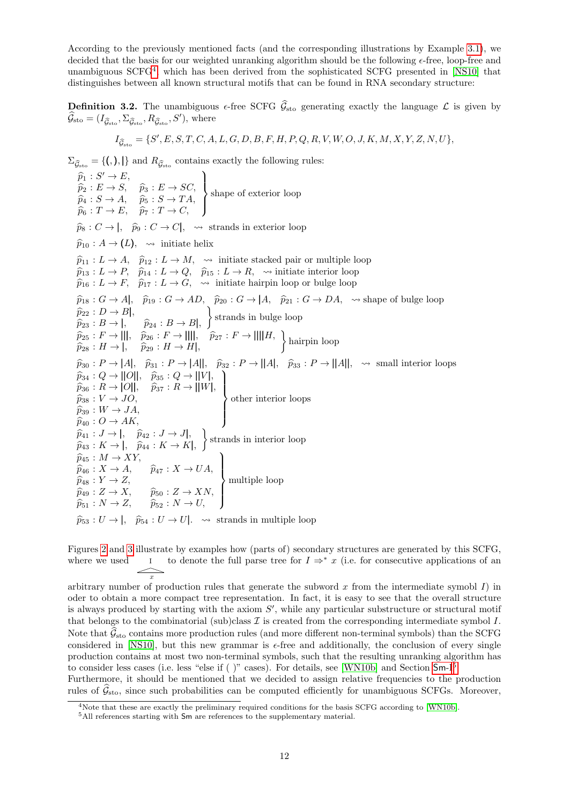According to the previously mentioned facts (and the corresponding illustrations by Example [3.1\)](#page-10-1), we decided that the basis for our weighted unranking algorithm should be the following  $\epsilon$ -free, loop-free and unambiguous SCFG<sup>[4](#page-11-0)</sup>, which has been derived from the sophisticated SCFG presented in [\[NS10\]](#page-20-5) that distinguishes between all known structural motifs that can be found in RNA secondary structure:

**Definition 3.2.** The unambiguous  $\epsilon$ -free SCFG  $\hat{\mathcal{G}}_{\text{sto}}$  generating exactly the language  $\mathcal{L}$  is given by  $\widehat{\mathcal{G}}_{\rm sto} = (I_{\widehat{\mathcal{G}}_{\rm sto}}, \Sigma_{\widehat{\mathcal{G}}_{\rm sto}}, R_{\widehat{\mathcal{G}}_{\rm sto}}, S')$ , where

$$
I_{\widehat{G}_{\text{strn}}} = \{S', E, S, T, C, A, L, G, D, B, F, H, P, Q, R, V, W, O, J, K, M, X, Y, Z, N, U\},\
$$

 $\Sigma_{\hat{G}_{\text{sto}}} = \{(),\}\$ and  $R_{\hat{G}_{\text{sto}}}$  contains exactly the following rules:

 $\widehat{p}_1 : S' \to E,$ <br>  $\widehat{p}_2 : F \to S$  $\widehat{p}_2 : E \to S, \quad \widehat{p}_3 : E \to SC,$ <br>  $\widehat{x}_1 : S \to A \quad \widehat{x}_2 : S \to TA$  $\widehat{p}_4 : S \to A, \quad \widehat{p}_5 : S \to TA,$ <br>  $\widehat{p}_5 : T \to F \quad \widehat{p}_5 : T \to C$  $\widehat{p}_6 : T \to E, \quad \widehat{p}_7 : T \to C,$  $\mathcal{L}$  $\overline{\mathcal{L}}$  $\int$ shape of exterior loop  $\widehat{p}_8 : C \to \mathsf{I}, \widehat{p}_9 : C \to C\mathsf{I}, \rightsquigarrow$  strands in exterior loop  $\widehat{p}_{10} : A \to (L)$ ,  $\rightsquigarrow$  initiate helix  $\widehat{p}_{11} : L \to A, \quad \widehat{p}_{12} : L \to M, \quad \leadsto$  initiate stacked pair or multiple loop  $\widehat{p}_{13} : L \to P$ ,  $\widehat{p}_{14} : L \to Q$ ,  $\widehat{p}_{15} : L \to R$ ,  $\rightsquigarrow$  initiate interior loop  $\widehat{p}_{16} : L \to F$ ,  $\widehat{p}_{17} : L \to G$ ,  $\rightsquigarrow$  initiate hairpin loop or bulge loop  $\widehat{p}_{18} : G \to A$ ,  $\widehat{p}_{19} : G \to AD$ ,  $\widehat{p}_{20} : G \to |A, \widehat{p}_{21} : G \to DA$ ,  $\rightsquigarrow$  shape of bulge loop  $\widehat{p}_{22} : D \to B,$ <br>  $\widehat{p}_{22} : B \to 0$  $\widehat{p}_{23} : B \to \vert, \quad \widehat{p}_{24} : B \to B \vert,$ <br>  $\widehat{\epsilon} \to F \to \mathsf{III}$   $\widehat{\epsilon} \to F \to \mathsf{III}$  strands in bulge loop  $\widehat{p}_{25} : F \to |||, \quad \widehat{p}_{26} : F \to |||, \quad \widehat{p}_{27} : F \to ||||H,$  $\widehat{p}_{28} : H \to \, \, |, \quad \widehat{p}_{29} : H \to H \, |,$  hairpin loop  $\widehat{p}_{30} : P \to |A|, \quad \widehat{p}_{31} : P \to |A|, \quad \widehat{p}_{32} : P \to ||A|, \quad \widehat{p}_{33} : P \to ||A||, \quad \leadsto \text{ small interior loops}$  $\widehat{p}_{34} : Q \to ||O||, \quad \widehat{p}_{35} : Q \to ||V|,$ <br>  $\widehat{p}_{35} : B \to |O|| \quad \widehat{p}_{35} : B \to ||W||$  $\widehat{p}_{36} : R \to |O||, \quad \widehat{p}_{37} : R \to |W|,$  $\widehat{p}_{38} : V \to JO,$ <br> $\widehat{p}_{33} : W \to JA$  $\widehat{p}_{39} : W \to JA,$ <br>  $\widehat{p}_{34} : \Omega \to AK$  $\widehat{p}_{40} : O \to AK,$  $\mathcal{L}$  $\overline{\mathcal{L}}$  $\int$ other interior loops  $\widehat{p}_{41} : J \to \vert, \quad \widehat{p}_{42} : J \to J \vert, \quad \text{strands in interior loop}$  $\widehat{p}_{43} : K \to \vert, \quad \widehat{p}_{44} : K \to K \vert,$  $\widehat{p}_{45} : M \to XY,$ <br>  $\widehat{n}_{12} : Y \to A$  $\widehat{p}_{46} : X \to A, \quad \widehat{p}_{47} : X \to UA,$ <br>  $\widehat{p}_{48} : Y \to Z$  $\widehat{p}_{48} : Y \to Z,$ <br>  $\widehat{n}_{12} : Z \to Y$  $\widehat{p}_{49} : Z \to X, \qquad \widehat{p}_{50} : Z \to XN,$ <br>  $\widehat{p}_{51} : N \to Z \qquad \widehat{p}_{52} : N \to U,$  $\widehat{p}_{51} : N \to Z, \quad \widehat{p}_{52} : N \to U,$  $\mathcal{L}$  $\overline{\mathcal{L}}$  $\int$ multiple loop

 $\widehat{p}_{53} : U \to \infty$ ,  $\widehat{p}_{54} : U \to U$ .  $\rightsquigarrow$  strands in multiple loop

Figures [2](#page-12-0) and [3](#page-12-1) illustrate by examples how (parts of) secondary structures are generated by this SCFG, where we used x to denote the full parse tree for  $I \Rightarrow^* x$  (i.e. for consecutive applications of an

arbitrary number of production rules that generate the subword  $x$  from the intermediate symobl  $I$ ) in oder to obtain a more compact tree representation. In fact, it is easy to see that the overall structure is always produced by starting with the axiom  $S'$ , while any particular substructure or structural motif that belongs to the combinatorial (sub)class  $\mathcal I$  is created from the corresponding intermediate symbol  $I$ . Note that  $\hat{\mathcal{G}}_{\rm sto}$  contains more production rules (and more different non-terminal symbols) than the SCFG considered in  $[NS10]$ , but this new grammar is  $\epsilon$ -free and additionally, the conclusion of every single production contains at most two non-terminal symbols, such that the resulting unranking algorithm has to consider less cases (i.e. less "else if ( )" cases). For details, see [\[WN10b\]](#page-21-2) and Section  $Sm-I^5$  $Sm-I^5$  $Sm-I^5$ .

Furthermore, it should be mentioned that we decided to assign relative frequencies to the production rules of  $\mathcal{G}_{\text{sto}}$ , since such probabilities can be computed efficiently for unambiguous SCFGs. Moreover,

<span id="page-11-0"></span><sup>&</sup>lt;sup>4</sup>Note that these are exactly the preliminary required conditions for the basis SCFG according to [\[WN10b\]](#page-21-2).

<span id="page-11-1"></span><sup>5</sup>All references starting with Sm are references to the supplementary material.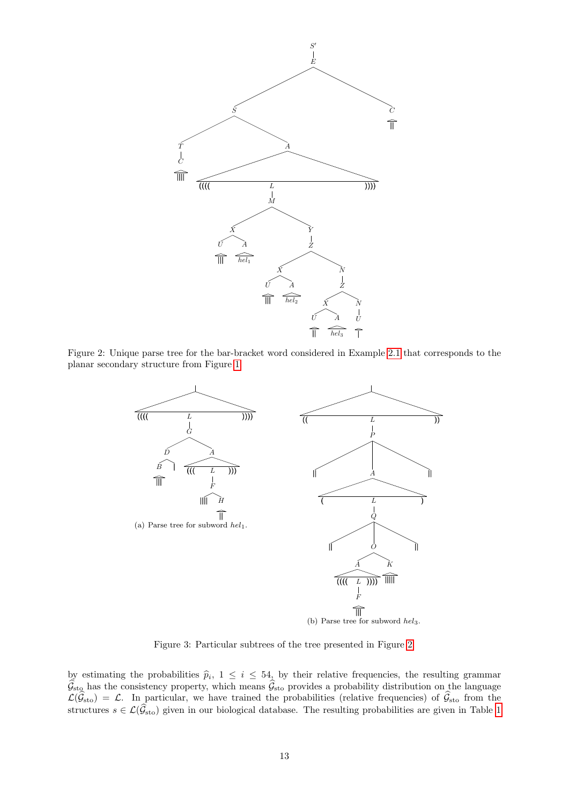

Figure 2: Unique parse tree for the bar-bracket word considered in Example [2.1](#page-6-0) that corresponds to the planar secondary structure from Figure [1.](#page-1-0)

<span id="page-12-0"></span>

<span id="page-12-1"></span>Figure 3: Particular subtrees of the tree presented in Figure [2.](#page-12-0)

by estimating the probabilities  $\hat{p}_i$ ,  $1 \leq i \leq 54$ , by their relative frequencies, the resulting grammar  $\hat{C}$  has the consistency property which means  $\hat{C}$  provides a probability distribution on the language  $\mathcal{G}_{\text{sto}}$  has the consistency property, which means  $\mathcal{G}_{\text{sto}}$  provides a probability distribution on the language  $\mathcal{L}(\mathcal{G}_{\text{sto}}) = \mathcal{L}$ . In particular, we have trained the probabilities (relative frequencies) of  $\mathcal{G}_{\text{sto}}$  from the structures  $s \in \mathcal{L}(\mathcal{G}_{\text{sto}})$  given in our biological database. The resulting probabilities are given in Table [1](#page-10-2)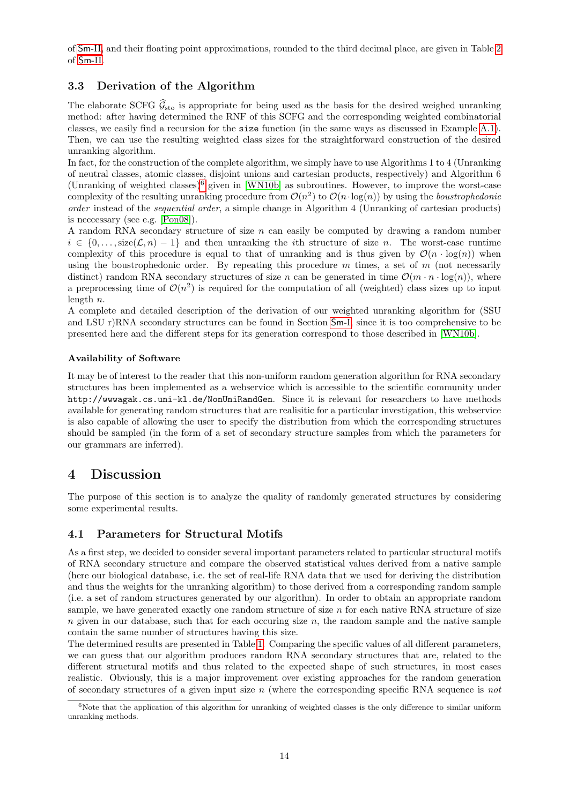of [Sm](#page-36-0)-II, and their floating point approximations, rounded to the third decimal place, are given in Table [2](#page-18-0) of [Sm](#page-36-0)-II.

## 3.3 Derivation of the Algorithm

The elaborate SCFG  $\hat{\mathcal{G}}_{\text{sto}}$  is appropriate for being used as the basis for the desired weighed unranking method: after having determined the RNF of this SCFG and the corresponding weighted combinatorial classes, we easily find a recursion for the size function (in the same ways as discussed in Example [A.1\)](#page-21-8). Then, we can use the resulting weighted class sizes for the straightforward construction of the desired unranking algorithm.

In fact, for the construction of the complete algorithm, we simply have to use Algorithms 1 to 4 (Unranking of neutral classes, atomic classes, disjoint unions and cartesian products, respectively) and Algorithm 6 (Unranking of weighted classes)<sup>[6](#page-13-0)</sup> given in [\[WN10b\]](#page-21-2) as subroutines. However, to improve the worst-case complexity of the resulting unranking procedure from  $\mathcal{O}(n^2)$  to  $\mathcal{O}(n \cdot \log(n))$  by using the boustrophedonic order instead of the sequential order, a simple change in Algorithm 4 (Unranking of cartesian products) is neccessary (see e.g. [\[Pon08\]](#page-20-1)).

A random RNA secondary structure of size n can easily be computed by drawing a random number  $i \in \{0, \ldots, \text{size}(\mathcal{L}, n) - 1\}$  and then unranking the *i*th structure of size *n*. The worst-case runtime complexity of this procedure is equal to that of unranking and is thus given by  $\mathcal{O}(n \cdot \log(n))$  when using the boustrophedonic order. By repeating this procedure  $m$  times, a set of  $m$  (not necessarily distinct) random RNA secondary structures of size n can be generated in time  $\mathcal{O}(m \cdot n \cdot \log(n))$ , where a preprocessing time of  $\mathcal{O}(n^2)$  is required for the computation of all (weighted) class sizes up to input length  $n$ .

A complete and detailed description of the derivation of our weighted unranking algorithm for (SSU and LSU r)RNA secondary structures can be found in Section [Sm](#page-21-6)-I, since it is too comprehensive to be presented here and the different steps for its generation correspond to those described in [\[WN10b\]](#page-21-2).

#### Availability of Software

It may be of interest to the reader that this non-uniform random generation algorithm for RNA secondary structures has been implemented as a webservice which is accessible to the scientific community under http://wwwagak.cs.uni-kl.de/NonUniRandGen. Since it is relevant for researchers to have methods available for generating random structures that are realisitic for a particular investigation, this webservice is also capable of allowing the user to specify the distribution from which the corresponding structures should be sampled (in the form of a set of secondary structure samples from which the parameters for our grammars are inferred).

# 4 Discussion

The purpose of this section is to analyze the quality of randomly generated structures by considering some experimental results.

### 4.1 Parameters for Structural Motifs

As a first step, we decided to consider several important parameters related to particular structural motifs of RNA secondary structure and compare the observed statistical values derived from a native sample (here our biological database, i.e. the set of real-life RNA data that we used for deriving the distribution and thus the weights for the unranking algorithm) to those derived from a corresponding random sample (i.e. a set of random structures generated by our algorithm). In order to obtain an appropriate random sample, we have generated exactly one random structure of size  $n$  for each native RNA structure of size  $n$  given in our database, such that for each occuring size  $n$ , the random sample and the native sample contain the same number of structures having this size.

The determined results are presented in Table [1.](#page-10-2) Comparing the specific values of all different parameters, we can guess that our algorithm produces random RNA secondary structures that are, related to the different structural motifs and thus related to the expected shape of such structures, in most cases realistic. Obviously, this is a major improvement over existing approaches for the random generation of secondary structures of a given input size  $n$  (where the corresponding specific RNA sequence is *not* 

<span id="page-13-0"></span> $6$ Note that the application of this algorithm for unranking of weighted classes is the only difference to similar uniform unranking methods.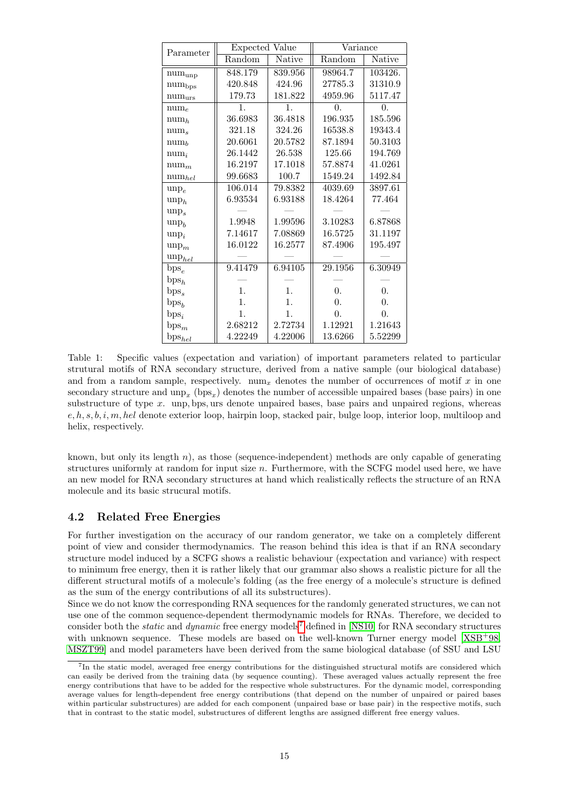| Parameter            | Expected Value |         | Variance   |               |
|----------------------|----------------|---------|------------|---------------|
|                      | Random         | Native  | Random     | <b>Native</b> |
| $num_{unp}$          | 848.179        | 839.956 | 98964.7    | 103426.       |
| $num_{bps}$          | 420.848        | 424.96  | 27785.3    | 31310.9       |
| $num_{urs}$          | 179.73         | 181.822 | 4959.96    | 5117.47       |
| $num_e$              | 1.             | 1.      | $\theta$ . | $\theta$ .    |
| $\text{num}_h$       | 36.6983        | 36.4818 | 196.935    | 185.596       |
| num <sub>s</sub>     | 321.18         | 324.26  | 16538.8    | 19343.4       |
| num <sub>b</sub>     | 20.6061        | 20.5782 | 87.1894    | 50.3103       |
| $num_i$              | 26.1442        | 26.538  | 125.66     | 194.769       |
| $num_m$              | 16.2197        | 17.1018 | 57.8874    | 41.0261       |
| $num_{hel}$          | 99.6683        | 100.7   | 1549.24    | 1492.84       |
| $\text{unp}_e$       | 106.014        | 79.8382 | 4039.69    | 3897.61       |
| $\text{unp}_h$       | 6.93534        | 6.93188 | 18.4264    | 77.464        |
| $\text{unp}_s$       |                |         |            |               |
| $\text{ump}_h$       | 1.9948         | 1.99596 | 3.10283    | 6.87868       |
| $\text{ump}_i$       | 7.14617        | 7.08869 | 16.5725    | 31.1197       |
| $\text{unp}_m$       | 16.0122        | 16.2577 | 87.4906    | 195.497       |
| $\mathrm{unp}_{hel}$ |                |         |            |               |
| $_{\text{bps}_e}$    | 9.41479        | 6.94105 | 29.1956    | 6.30949       |
| bps <sub>h</sub>     |                |         |            |               |
| $\mathrm{bps}_s$     | 1.             | 1.      | $\theta$ . | $\theta$ .    |
| $bps_b$              | 1.             | 1.      | 0.         | $\theta$ .    |
| $bps_i$              | 1.             | 1.      | 0.         | 0.            |
| $bps_m$              | 2.68212        | 2.72734 | 1.12921    | 1.21643       |
| $bps_{hel}$          | 4.22249        | 4.22006 | 13.6266    | 5.52299       |

Table 1: Specific values (expectation and variation) of important parameters related to particular strutural motifs of RNA secondary structure, derived from a native sample (our biological database) and from a random sample, respectively.  $\text{num}_x$  denotes the number of occurrences of motif x in one secondary structure and  $\text{unp}_x$  ( $\text{bps}_x$ ) denotes the number of accessible unpaired bases (base pairs) in one substructure of type x. unp, bps, urs denote unpaired bases, base pairs and unpaired regions, whereas  $e, h, s, b, i, m, hel$  denote exterior loop, hairpin loop, stacked pair, bulge loop, interior loop, multiloop and helix, respectively.

known, but only its length  $n$ ), as those (sequence-independent) methods are only capable of generating structures uniformly at random for input size  $n$ . Furthermore, with the SCFG model used here, we have an new model for RNA secondary structures at hand which realistically reflects the structure of an RNA molecule and its basic strucural motifs.

### 4.2 Related Free Energies

For further investigation on the accuracy of our random generator, we take on a completely different point of view and consider thermodynamics. The reason behind this idea is that if an RNA secondary structure model induced by a SCFG shows a realistic behaviour (expectation and variance) with respect to minimum free energy, then it is rather likely that our grammar also shows a realistic picture for all the different structural motifs of a molecule's folding (as the free energy of a molecule's structure is defined as the sum of the energy contributions of all its substructures).

Since we do not know the corresponding RNA sequences for the randomly generated structures, we can not use one of the common sequence-dependent thermodynamic models for RNAs. Therefore, we decided to consider both the *static* and *dynamic* free energy models<sup>[7](#page-14-0)</sup> defined in [\[NS10\]](#page-20-5) for RNA secondary structures with unknown sequence. These models are based on the well-known Turner energy model  $[XSB<sup>+</sup>98$  $[XSB<sup>+</sup>98$ , [MSZT99\]](#page-20-6) and model parameters have been derived from the same biological database (of SSU and LSU

<span id="page-14-0"></span><sup>&</sup>lt;sup>7</sup>In the static model, averaged free energy contributions for the distinguished structural motifs are considered which can easily be derived from the training data (by sequence counting). These averaged values actually represent the free energy contributions that have to be added for the respective whole substructures. For the dynamic model, corresponding average values for length-dependent free energy contributions (that depend on the number of unpaired or paired bases within particular substructures) are added for each component (unpaired base or base pair) in the respective motifs, such that in contrast to the static model, substructures of different lengths are assigned different free energy values.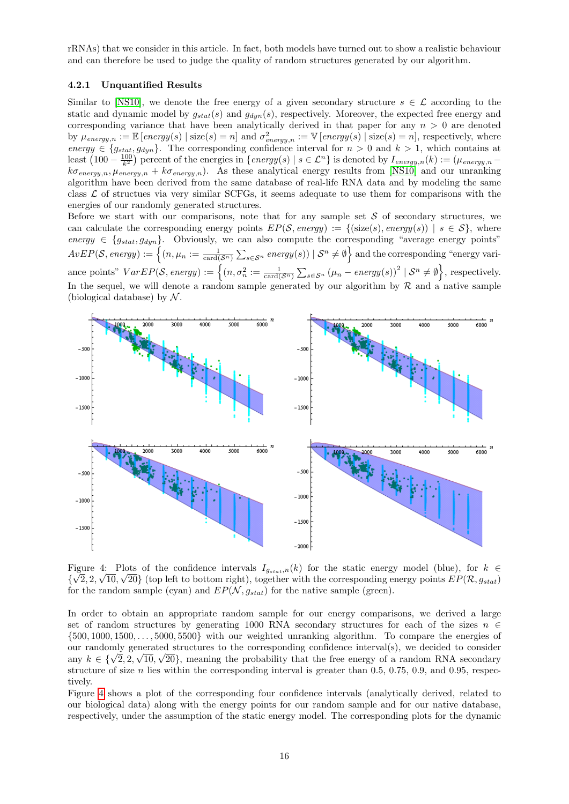rRNAs) that we consider in this article. In fact, both models have turned out to show a realistic behaviour and can therefore be used to judge the quality of random structures generated by our algorithm.

#### 4.2.1 Unquantified Results

Similar to [\[NS10\]](#page-20-5), we denote the free energy of a given secondary structure  $s \in \mathcal{L}$  according to the static and dynamic model by  $g_{stat}(s)$  and  $g_{dyn}(s)$ , respectively. Moreover, the expected free energy and corresponding variance that have been analytically derived in that paper for any  $n > 0$  are denoted by  $\mu_{energy,n} := \mathbb{E}\left[energy(s) | size(s) = n\right]$  and  $\sigma_{energy,n}^2 := \mathbb{V}\left[energy(s) | size(s) = n\right]$ , respectively, where energy  $\in \{g_{stat}, g_{dyn}\}.$  The corresponding confidence interval for  $n > 0$  and  $k > 1$ , which contains at least  $(100 - \frac{100}{k^2})$  percent of the energies in  $\{energy(s) | s \in \mathcal{L}^n\}$  is denoted by  $I_{energy,n}(k) := (\mu_{energy,n} - \mu_k)$  $k\sigma_{energy,n}, \mu_{energy,n} + k\sigma_{energy,n}$ ). As these analytical energy results from [\[NS10\]](#page-20-5) and our unranking algorithm have been derived from the same database of real-life RNA data and by modeling the same class  $\mathcal L$  of structues via very similar SCFGs, it seems adequate to use them for comparisons with the energies of our randomly generated structures.

Before we start with our comparisons, note that for any sample set  $S$  of secondary structures, we can calculate the corresponding energy points  $EP(S, energy) := \{(\text{size}(s), energy(s)) \mid s \in S\},\$ energy  $\in \{g_{stat}, g_{dyn}\}.$  Obviously, we can also compute the corresponding "average energy points"  $AvEP(\mathcal{S},\textit{energy}) := \left\{ (n,\mu_n := \frac{1}{\text{card}(\mathcal{S}^n)} \sum_{s \in \mathcal{S}^n} \textit{energy}(s)) \mid \mathcal{S}^n \neq \emptyset \right\}$  and the corresponding "energy variance points"  $VarEP(S, energy) := \left\{ (n, \sigma_n^2 := \frac{1}{card(S^n)} \sum_{s \in S^n} (\mu_n - energy(s))^2 \mid S^n \neq \emptyset \right\}$ , respectively. In the sequel, we will denote a random sample generated by our algorithm by  $R$  and a native sample (biological database) by  $\mathcal N$ .



<span id="page-15-0"></span>Figure 4: Plots of the confidence intervals  $I_{g_{stat,n}}(k)$  for the static energy model (blue), for  $k \in \mathbb{Z}$  $\{\sqrt{2}, 2, \sqrt{10}, \sqrt{20}\}$  (top left to bottom right), together with the corresponding energy points  $EP(\mathcal{R}, g_{stat})$ for the random sample (cyan) and  $EP(\mathcal{N}, q_{stat})$  for the native sample (green).

In order to obtain an appropriate random sample for our energy comparisons, we derived a large set of random structures by generating 1000 RNA secondary structures for each of the sizes  $n \in$  $\{500, 1000, 1500, \ldots, 5000, 5500\}$  with our weighted unranking algorithm. To compare the energies of our randomly generated structures to the corresponding confidence interval(s), we decided to consider our randomly generated structures to the corresponding connuence intervalles), we decided to consider any  $k \in \{\sqrt{2}, 2, \sqrt{10}, \sqrt{20}\}$ , meaning the probability that the free energy of a random RNA secondary structure of size n lies within the corresponding interval is greater than  $0.5, 0.75, 0.9,$  and  $0.95$ , respectively.

Figure [4](#page-15-0) shows a plot of the corresponding four confidence intervals (analytically derived, related to our biological data) along with the energy points for our random sample and for our native database, respectively, under the assumption of the static energy model. The corresponding plots for the dynamic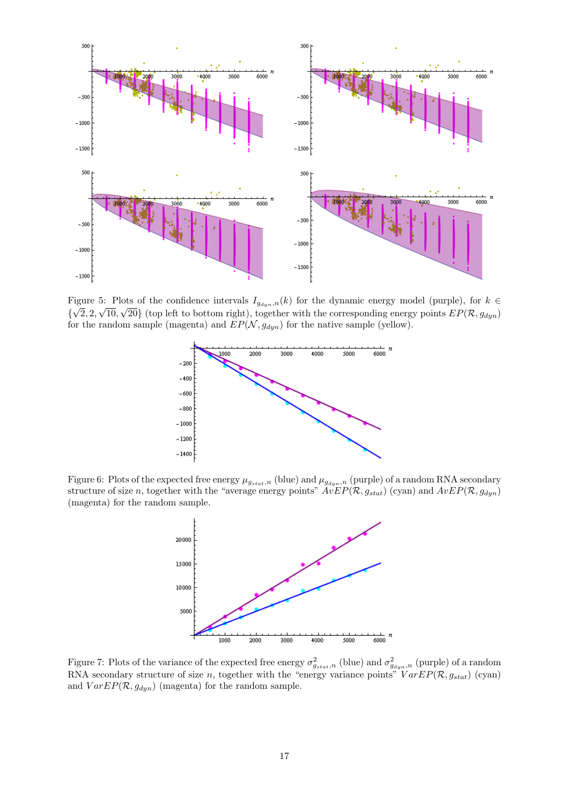

<span id="page-16-0"></span>Figure 5: Plots of the confidence intervals  $I_{g_{dyn},n}(k)$  for the dynamic energy model (purple), for  $k \in \mathbb{Z}$  $\{\sqrt{2}, 2, \sqrt{10}, \sqrt{20}\}$  (top left to bottom right), together with the corresponding energy points  $EP(\mathcal{R}, g_{dyn})$ for the random sample (magenta) and  $EP(\mathcal{N}, g_{dyn})$  for the native sample (yellow).



<span id="page-16-1"></span>Figure 6: Plots of the expected free energy  $\mu_{g_{stat},n}$  (blue) and  $\mu_{g_{dyn},n}$  (purple) of a random RNA secondary structure of size n, together with the "average energy points"  $AvEP(\mathcal{R}, g_{stat})$  (cyan) and  $AvEP(\mathcal{R}, g_{dyn})$ (magenta) for the random sample.



<span id="page-16-2"></span>Figure 7: Plots of the variance of the expected free energy  $\sigma_{g_{stat},n}^2$  (blue) and  $\sigma_{g_{dyn},n}^2$  (purple) of a random RNA secondary structure of size n, together with the "energy variance points"  $VarEP(\mathcal{R}, g_{stat})$  (cyan) and  $VarEP(\mathcal{R}, g_{dyn})$  (magenta) for the random sample.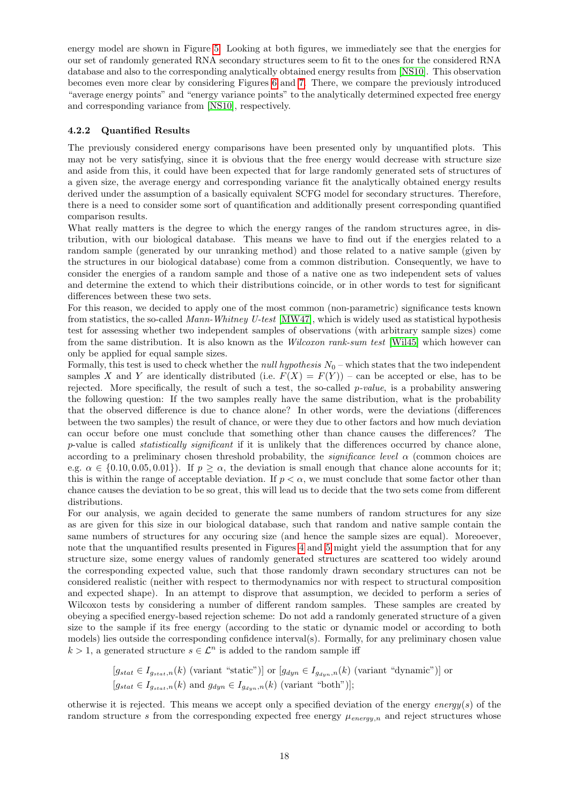energy model are shown in Figure [5.](#page-16-0) Looking at both figures, we immediately see that the energies for our set of randomly generated RNA secondary structures seem to fit to the ones for the considered RNA database and also to the corresponding analytically obtained energy results from [\[NS10\]](#page-20-5). This observation becomes even more clear by considering Figures [6](#page-16-1) and [7.](#page-16-2) There, we compare the previously introduced "average energy points" and "energy variance points" to the analytically determined expected free energy and corresponding variance from [\[NS10\]](#page-20-5), respectively.

#### 4.2.2 Quantified Results

The previously considered energy comparisons have been presented only by unquantified plots. This may not be very satisfying, since it is obvious that the free energy would decrease with structure size and aside from this, it could have been expected that for large randomly generated sets of structures of a given size, the average energy and corresponding variance fit the analytically obtained energy results derived under the assumption of a basically equivalent SCFG model for secondary structures. Therefore, there is a need to consider some sort of quantification and additionally present corresponding quantified comparison results.

What really matters is the degree to which the energy ranges of the random structures agree, in distribution, with our biological database. This means we have to find out if the energies related to a random sample (generated by our unranking method) and those related to a native sample (given by the structures in our biological database) come from a common distribution. Consequently, we have to consider the energies of a random sample and those of a native one as two independent sets of values and determine the extend to which their distributions coincide, or in other words to test for significant differences between these two sets.

For this reason, we decided to apply one of the most common (non-parametric) significance tests known from statistics, the so-called *Mann-Whitney U-test* [\[MW47\]](#page-20-20), which is widely used as statistical hypothesis test for assessing whether two independent samples of observations (with arbitrary sample sizes) come from the same distribution. It is also known as the Wilcoxon rank-sum test [\[Wil45\]](#page-21-9) which however can only be applied for equal sample sizes.

Formally, this test is used to check whether the *null hypothesis*  $N_0$  – which states that the two independent samples X and Y are identically distributed (i.e.  $F(X) = F(Y)$ ) – can be accepted or else, has to be rejected. More specifically, the result of such a test, the so-called  $p-value$ , is a probability answering the following question: If the two samples really have the same distribution, what is the probability that the observed difference is due to chance alone? In other words, were the deviations (differences between the two samples) the result of chance, or were they due to other factors and how much deviation can occur before one must conclude that something other than chance causes the differences? The p-value is called statistically significant if it is unlikely that the differences occurred by chance alone, according to a preliminary chosen threshold probability, the *significance level*  $\alpha$  (common choices are e.g.  $\alpha \in \{0.10, 0.05, 0.01\}$ . If  $p \geq \alpha$ , the deviation is small enough that chance alone accounts for it; this is within the range of acceptable deviation. If  $p < \alpha$ , we must conclude that some factor other than chance causes the deviation to be so great, this will lead us to decide that the two sets come from different distributions.

For our analysis, we again decided to generate the same numbers of random structures for any size as are given for this size in our biological database, such that random and native sample contain the same numbers of structures for any occuring size (and hence the sample sizes are equal). Moreoever, note that the unquantified results presented in Figures [4](#page-15-0) and [5](#page-16-0) might yield the assumption that for any structure size, some energy values of randomly generated structures are scattered too widely around the corresponding expected value, such that those randomly drawn secondary structures can not be considered realistic (neither with respect to thermodynamics nor with respect to structural composition and expected shape). In an attempt to disprove that assumption, we decided to perform a series of Wilcoxon tests by considering a number of different random samples. These samples are created by obeying a specified energy-based rejection scheme: Do not add a randomly generated structure of a given size to the sample if its free energy (according to the static or dynamic model or according to both models) lies outside the corresponding confidence interval(s). Formally, for any preliminary chosen value  $k > 1$ , a generated structure  $s \in \mathcal{L}^n$  is added to the random sample iff

$$
[g_{stat} \in I_{g_{stat},n}(k) \text{ (variant "static")}] \text{ or } [g_{dyn} \in I_{g_{dyn},n}(k) \text{ (variant "dynamic")}] \text{ or}
$$

$$
[g_{stat} \in I_{g_{stat},n}(k) \text{ and } g_{dyn} \in I_{g_{dyn},n}(k) \text{ (variant "both")}];
$$

otherwise it is rejected. This means we accept only a specified deviation of the energy energy(s) of the random structure s from the corresponding expected free energy  $\mu_{energy,n}$  and reject structures whose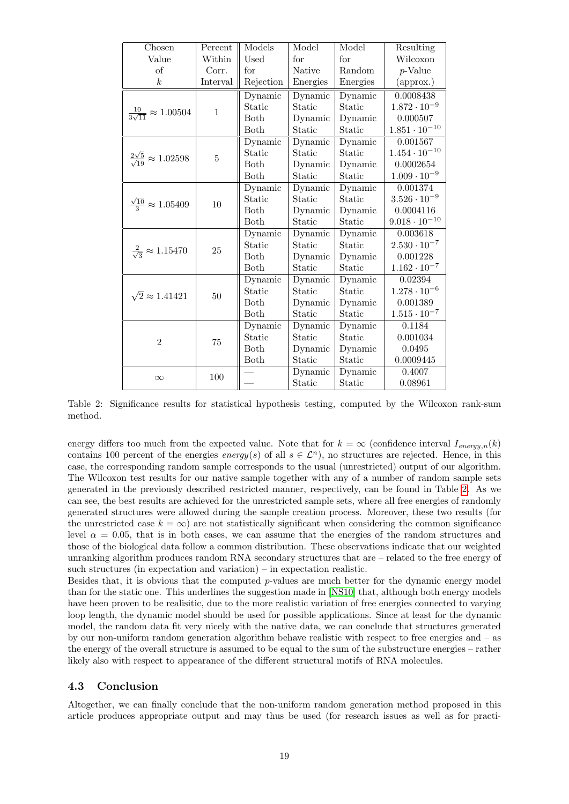| Chosen                                        | Percent        | Models      | Model    | Model    | Resulting                       |
|-----------------------------------------------|----------------|-------------|----------|----------|---------------------------------|
| Value                                         | Within         | Used        | for      | for      | Wilcoxon                        |
| of                                            | Corr.          | for         | Native   | Random   | $p$ -Value                      |
| $\boldsymbol{k}$                              | Interval       | Rejection   | Energies | Energies | $\left( \text{approx.} \right)$ |
|                                               |                | Dynamic     | Dynamic  | Dynamic  | 0.0008438                       |
| $\frac{10}{3\sqrt{11}} \approx 1.00504$       | $\mathbf{1}$   | Static      | Static   | Static   | $1.872 \cdot 10^{-9}$           |
|                                               |                | <b>Both</b> | Dynamic  | Dynamic  | 0.000507                        |
|                                               |                | <b>Both</b> | Static   | Static   | $1.851 \cdot 10^{-10}$          |
|                                               |                | Dynamic     | Dynamic  | Dynamic  | 0.001567                        |
| $\frac{2\sqrt{5}}{\sqrt{19}} \approx 1.02598$ | $\overline{5}$ | Static      | Static   | Static   | $1.454 \cdot 10^{-10}$          |
|                                               |                | <b>Both</b> | Dynamic  | Dynamic  | 0.0002654                       |
|                                               |                | <b>Both</b> | Static   | Static   | $1.009 \cdot 10^{-9}$           |
|                                               | 10             | Dynamic     | Dynamic  | Dynamic  | 0.001374                        |
| $\frac{\sqrt{10}}{3} \approx 1.05409$         |                | Static      | Static   | Static   | $3.526 \cdot 10^{-9}$           |
|                                               |                | Both        | Dynamic  | Dynamic  | 0.0004116                       |
|                                               |                | <b>Both</b> | Static   | Static   | $9.018 \cdot 10^{-10}$          |
|                                               | 25             | Dynamic     | Dynamic  | Dynamic  | 0.003618                        |
|                                               |                | Static      | Static   | Static   | $2.530 \cdot 10^{-7}$           |
| $\frac{2}{\sqrt{3}} \approx 1.15470$          |                | <b>Both</b> | Dynamic  | Dynamic  | 0.001228                        |
|                                               |                | <b>Both</b> | Static   | Static   | $1.162 \cdot 10^{-7}$           |
|                                               | 50             | Dynamic     | Dynamic  | Dynamic  | 0.02394                         |
| $\sqrt{2} \approx 1.41421$                    |                | Static      | Static   | Static   | $1.278 \cdot 10^{-6}$           |
|                                               |                | <b>Both</b> | Dynamic  | Dynamic  | 0.001389                        |
|                                               |                | <b>Both</b> | Static   | Static   | $1.515 \cdot 10^{-7}$           |
| $\overline{2}$                                |                | Dynamic     | Dynamic  | Dynamic  | 0.1184                          |
|                                               | 75             | Static      | Static   | Static   | 0.001034                        |
|                                               |                | <b>Both</b> | Dynamic  | Dynamic  | 0.0495                          |
|                                               |                | <b>Both</b> | Static   | Static   | 0.0009445                       |
|                                               | 100            |             | Dynamic  | Dynamic  | 0.4007                          |
| $\infty$                                      |                |             | Static   | Static   | 0.08961                         |

<span id="page-18-0"></span>Table 2: Significance results for statistical hypothesis testing, computed by the Wilcoxon rank-sum method.

energy differs too much from the expected value. Note that for  $k = \infty$  (confidence interval  $I_{\text{energy},n}(k)$ ) contains 100 percent of the energies energy(s) of all  $s \in \mathcal{L}^n$ ), no structures are rejected. Hence, in this case, the corresponding random sample corresponds to the usual (unrestricted) output of our algorithm. The Wilcoxon test results for our native sample together with any of a number of random sample sets generated in the previously described restricted manner, respectively, can be found in Table [2.](#page-18-0) As we can see, the best results are achieved for the unrestricted sample sets, where all free energies of randomly generated structures were allowed during the sample creation process. Moreover, these two results (for the unrestricted case  $k = \infty$ ) are not statistically significant when considering the common significance level  $\alpha = 0.05$ , that is in both cases, we can assume that the energies of the random structures and those of the biological data follow a common distribution. These observations indicate that our weighted unranking algorithm produces random RNA secondary structures that are – related to the free energy of such structures (in expectation and variation) – in expectation realistic.

Besides that, it is obvious that the computed  $p$ -values are much better for the dynamic energy model than for the static one. This underlines the suggestion made in [\[NS10\]](#page-20-5) that, although both energy models have been proven to be realisitic, due to the more realistic variation of free energies connected to varying loop length, the dynamic model should be used for possible applications. Since at least for the dynamic model, the random data fit very nicely with the native data, we can conclude that structures generated by our non-uniform random generation algorithm behave realistic with respect to free energies and – as the energy of the overall structure is assumed to be equal to the sum of the substructure energies – rather likely also with respect to appearance of the different structural motifs of RNA molecules.

### 4.3 Conclusion

Altogether, we can finally conclude that the non-uniform random generation method proposed in this article produces appropriate output and may thus be used (for research issues as well as for practi-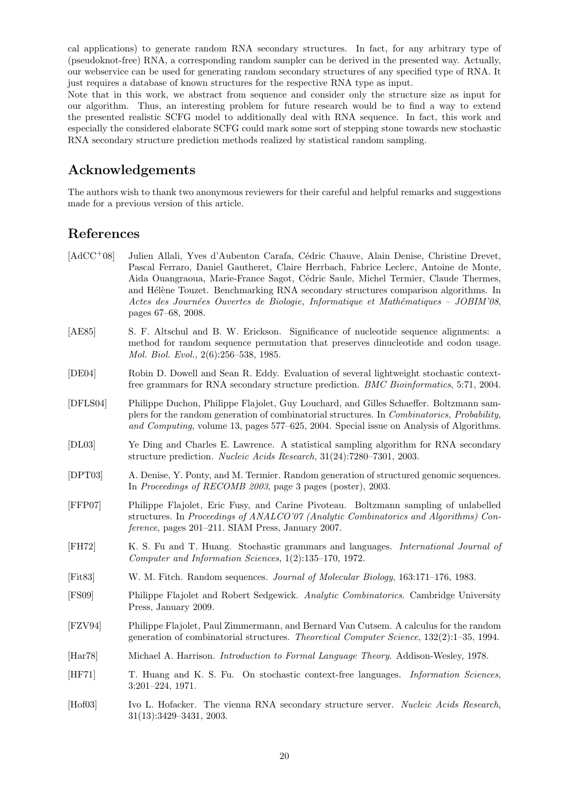cal applications) to generate random RNA secondary structures. In fact, for any arbitrary type of (pseudoknot-free) RNA, a corresponding random sampler can be derived in the presented way. Actually, our webservice can be used for generating random secondary structures of any specified type of RNA. It just requires a database of known structures for the respective RNA type as input.

Note that in this work, we abstract from sequence and consider only the structure size as input for our algorithm. Thus, an interesting problem for future research would be to find a way to extend the presented realistic SCFG model to additionally deal with RNA sequence. In fact, this work and especially the considered elaborate SCFG could mark some sort of stepping stone towards new stochastic RNA secondary structure prediction methods realized by statistical random sampling.

# Acknowledgements

The authors wish to thank two anonymous reviewers for their careful and helpful remarks and suggestions made for a previous version of this article.

# References

<span id="page-19-13"></span><span id="page-19-12"></span><span id="page-19-11"></span><span id="page-19-10"></span><span id="page-19-9"></span><span id="page-19-8"></span><span id="page-19-7"></span><span id="page-19-6"></span><span id="page-19-5"></span><span id="page-19-4"></span><span id="page-19-3"></span><span id="page-19-2"></span><span id="page-19-1"></span><span id="page-19-0"></span>

| $[AdCC+08]$     | Julien Allali, Yves d'Aubenton Carafa, Cédric Chauve, Alain Denise, Christine Drevet,<br>Pascal Ferraro, Daniel Gautheret, Claire Herrbach, Fabrice Leclerc, Antoine de Monte,<br>Aida Ouangraoua, Marie-France Sagot, Cédric Saule, Michel Termier, Claude Thermes,<br>and Hélène Touzet. Benchmarking RNA secondary structures comparison algorithms. In<br>Actes des Journées Ouvertes de Biologie, Informatique et Mathématiques - JOBIM'08,<br>pages 67–68, 2008. |
|-----------------|------------------------------------------------------------------------------------------------------------------------------------------------------------------------------------------------------------------------------------------------------------------------------------------------------------------------------------------------------------------------------------------------------------------------------------------------------------------------|
| [AE85]          | S. F. Altschul and B. W. Erickson. Significance of nucleotide sequence alignments: a<br>method for random sequence permutation that preserves dinucleotide and codon usage.<br>Mol. Biol. Evol., 2(6):256–538, 1985.                                                                                                                                                                                                                                                   |
| [DE04]          | Robin D. Dowell and Sean R. Eddy. Evaluation of several lightweight stochastic context-<br>free grammars for RNA secondary structure prediction. <i>BMC Bioinformatics</i> , 5:71, 2004.                                                                                                                                                                                                                                                                               |
| [DFLS04]        | Philippe Duchon, Philippe Flajolet, Guy Louchard, and Gilles Schaeffer. Boltzmann sam-<br>plers for the random generation of combinatorial structures. In <i>Combinatorics</i> , <i>Probability</i> ,<br>and Computing, volume 13, pages 577–625, 2004. Special issue on Analysis of Algorithms.                                                                                                                                                                       |
| [DL03]          | Ye Ding and Charles E. Lawrence. A statistical sampling algorithm for RNA secondary<br>structure prediction. Nucleic Acids Research, 31(24):7280-7301, 2003.                                                                                                                                                                                                                                                                                                           |
| [DPT03]         | A. Denise, Y. Ponty, and M. Termier. Random generation of structured genomic sequences.<br>In Proceedings of RECOMB 2003, page 3 pages (poster), 2003.                                                                                                                                                                                                                                                                                                                 |
| [FFP07]         | Philippe Flajolet, Eric Fusy, and Carine Pivoteau. Boltzmann sampling of unlabelled<br>structures. In Proceedings of ANALCO'07 (Analytic Combinatorics and Algorithms) Con-<br>ference, pages 201-211. SIAM Press, January 2007.                                                                                                                                                                                                                                       |
| [FH72]          | K. S. Fu and T. Huang. Stochastic grammars and languages. <i>International Journal of</i><br>Computer and Information Sciences, 1(2):135-170, 1972.                                                                                                                                                                                                                                                                                                                    |
| [Fit83]         | W. M. Fitch. Random sequences. <i>Journal of Molecular Biology</i> , 163:171–176, 1983.                                                                                                                                                                                                                                                                                                                                                                                |
| [FS09]          | Philippe Flajolet and Robert Sedgewick. Analytic Combinatorics. Cambridge University<br>Press, January 2009.                                                                                                                                                                                                                                                                                                                                                           |
| $[{\rm FZV94}]$ | Philippe Flajolet, Paul Zimmermann, and Bernard Van Cutsem. A calculus for the random<br>generation of combinatorial structures. <i>Theoretical Computer Science</i> , 132(2):1–35, 1994.                                                                                                                                                                                                                                                                              |
| [Har78]         | Michael A. Harrison. Introduction to Formal Language Theory. Addison-Wesley, 1978.                                                                                                                                                                                                                                                                                                                                                                                     |
| [HF71]          | T. Huang and K. S. Fu. On stochastic context-free languages. Information Sciences,<br>$3:201-224, 1971.$                                                                                                                                                                                                                                                                                                                                                               |
| [Hof03]         | Ivo L. Hofacker. The vienna RNA secondary structure server. Nucleic Acids Research,<br>$31(13):3429-3431, 2003.$                                                                                                                                                                                                                                                                                                                                                       |
|                 |                                                                                                                                                                                                                                                                                                                                                                                                                                                                        |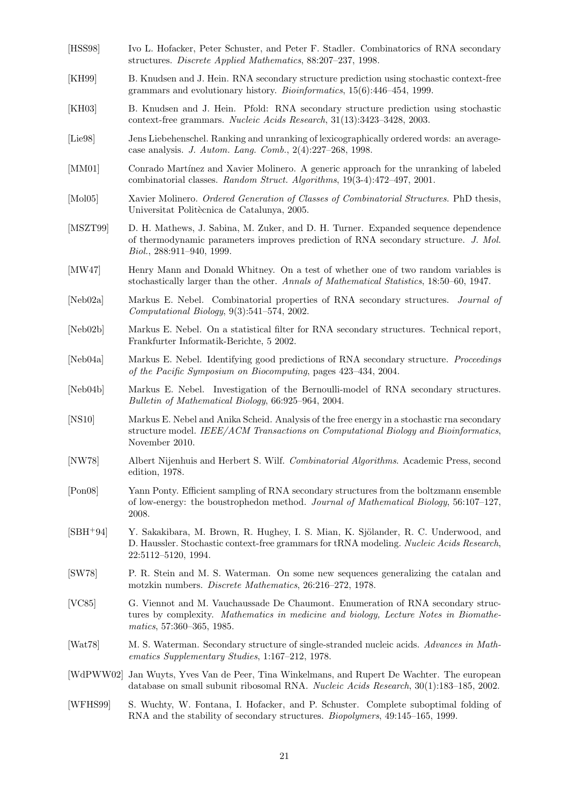- <span id="page-20-11"></span>[HSS98] Ivo L. Hofacker, Peter Schuster, and Peter F. Stadler. Combinatorics of RNA secondary structures. Discrete Applied Mathematics, 88:207–237, 1998.
- <span id="page-20-3"></span>[KH99] B. Knudsen and J. Hein. RNA secondary structure prediction using stochastic context-free grammars and evolutionary history. Bioinformatics, 15(6):446–454, 1999.
- <span id="page-20-4"></span>[KH03] B. Knudsen and J. Hein. Pfold: RNA secondary structure prediction using stochastic context-free grammars. Nucleic Acids Research, 31(13):3423–3428, 2003.
- <span id="page-20-17"></span>[Lie98] Jens Liebehenschel. Ranking and unranking of lexicographically ordered words: an averagecase analysis. J. Autom. Lang. Comb., 2(4):227–268, 1998.
- <span id="page-20-18"></span>[MM01] Conrado Martínez and Xavier Molinero. A generic approach for the unranking of labeled combinatorial classes. Random Struct. Algorithms, 19(3-4):472–497, 2001.
- <span id="page-20-15"></span>[Mol05] Xavier Molinero. Ordered Generation of Classes of Combinatorial Structures. PhD thesis, Universitat Politècnica de Catalunya, 2005.
- <span id="page-20-6"></span>[MSZT99] D. H. Mathews, J. Sabina, M. Zuker, and D. H. Turner. Expanded sequence dependence of thermodynamic parameters improves prediction of RNA secondary structure. J. Mol. Biol., 288:911–940, 1999.
- <span id="page-20-20"></span>[MW47] Henry Mann and Donald Whitney. On a test of whether one of two random variables is stochastically larger than the other. Annals of Mathematical Statistics, 18:50–60, 1947.
- <span id="page-20-10"></span>[Neb02a] Markus E. Nebel. Combinatorial properties of RNA secondary structures. Journal of Computational Biology, 9(3):541–574, 2002.
- <span id="page-20-13"></span>[Neb02b] Markus E. Nebel. On a statistical filter for RNA secondary structures. Technical report, Frankfurter Informatik-Berichte, 5 2002.
- <span id="page-20-14"></span>[Neb04a] Markus E. Nebel. Identifying good predictions of RNA secondary structure. Proceedings of the Pacific Symposium on Biocomputing, pages 423–434, 2004.
- <span id="page-20-12"></span>[Neb04b] Markus E. Nebel. Investigation of the Bernoulli-model of RNA secondary structures. Bulletin of Mathematical Biology, 66:925–964, 2004.
- <span id="page-20-5"></span>[NS10] Markus E. Nebel and Anika Scheid. Analysis of the free energy in a stochastic rna secondary structure model. IEEE/ACM Transactions on Computational Biology and Bioinformatics, November 2010.
- <span id="page-20-7"></span>[NW78] Albert Nijenhuis and Herbert S. Wilf. Combinatorial Algorithms. Academic Press, second edition, 1978.
- <span id="page-20-1"></span>[Pon08] Yann Ponty. Efficient sampling of RNA secondary structures from the boltzmann ensemble of low-energy: the boustrophedon method. Journal of Mathematical Biology, 56:107–127, 2008.
- <span id="page-20-16"></span>[SBH+94] Y. Sakakibara, M. Brown, R. Hughey, I. S. Mian, K. Sjölander, R. C. Underwood, and D. Haussler. Stochastic context-free grammars for tRNA modeling. Nucleic Acids Research, 22:5112–5120, 1994.
- <span id="page-20-8"></span>[SW78] P. R. Stein and M. S. Waterman. On some new sequences generalizing the catalan and motzkin numbers. Discrete Mathematics, 26:216–272, 1978.
- <span id="page-20-9"></span>[VC85] G. Viennot and M. Vauchaussade De Chaumont. Enumeration of RNA secondary structures by complexity. Mathematics in medicine and biology, Lecture Notes in Biomathematics, 57:360–365, 1985.
- <span id="page-20-0"></span>[Wat78] M. S. Waterman. Secondary structure of single-stranded nucleic acids. Advances in Mathematics Supplementary Studies, 1:167–212, 1978.
- <span id="page-20-19"></span>[WdPWW02] Jan Wuyts, Yves Van de Peer, Tina Winkelmans, and Rupert De Wachter. The european database on small subunit ribosomal RNA. Nucleic Acids Research, 30(1):183–185, 2002.
- <span id="page-20-2"></span>[WFHS99] S. Wuchty, W. Fontana, I. Hofacker, and P. Schuster. Complete suboptimal folding of RNA and the stability of secondary structures. Biopolymers, 49:145–165, 1999.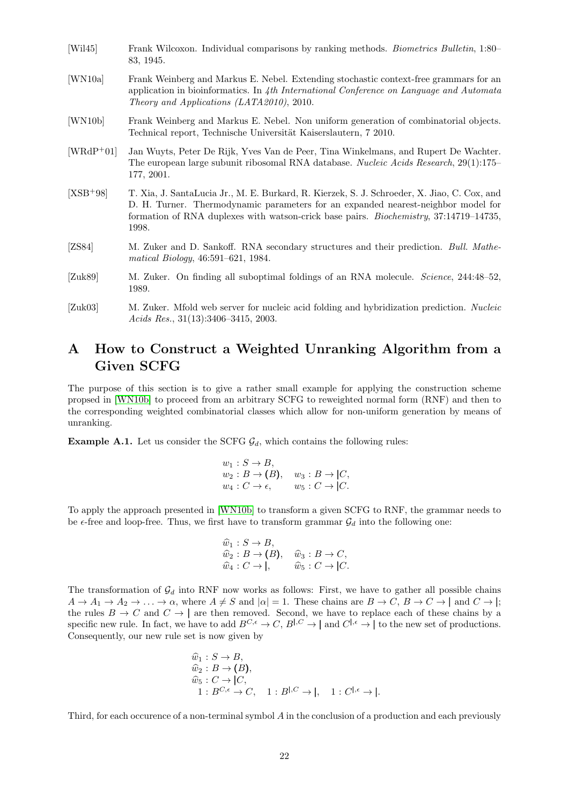<span id="page-21-9"></span><span id="page-21-7"></span><span id="page-21-5"></span><span id="page-21-3"></span><span id="page-21-2"></span>

| [Wil45]     | Frank Wilcoxon. Individual comparisons by ranking methods. <i>Biometrics Bulletin</i> , 1:80–<br>83, 1945.                                                                                                                                                                                 |
|-------------|--------------------------------------------------------------------------------------------------------------------------------------------------------------------------------------------------------------------------------------------------------------------------------------------|
| [WN10a]     | Frank Weinberg and Markus E. Nebel. Extending stochastic context-free grammars for an<br>application in bioinformatics. In 4th International Conference on Language and Automata<br>Theory and Applications (LATA2010), 2010.                                                              |
| [WN10b]     | Frank Weinberg and Markus E. Nebel. Non uniform generation of combinatorial objects.<br>Technical report, Technische Universität Kaiserslautern, 7 2010.                                                                                                                                   |
| $[WRdP+01]$ | Jan Wuyts, Peter De Rijk, Yves Van de Peer, Tina Winkelmans, and Rupert De Wachter.<br>The european large subunit ribosomal RNA database. <i>Nucleic Acids Research</i> , 29(1):175–<br>177, 2001.                                                                                         |
| $[XSB+98]$  | T. Xia, J. SantaLucia Jr., M. E. Burkard, R. Kierzek, S. J. Schroeder, X. Jiao, C. Cox, and<br>D. H. Turner. Thermodynamic parameters for an expanded nearest-neighbor model for<br>formation of RNA duplexes with watson-crick base pairs. <i>Biochemistry</i> , 37:14719-14735,<br>1998. |
| [ZS84]      | M. Zuker and D. Sankoff. RNA secondary structures and their prediction. Bull. Mathe-<br>matical Biology, 46:591-621, 1984.                                                                                                                                                                 |
| [Zuk89]     | M. Zuker. On finding all suboptimal foldings of an RNA molecule. <i>Science</i> , 244:48–52,<br>1989.                                                                                                                                                                                      |
| [Zuk03]     | M. Zuker. Mfold web server for nucleic acid folding and hybridization prediction. Nucleic                                                                                                                                                                                                  |

# <span id="page-21-6"></span><span id="page-21-1"></span><span id="page-21-0"></span>A How to Construct a Weighted Unranking Algorithm from a Given SCFG

The purpose of this section is to give a rather small example for applying the construction scheme propsed in [\[WN10b\]](#page-21-2) to proceed from an arbitrary SCFG to reweighted normal form (RNF) and then to the corresponding weighted combinatorial classes which allow for non-uniform generation by means of unranking.

<span id="page-21-10"></span><span id="page-21-8"></span>**Example A.1.** Let us consider the SCFG  $\mathcal{G}_d$ , which contains the following rules:

<span id="page-21-4"></span>Acids Res., 31(13):3406–3415, 2003.

$$
w_1: S \to B,
$$
  
\n
$$
w_2: B \to (B), \quad w_3: B \to [C,
$$
  
\n
$$
w_4: C \to \epsilon, \qquad w_5: C \to [C.
$$

<span id="page-21-11"></span>To apply the approach presented in [\[WN10b\]](#page-21-2) to transform a given SCFG to RNF, the grammar needs to be  $\epsilon$ -free and loop-free. Thus, we first have to transform grammar  $\mathcal{G}_d$  into the following one:

$$
\begin{array}{ll}\n\widehat{w}_1: S \to B, \\
\widehat{w}_2: B \to (B), & \widehat{w}_3: B \to C, \\
\widehat{w}_4: C \to \big), & \widehat{w}_5: C \to \big|C.\n\end{array}
$$

The transformation of  $\mathcal{G}_d$  into RNF now works as follows: First, we have to gather all possible chains  $A \to A_1 \to A_2 \to \ldots \to \alpha$ , where  $A \neq S$  and  $|\alpha| = 1$ . These chains are  $B \to C$ ,  $B \to C \to |\text{ and } C \to |\text{;}$ the rules  $B \to C$  and  $C \to \mathcal{C}$  are then removed. Second, we have to replace each of these chains by a specific new rule. In fact, we have to add  $B^{C,\epsilon} \to C$ ,  $B^{|\mathcal{C}|} \to \mathcal{C}$  and  $C^{|\mathcal{C}|} \to \mathcal{C}$  to the new set of productions. Consequently, our new rule set is now given by

$$
\begin{aligned}\n\widehat{w}_1: S &\to B, \\
\widehat{w}_2: B &\to (B), \\
\widehat{w}_5: C &\to |C, \\
1: B^{C,\epsilon} &\to C, \quad 1: B^{|\mathcal{C}|} \to |, \quad 1: C^{|\mathcal{A}|} \to |.\n\end{aligned}
$$

Third, for each occurence of a non-terminal symbol A in the conclusion of a production and each previously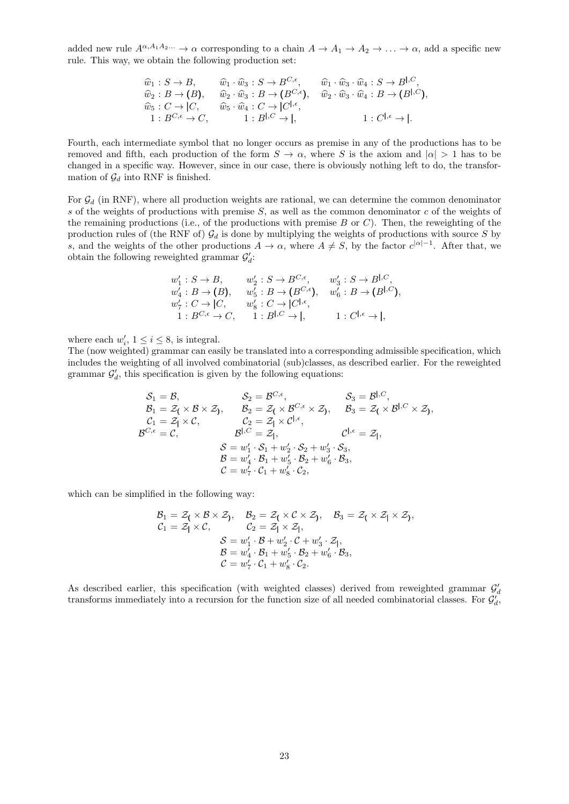added new rule  $A^{\alpha, A_1 A_2 ...} \to \alpha$  corresponding to a chain  $A \to A_1 \to A_2 \to ... \to \alpha$ , add a specific new rule. This way, we obtain the following production set:

$$
\begin{aligned}\n\widehat{w}_1: S &\rightarrow B, & \widehat{w}_1 \cdot \widehat{w}_3: S &\rightarrow B^{C,\epsilon}, & \widehat{w}_1 \cdot \widehat{w}_3 \cdot \widehat{w}_4: S &\rightarrow B^{|C|}, \\
\widehat{w}_2: B &\rightarrow (B), & \widehat{w}_2 \cdot \widehat{w}_3: B &\rightarrow (B^{C,\epsilon}), & \widehat{w}_2 \cdot \widehat{w}_3 \cdot \widehat{w}_4: B &\rightarrow (B^{|C|}, \\
\widehat{w}_5: C &\rightarrow |C, & \widehat{w}_5 \cdot \widehat{w}_4: C &\rightarrow |C^{|,\epsilon}, \\
1: B^{C,\epsilon} &\rightarrow C, & 1: B^{|,C|} &\rightarrow |, & 1: C^{|,\epsilon|} &\rightarrow |\n\end{aligned}
$$

Fourth, each intermediate symbol that no longer occurs as premise in any of the productions has to be removed and fifth, each production of the form  $S \to \alpha$ , where S is the axiom and  $|\alpha| > 1$  has to be changed in a specific way. However, since in our case, there is obviously nothing left to do, the transformation of  $\mathcal{G}_d$  into RNF is finished.

For  $\mathcal{G}_d$  (in RNF), where all production weights are rational, we can determine the common denominator s of the weights of productions with premise  $S$ , as well as the common denominator c of the weights of the remaining productions (i.e., of the productions with premise  $B$  or  $C$ ). Then, the reweighting of the production rules of (the RNF of)  $\mathcal{G}_d$  is done by multiplying the weights of productions with source S by s, and the weights of the other productions  $A \to \alpha$ , where  $A \neq S$ , by the factor  $c^{|\alpha|-1}$ . After that, we obtain the following reweighted grammar  $\mathcal{G}'_d$ :

$$
w'_1: S \to B, \t w'_2: S \to B^{C,\epsilon}, \t w'_3: S \to B^{|,C},
$$
  
\n
$$
w'_4: B \to (B), \t w'_5: B \to (B^{C,\epsilon}), \t w'_6: B \to (B^{|,C}),
$$
  
\n
$$
w'_7: C \to [C, \t w'_8: C \to [C^{|, \epsilon},]
$$
  
\n
$$
1: B^{C,\epsilon} \to C, \t 1: B^{|,C} \to |, \t 1: C^{|, \epsilon} \to |,
$$

where each  $w'_i$ ,  $1 \leq i \leq 8$ , is integral.

The (now weighted) grammar can easily be translated into a corresponding admissible specification, which includes the weighting of all involved combinatorial (sub)classes, as described earlier. For the reweighted grammar  $\mathcal{G}'_d$ , this specification is given by the following equations:

$$
S_1 = B, \t S_2 = B^{C,\epsilon}, \t S_3 = B^{I,C},
$$
  
\n
$$
B_1 = \mathcal{Z}_(\times \mathcal{B} \times \mathcal{Z}), \t B_2 = \mathcal{Z}_(\times \mathcal{B}^{C,\epsilon} \times \mathcal{Z}), \t B_3 = \mathcal{Z}_(\times \mathcal{B}^{I,C} \times \mathcal{Z}),
$$
  
\n
$$
C_1 = \mathcal{Z}_1 \times \mathcal{C}, \t C_2 = \mathcal{Z}_1 \times \mathcal{C}^{I,\epsilon},
$$
  
\n
$$
\mathcal{B}^{C,\epsilon} = \mathcal{C}, \t B^{I,C} = \mathcal{Z}_1, \t C^{I,\epsilon} = \mathcal{Z}_1,
$$
  
\n
$$
\mathcal{S} = w'_1 \cdot \mathcal{S}_1 + w'_2 \cdot \mathcal{S}_2 + w'_3 \cdot \mathcal{S}_3,
$$
  
\n
$$
\mathcal{B} = w'_4 \cdot \mathcal{B}_1 + w'_5 \cdot \mathcal{B}_2 + w'_6 \cdot \mathcal{B}_3,
$$
  
\n
$$
\mathcal{C} = w'_7 \cdot \mathcal{C}_1 + w'_8 \cdot \mathcal{C}_2,
$$

which can be simplified in the following way:

$$
\mathcal{B}_1 = \mathcal{Z}_1 \times \mathcal{B} \times \mathcal{Z}_1, \quad \mathcal{B}_2 = \mathcal{Z}_1 \times \mathcal{C} \times \mathcal{Z}_1, \quad \mathcal{B}_3 = \mathcal{Z}_1 \times \mathcal{Z}_1 \times \mathcal{Z}_2,
$$
\n
$$
\mathcal{C}_1 = \mathcal{Z}_1 \times \mathcal{C}, \quad \mathcal{C}_2 = \mathcal{Z}_1 \times \mathcal{Z}_1,
$$
\n
$$
\mathcal{S} = w'_1 \cdot \mathcal{B} + w'_2 \cdot \mathcal{C} + w'_3 \cdot \mathcal{Z}_1,
$$
\n
$$
\mathcal{B} = w'_4 \cdot \mathcal{B}_1 + w'_5 \cdot \mathcal{B}_2 + w'_6 \cdot \mathcal{B}_3,
$$
\n
$$
\mathcal{C} = w'_7 \cdot \mathcal{C}_1 + w'_8 \cdot \mathcal{C}_2.
$$

As described earlier, this specification (with weighted classes) derived from reweighted grammar  $\mathcal{G}'_d$ transforms immediately into a recursion for the function size of all needed combinatorial classes. For  $\mathcal{G}'_d$ ,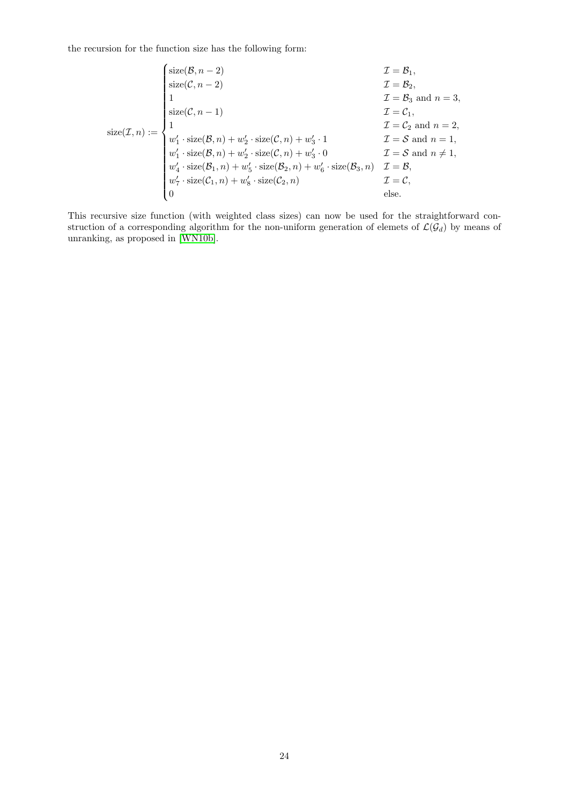the recursion for the function size has the following form:

$$
\text{size}(\mathcal{I}, n) := \begin{cases} \text{size}(\mathcal{B}, n-2) & \mathcal{I} = \mathcal{B}_1, \\ \text{size}(\mathcal{C}, n-2) & \mathcal{I} = \mathcal{B}_2, \\ 1 & \mathcal{I} = \mathcal{B}_3 \text{ and } n = 3, \\ \text{size}(\mathcal{C}, n-1) & \mathcal{I} = \mathcal{C}_1, \\ 1 & \mathcal{I} = \mathcal{C}_2 \text{ and } n = 2, \\ w'_1 \cdot \text{size}(\mathcal{B}, n) + w'_2 \cdot \text{size}(\mathcal{C}, n) + w'_3 \cdot 1 & \mathcal{I} = \mathcal{S} \text{ and } n = 1, \\ w'_1 \cdot \text{size}(\mathcal{B}, n) + w'_2 \cdot \text{size}(\mathcal{C}, n) + w'_3 \cdot 0 & \mathcal{I} = \mathcal{S} \text{ and } n = 1, \\ w'_4 \cdot \text{size}(\mathcal{B}_1, n) + w'_5 \cdot \text{size}(\mathcal{B}_2, n) + w'_6 \cdot \text{size}(\mathcal{B}_3, n) & \mathcal{I} = \mathcal{B}, \\ w'_7 \cdot \text{size}(\mathcal{C}_1, n) + w'_8 \cdot \text{size}(\mathcal{C}_2, n) & \mathcal{I} = \mathcal{C}, \\ 0 & \text{else.} \end{cases}
$$

This recursive size function (with weighted class sizes) can now be used for the straightforward construction of a corresponding algorithm for the non-uniform generation of elemets of  $\mathcal{L}(\mathcal{G}_d)$  by means of unranking, as proposed in [\[WN10b\]](#page-21-2).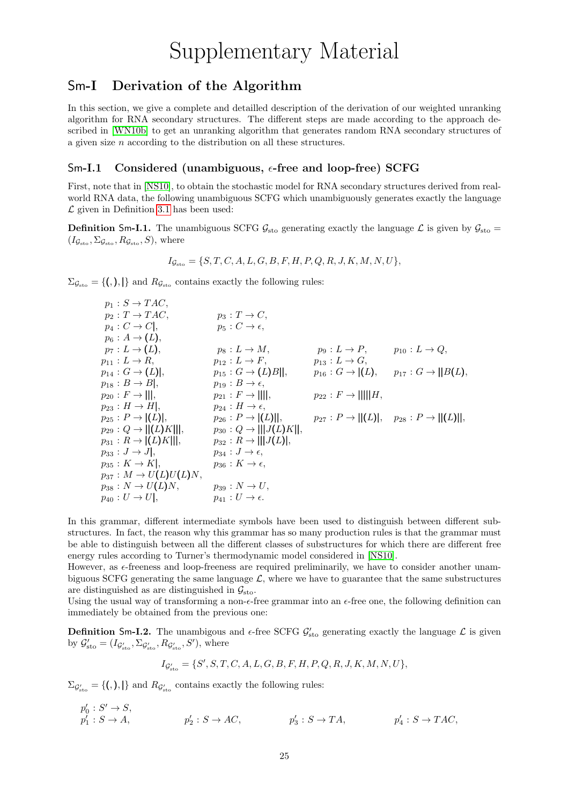# Sm-I Derivation of the Algorithm

In this section, we give a complete and detailled description of the derivation of our weighted unranking algorithm for RNA secondary structures. The different steps are made according to the approach described in [\[WN10b\]](#page-21-2) to get an unranking algorithm that generates random RNA secondary structures of a given size n according to the distribution on all these structures.

## $Sm-I.1$  Considered (unambiguous,  $\epsilon$ -free and loop-free) SCFG

First, note that in [\[NS10\]](#page-20-5), to obtain the stochastic model for RNA secondary structures derived from realworld RNA data, the following unambiguous SCFG which unambiguously generates exactly the language  $\mathcal L$  given in Definition [3.1](#page-10-3) has been used:

**Definition Sm-I.1.** The unambiguous SCFG  $\mathcal{G}_{\text{sto}}$  generating exactly the language  $\mathcal{L}$  is given by  $\mathcal{G}_{\text{sto}}$  $(I_{\mathcal{G}_{\text{sto}}}, \Sigma_{\mathcal{G}_{\text{sto}}}, R_{\mathcal{G}_{\text{sto}}}, S)$ , where

$$
I_{\mathcal{G}_{\text{sto}}} = \{S, T, C, A, L, G, B, F, H, P, Q, R, J, K, M, N, U\},\
$$

 $\Sigma_{\mathcal{G}_{\text{sto}}} = \{(),\}\$ and  $R_{\mathcal{G}_{\text{sto}}}$  contains exactly the following rules:

$$
p_{1}: S \rightarrow TAC, \n p_{2}: T \rightarrow TAC, \n p_{3}: T \rightarrow C, \n p_{4}: C \rightarrow C|, \n p_{5}: C \rightarrow \epsilon, \n p_{6}: A \rightarrow (L), \n p_{7}: L \rightarrow (L), \n p_{8}: L \rightarrow M, \n p_{9}: L \rightarrow P, \n p_{10}: L \rightarrow Q, \n p_{11}: L \rightarrow R, \n p_{12}: L \rightarrow F, \n p_{13}: L \rightarrow G, \n p_{14}: G \rightarrow (L)|, \n p_{15}: G \rightarrow (L)B||, \n p_{16}: G \rightarrow |(L), \n p_{17}: G \rightarrow ||B(L), \n p_{18}: B \rightarrow B|, \n p_{19}: B \rightarrow \epsilon, \n p_{20}: F \rightarrow ||, \n p_{21}: F \rightarrow ||||, \n p_{22}: F \rightarrow ||||H, \n p_{23}: P \rightarrow |(L)|, \n p_{24}: H \rightarrow \epsilon, \n p_{25}: P \rightarrow |(L)K||, \n p_{30}: Q \rightarrow |||J(L)K||, \n p_{31}: R \rightarrow |(L)K||, \n p_{32}: R \rightarrow |||J(L)|, \n p_{33}: J \rightarrow J|, \n p_{34}: J \rightarrow \epsilon, \n p_{35}: K \rightarrow K|, \n p_{36}: K \rightarrow \epsilon, \n p_{37}: M \rightarrow U(L)U(L)N, \n p_{38}: N \rightarrow U(L)N, \n p_{41}: U \rightarrow \epsilon.
$$

In this grammar, different intermediate symbols have been used to distinguish between different substructures. In fact, the reason why this grammar has so many production rules is that the grammar must be able to distinguish between all the different classes of substructures for which there are different free energy rules according to Turner's thermodynamic model considered in [\[NS10\]](#page-20-5).

However, as  $\epsilon$ -freeness and loop-freeness are required preliminarily, we have to consider another unambiguous SCFG generating the same language  $\mathcal{L}$ , where we have to guarantee that the same substructures are distinguished as are distinguished in  $\mathcal{G}_{\text{sto}}$ .

Using the usual way of transforming a non- $\epsilon$ -free grammar into an  $\epsilon$ -free one, the following definition can immediately be obtained from the previous one:

**Definition Sm-I.2.** The unambigous and  $\epsilon$ -free SCFG  $\mathcal{G}'_{\text{sto}}$  generating exactly the language  $\mathcal{L}$  is given by  $\mathcal{G}'_{\text{sto}} = (I_{\mathcal{G}'_{\text{sto}}}, \Sigma_{\mathcal{G}'_{\text{sto}}}, R_{\mathcal{G}'_{\text{sto}}}, S')$ , where

$$
I_{\mathcal{G}_{\text{sto}}'} = \{S', S, T, C, A, L, G, B, F, H, P, Q, R, J, K, M, N, U\},
$$

 $\Sigma_{\mathcal{G}_{\text{sto}}'} = \{(),\}\$  and  $R_{\mathcal{G}_{\text{sto}}'}$  contains exactly the following rules:

 $p'_0: S' \to S,$  $p_1'$  $p'_2 : S \to AC$ ,  $p'_3 : S \to TA$ ,  $p'_4 : S \to TAC$ ,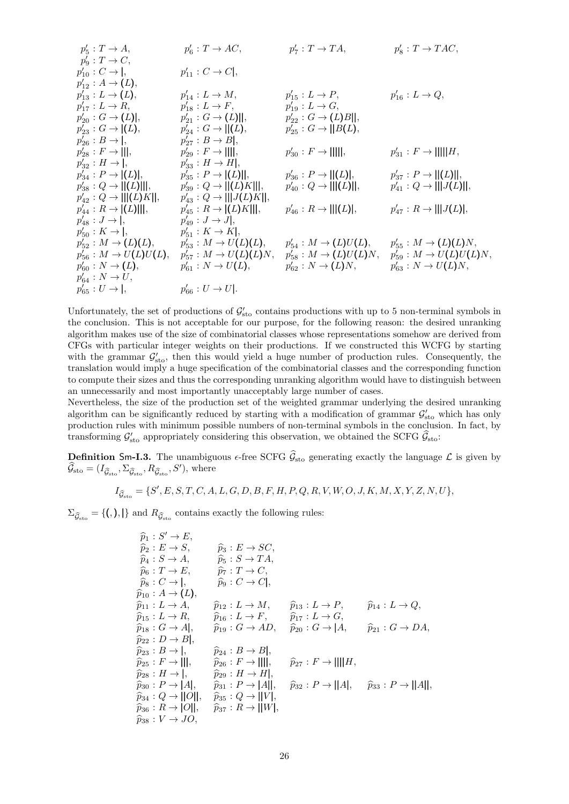$$
p'_{5}: T \rightarrow A, \t p'_{6}: T \rightarrow AC, \t p'_{7}: T \rightarrow TA, \t p'_{8}: T \rightarrow TAC, \np'_{9}: T \rightarrow C, \np'_{10}: C \rightarrow |, \t p'_{11}: C \rightarrow C|, \np'_{11}: L \rightarrow M, \t p'_{15}: L \rightarrow P, \t p'_{16}: L \rightarrow Q, \np'_{17}: L \rightarrow R, \t p'_{18}: L \rightarrow F, \t p'_{19}: L \rightarrow G, \np'_{20}: G \rightarrow (L)|, \t p'_{21}: G \rightarrow (L)||, \t p'_{22}: G \rightarrow (L)B||, \np'_{23}: G \rightarrow |(L), \t p'_{24}: G \rightarrow ||(L), \t p'_{25}: G \rightarrow ||B(L), \np'_{26}: B \rightarrow |, \t p'_{27}: B \rightarrow B|, \np'_{28}: F \rightarrow |||, \t p'_{29}: F \rightarrow |||, \t p'_{30}: F \rightarrow ||| ||, \t p'_{31}: F \rightarrow ||| |H, \np'_{32}: H \rightarrow |, \t p'_{33}: H \rightarrow H|, \np'_{34}: P \rightarrow |(L)||, \t p'_{35}: P \rightarrow |(L)||, \t p'_{36}: P \rightarrow ||(L)|, \np'_{34}: P \rightarrow ||(L)| ||, \t p'_{35}: P \rightarrow ||(L)| K|| |, \t p'_{40}: Q \rightarrow ||| (L)| ||, \np'_{41}: Q \rightarrow ||| [U |K| ||, \t p'_{43}: Q \rightarrow ||| [I (L)K||, \np'_{42}: Q \rightarrow ||| [L |K| ||, \t p'_{44}: R \rightarrow |(L)| ||, \np'_{44}: R \rightarrow |(L)| ||, \t p'_{45}: R \rightarrow |(L)K||, \np'_{46}: R \rightarrow ||(L)|, \t p'_{46}: R \rightarrow ||| (L)|, \np'_{47}: R \rightarrow ||J(L)|, \np'_{48}: J \rightarrow |, \t p'_{49}: J \rightarrow J|, \np'_{50}: K \rightarrow |, \t p'_{51}: K \rightarrow K|, \np'_{52}: M \rightarrow (L)U(L), \t p'_{53}: M \rightarrow U(L)U, \t p'_{55}: M \rightarrow (L)U(L),
$$

Unfortunately, the set of productions of  $\mathcal{G}'_{\text{sto}}$  contains productions with up to 5 non-terminal symbols in the conclusion. This is not acceptable for our purpose, for the following reason: the desired unranking algorithm makes use of the size of combinatorial classes whose representations somehow are derived from CFGs with particular integer weights on their productions. If we constructed this WCFG by starting with the grammar  $G'_{\rm sto}$ , then this would yield a huge number of production rules. Consequently, the translation would imply a huge specification of the combinatorial classes and the corresponding function to compute their sizes and thus the corresponding unranking algorithm would have to distinguish between an unnecessarily and most importantly unacceptably large number of cases.

Nevertheless, the size of the production set of the weighted grammar underlying the desired unranking algorithm can be significantly reduced by starting with a modification of grammar  $\mathcal{G}'_{\text{sto}}$  which has only production rules with minimum possible numbers of non-terminal symbols in the conclusion. In fact, by transforming  $\mathcal{G}'_{\text{sto}}$  appropriately considering this observation, we obtained the SCFG  $\widehat{\mathcal{G}}_{\text{sto}}$ :

**Definition Sm-I.3.** The unambiguous  $\epsilon$ -free SCFG  $\hat{G}_{\text{sto}}$  generating exactly the language  $\mathcal{L}$  is given by  $\widehat{\mathcal{G}}_{\text{sto}} = (I_{\widehat{\mathcal{G}}_{\text{sto}}}, \Sigma_{\widehat{\mathcal{G}}_{\text{sto}}}, R_{\widehat{\mathcal{G}}_{\text{sto}}}, S')$ , where

$$
I_{\widehat{\mathcal{G}}_{\mathrm{sto}}} = \{S',E,S,T,C,A,L,G,D,B,F,H,P,Q,R,V,W,O,J,K,M,X,Y,Z,N,U\},
$$

 $\Sigma_{\hat{G}_{\text{sto}}} = \{(),\}\$ and  $R_{\hat{G}_{\text{sto}}}$  contains exactly the following rules:

$$
\hat{p}_1: S' \to E, \n\hat{p}_2: E \to S, \n\hat{p}_3: E \to SC, \n\hat{p}_4: S \to A, \n\hat{p}_5: S \to TA, \n\hat{p}_6: T \to E, \n\hat{p}_7: T \to C, \n\hat{p}_8: C \to |, \n\hat{p}_9: C \to C|, \n\hat{p}_{10}: A \to (L), \n\hat{p}_{11}: L \to A, \n\hat{p}_{12}: L \to M, \n\hat{p}_{13}: L \to P, \n\hat{p}_{14}: L \to Q, \n\hat{p}_{15}: L \to R, \n\hat{p}_{16}: L \to F, \n\hat{p}_{17}: L \to G, \n\hat{p}_{18}: G \to A|, \n\hat{p}_{19}: G \to AD, \n\hat{p}_{20}: G \to |A, \n\hat{p}_{21}: G \to DA, \n\hat{p}_{22}: D \to B|, \n\hat{p}_{23}: B \to |, \n\hat{p}_{24}: B \to B|, \n\hat{p}_{25}: F \to |||, \n\hat{p}_{26}: F \to |||, \n\hat{p}_{28}: H \to |, \n\hat{p}_{29}: H \to H|, \n\hat{p}_{30}: P \to |A|, \n\hat{p}_{31}: P \to |A||, \n\hat{p}_{32}: P \to ||A|, \n\hat{p}_{33}: Q \to ||V|, \n\hat{p}_{36}: R \to |O||, \n\hat{p}_{37}: R \to ||W|, \n\hat{p}_{38}: V \to JO,
$$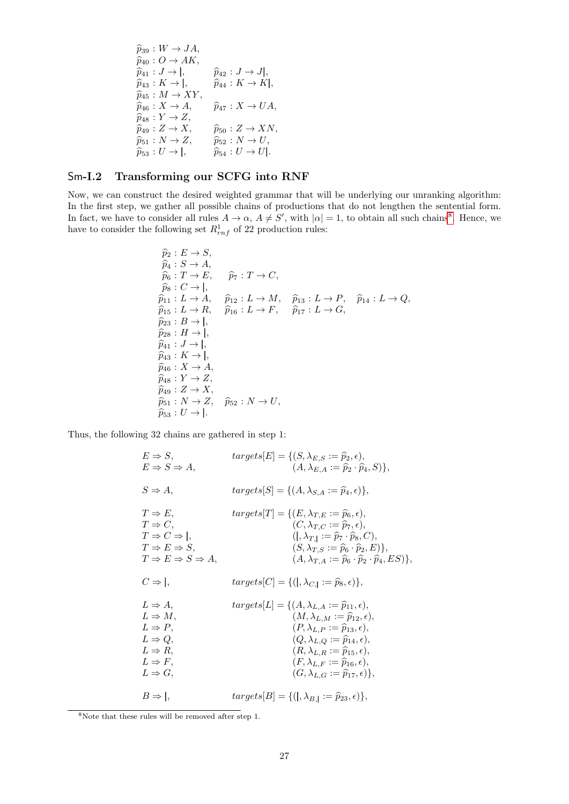$\widehat{p}_{39} : W \to JA$ ,  $\widehat{\widehat{p}}_{40} : O \to AK,$ <br>  $\widehat{\widehat{p}}_{41} : J \to \mathsf{I},$  $\widehat{p}_{41} : J \to \vert, \qquad \widehat{p}_{42} : J \to J \vert,$ <br>  $\widehat{p}_{43} : K \to \vert, \qquad \widehat{p}_{44} : K \to K$  $\widehat{p}_{43} : K \to \vert, \qquad \widehat{p}_{44} : K \to K \vert,$  $\widehat{p}_{45} : M \to XY,$ <br>  $\widehat{p}_{46} : X \to A,$  $\widehat{p}_{47} : X \to UA$  $\hat{p}_{48}$  :  $Y \to Z$ ,<br>  $\hat{p}_{49}$  :  $Z \to X$ ,  $\widehat{p}_{49} : Z \to X,$   $\widehat{p}_{50} : Z \to XN,$ <br>  $\widehat{p}_{51} : N \to Z,$   $\widehat{p}_{52} : N \to U,$  $\widehat{p}_{51} : N \to Z,$   $\widehat{p}_{52} : N \to U,$ <br>  $\widehat{p}_{53} : U \to |,$   $\widehat{p}_{54} : U \to U|.$  $\widehat{p}_{54} : U \to U$ .

# Sm-I.2 Transforming our SCFG into RNF

Now, we can construct the desired weighted grammar that will be underlying our unranking algorithm: In the first step, we gather all possible chains of productions that do not lengthen the sentential form. In fact, we have to consider all rules  $A \to \alpha$ ,  $A \neq S'$ , with  $|\alpha| = 1$ , to obtain all such chains<sup>[8](#page-26-0)</sup>. Hence, we have to consider the following set  $R_{rnf}^1$  of 22 production rules:

$$
\begin{array}{ll}\n\widehat{p}_2:E \to S, \\
\widehat{p}_4:S \to A, \\
\widehat{p}_6:T \to E, \quad \widehat{p}_7:T \to C, \\
\widehat{p}_8:C \to |, \\
\widehat{p}_{11}:L \to A, \quad \widehat{p}_{12}:L \to M, \quad \widehat{p}_{13}:L \to P, \quad \widehat{p}_{14}:L \to Q, \\
\widehat{p}_{15}:L \to R, \quad \widehat{p}_{16}:L \to F, \quad \widehat{p}_{17}:L \to G, \\
\widehat{p}_{23}:B \to |, \\
\widehat{p}_{28}:H \to |, \\
\widehat{p}_{41}:J \to |, \\
\widehat{p}_{43}:K \to |, \\
\widehat{p}_{48}:Y \to Z, \\
\widehat{p}_{49}:Z \to X, \\
\widehat{p}_{51}:N \to Z, \quad \widehat{p}_{52}:N \to U, \\
\widehat{p}_{53}:U \to |.\n\end{array}
$$

Thus, the following 32 chains are gathered in step 1:

| $E \Rightarrow S$ .                             | $targets[E] = \{(S, \lambda_{E,S} := \widehat{p}_2, \epsilon),\}$                     |
|-------------------------------------------------|---------------------------------------------------------------------------------------|
| $E \Rightarrow S \Rightarrow A$ ,               | $(A, \lambda_{E,A} := \widehat{p}_2 \cdot \widehat{p}_4, S),$                         |
| $S \Rightarrow A$ .                             | $targets[S] = \{(A, \lambda_{S,A} := \widehat{p}_4, \epsilon)\},\$                    |
| $T \Rightarrow E$ ,                             | $targets[T] = \{(E, \lambda_{T,E} := \widehat{p}_6, \epsilon),\}$                     |
| $T \Rightarrow C$ ,                             | $(C, \lambda_{T,C} := \widehat{p}_7, \epsilon),$                                      |
| $T \Rightarrow C \Rightarrow$ ,                 | $( , \lambda_{T, \mathsf{I}}  := \widehat{p}_7 \cdot \widehat{p}_8, C),$              |
| $T \Rightarrow E \Rightarrow S$ ,               | $(S, \lambda_{T,S} := \widehat{p}_6 \cdot \widehat{p}_2, E) \},$                      |
| $T \Rightarrow E \Rightarrow S \Rightarrow A$ , | $(A, \lambda_{T,A} := \widehat{p}_6 \cdot \widehat{p}_2 \cdot \widehat{p}_4, ES) \},$ |
| $C \Rightarrow  $                               | $targets[C] = \{( , \lambda_{C, \cdot}  := \widehat{p}_8, \epsilon)\},\$              |
| $L \Rightarrow A$ .                             | $targets[L] = \{(A, \lambda_{L,A} := \widehat{p}_{11}, \epsilon),\}$                  |
| $L \Rightarrow M$ ,                             | $(M, \lambda_{L,M} := \widehat{p}_{12}, \epsilon),$                                   |
| $L \Rightarrow P$ ,                             | $(P, \lambda_{L,P} := \widehat{p}_{13}, \epsilon),$                                   |
| $L \Rightarrow Q,$                              | $(Q, \lambda_{L,Q} := \widehat{p}_{14}, \epsilon),$                                   |
| $L \Rightarrow R$ .                             | $(R, \lambda_{L,R} := \widehat{p}_{15}, \epsilon),$                                   |
| $L \Rightarrow F$ .                             | $(F, \lambda_{L,F} := \widehat{p}_{16}, \epsilon),$                                   |
| $L \Rightarrow G$ ,                             | $(G, \lambda_{L,G} := \widehat{p}_{17}, \epsilon) \},$                                |
| $B \Rightarrow$ ,                               | $targets[B] = \{(), \lambda_{B,1} := \widehat{p}_{23}, \epsilon)\},\$                 |

<span id="page-26-0"></span> $8\mathrm{Note}$  that these rules will be removed after step 1.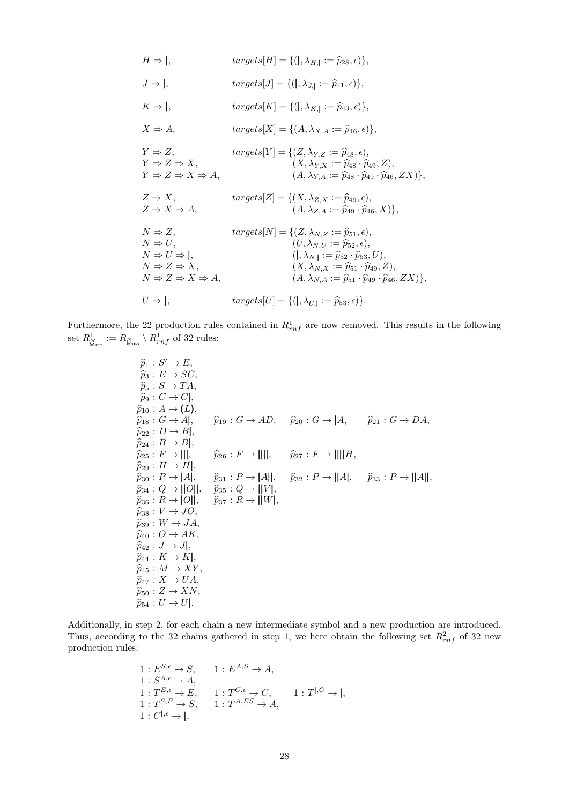$$
H \Rightarrow |, \quad targets[H] = \{(|, \lambda_{H,}| := \hat{p}_{28}, \epsilon)\},
$$
\n
$$
J \Rightarrow |, \quad targets[J] = \{(|, \lambda_{H,}| := \hat{p}_{41}, \epsilon)\},
$$
\n
$$
K \Rightarrow |, \quad targets[K] = \{(|, \lambda_{K,}| := \hat{p}_{43}, \epsilon)\},
$$
\n
$$
X \Rightarrow A, \quad targets[X] = \{(A, \lambda_{K, A} := \hat{p}_{46}, \epsilon)\},
$$
\n
$$
Y \Rightarrow Z, \quad targets[Y] = \{(Z, \lambda_{Y,Z} := \hat{p}_{48}, \epsilon),
$$
\n
$$
Y \Rightarrow Z \Rightarrow X, \quad (X, \lambda_{Y,X} := \hat{p}_{48} \cdot \hat{p}_{49}, Z),
$$
\n
$$
Y \Rightarrow Z \Rightarrow X \Rightarrow A, \quad (A, \lambda_{Y,A} := \hat{p}_{48} \cdot \hat{p}_{49} \cdot \hat{p}_{46}, ZX)\},
$$
\n
$$
Z \Rightarrow X, \quad targets[Z] = \{(X, \lambda_{Z,X} := \hat{p}_{49}, \epsilon),
$$
\n
$$
X \Rightarrow Z, \quad targets[N] = \{(Z, \lambda_{N,Z} := \hat{p}_{49}, \epsilon),
$$
\n
$$
N \Rightarrow Z, \quad targets[N] = \{(Z, \lambda_{N,Z} := \hat{p}_{51}, \epsilon),
$$
\n
$$
N \Rightarrow U, \quad (U, \lambda_{N,U} := \hat{p}_{52}, \epsilon),
$$
\n
$$
N \Rightarrow U \Rightarrow |, \quad (X, \lambda_{N,X} := \hat{p}_{51} \cdot \hat{p}_{49}, Z),
$$
\n
$$
N \Rightarrow Z \Rightarrow X, \quad (X, \lambda_{N,X} := \hat{p}_{51} \cdot \hat{p}_{49}, Z),
$$
\n
$$
N \Rightarrow Z \Rightarrow X, \quad (X, \lambda_{N,X} := \hat{p}_{51} \cdot \hat{p}_{49}, Z),
$$
\n
$$
U \Rightarrow |, \quad targets[U] = \{(|, \lambda_{U,}| := \hat{p}_{53}, \epsilon)\}.
$$

Furthermore, the 22 production rules contained in  $R_{rnf}^1$  are now removed. This results in the following set  $R^1_{\widehat{\mathcal{G}}_{\text{sto}}} := R_{\widehat{\mathcal{G}}_{\text{sto}}} \setminus R^1_{rnf}$  of 32 rules:

$$
\hat{p}_1 : S' \to E,\n\hat{p}_3 : E \to SC,\n\hat{p}_5 : S \to TA,\n\hat{p}_9 : C \to C|,\n\hat{p}_{10} : A \to (L),\n\hat{p}_{18} : G \to A|, \quad \hat{p}_{19} : G \to AD, \quad \hat{p}_{20} : G \to |A, \quad \hat{p}_{21} : G \to DA,\n\hat{p}_{22} : D \to B|,\n\hat{p}_{24} : B \to B|,\n\hat{p}_{25} : F \to |||, \quad \hat{p}_{26} : F \to ||||, \quad \hat{p}_{27} : F \to |||H,\n\hat{p}_{29} : H \to H|,\n\hat{p}_{30} : P \to |A|, \quad \hat{p}_{31} : P \to |A||, \quad \hat{p}_{32} : P \to ||A|, \quad \hat{p}_{33} : P \to ||A||,\n\hat{p}_{34} : Q \to ||O||, \quad \hat{p}_{35} : Q \to ||V|,\n\hat{p}_{36} : R \to |O||, \quad \hat{p}_{37} : R \to ||W|,\n\hat{p}_{38} : V \to JO,\n\hat{p}_{39} : W \to JA,\n\hat{p}_{40} : O \to AK,\n\hat{p}_{42} : J \to J|,\n\hat{p}_{44} : K \to K|,\n\hat{p}_{45} : M \to XY,\n\hat{p}_{50} : Z \to XN,\n\hat{p}_{54} : U \to U|.
$$

Additionally, in step 2, for each chain a new intermediate symbol and a new production are introduced. Thus, according to the 32 chains gathered in step 1, we here obtain the following set  $R_{rnf}^2$  of 32 new production rules:

$$
1: E^{S,\epsilon} \to S, \qquad 1: E^{A,S} \to A,
$$
  
\n
$$
1: S^{A,\epsilon} \to A,
$$
  
\n
$$
1: T^{E,\epsilon} \to E, \qquad 1: T^{C,\epsilon} \to C, \qquad 1: T^{1,C} \to |,
$$
  
\n
$$
1: S^{S,E} \to S, \qquad 1: T^{A,ES} \to A,
$$
  
\n
$$
1: C^{|\epsilon} \to |,
$$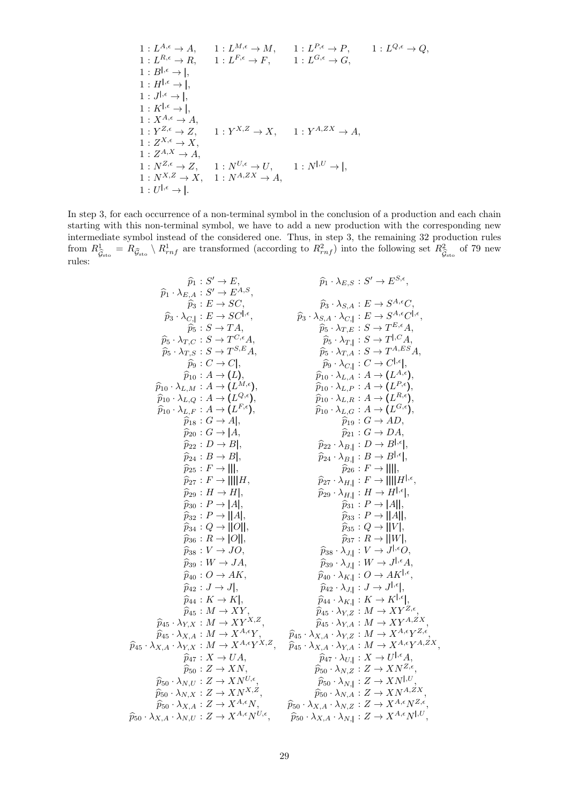$$
1: L^{A,\epsilon} \to A, \t 1: L^{M,\epsilon} \to M, \t 1: L^{P,\epsilon} \to P, \t 1: L^{Q,\epsilon} \to Q,
$$
  
\n
$$
1: B^{I,\epsilon} \to R, \t 1: L^{F,\epsilon} \to F, \t 1: L^{G,\epsilon} \to G,
$$
  
\n
$$
1: B^{I,\epsilon} \to I,
$$
  
\n
$$
1: J^{I,\epsilon} \to I,
$$
  
\n
$$
1: K^{I,\epsilon} \to I,
$$
  
\n
$$
1: X^{A,\epsilon} \to A,
$$
  
\n
$$
1: Y^{Z,\epsilon} \to Z, \t 1: Y^{X,Z} \to X, \t 1: Y^{A,ZX} \to A,
$$
  
\n
$$
1: Z^{X,\epsilon} \to X,
$$
  
\n
$$
1: Z^{A,X} \to A,
$$
  
\n
$$
1: N^{Z,\epsilon} \to Z, \t 1: N^{U,\epsilon} \to U, \t 1: N^{I,U} \to I,
$$
  
\n
$$
1: N^{X,Z} \to X, \t 1: N^{A,ZX} \to A,
$$
  
\n
$$
1: U^{I,\epsilon} \to I.
$$

In step 3, for each occurrence of a non-terminal symbol in the conclusion of a production and each chain starting with this non-terminal symbol, we have to add a new production with the corresponding new intermediate symbol instead of the considered one. Thus, in step 3, the remaining 32 production rules from  $R_{\hat{G}_{\text{sto}}}^1 = R_{\hat{G}_{\text{sto}}} \setminus R_{rnf}^1$  are transformed (according to  $R_{rnf}^2$ ) into the following set  $R_{\hat{G}_{\text{sto}}}^2$  of 79 new rules:

$$
\hat{p}_{1} : S' \rightarrow E, \n\hat{p}_{2} : E \rightarrow SC^{1, c}, \n\hat{p}_{3} : E \rightarrow SC^{1, c}, \n\hat{p}_{3} : E \rightarrow SC^{1, c}, \n\hat{p}_{3} : E \rightarrow SC^{1, c}, \n\hat{p}_{3} : S' \rightarrow T^{C, c}, \n\hat{p}_{3} : \Delta_{S,1} : E \rightarrow S^{A, c}C, \n\hat{p}_{3} : \Delta_{S,2} : E \rightarrow S^{A, c}C, \n\hat{p}_{3} : \Delta_{S,3} : E \rightarrow S^{A, c}C, \n\hat{p}_{3} : \Delta_{S,4} : E \rightarrow S^{A, c}C^{1, c}, \n\hat{p}_{3} : \Delta_{S,4} : E \rightarrow S^{A, c}C^{1, c}, \n\hat{p}_{3} : \Delta_{T, E} : S \rightarrow T^{E, c}, \n\hat{p}_{3} : \Delta_{T, E} : S \rightarrow T^{E, c}, \n\hat{p}_{3} : \Delta_{T, E} : S \rightarrow T^{A, E}A, \n\hat{p}_{3} : C \rightarrow C|, \n\hat{p}_{3} : \Delta_{T,1} : S \rightarrow T^{A, E}A, \n\hat{p}_{3} : C \rightarrow C|, \n\hat{p}_{3} : \Delta_{T,1} : S \rightarrow T^{A, E}A, \n\hat{p}_{3} : G \rightarrow C|, \n\hat{p}_{3} : \Delta_{T,1} : C \rightarrow C^{A, c}|, \n\hat{p}_{3} : G \rightarrow A|, \n\hat{p}_{3} : G \rightarrow A|, \n\hat{p}_{3} : G \rightarrow A|, \n\hat{p}_{3} : G \rightarrow A|, \n\hat{p}_{3} : G \rightarrow A|, \n\hat{p}_{3} : G \rightarrow A|, \n\hat{p}_{3} : G \rightarrow A|, \n\hat{p}_{3} : G \rightarrow B|, \n\hat{p}_{3} : C \rightarrow B|, \n\hat{p}_{3} : C \rightarrow B|, \n\hat{p}_{3} : C \rightarrow B|, \n\hat{p}_{3} : C \rightarrow B|, \n\hat{p}_{3} : C \rightarrow B|, \n\hat{p}_{3} : C \rightarrow B|, \n\hat{p}_{3} : C \rightarrow B|, \n\hat{p}_{3} : C \rightarrow B|, \n\hat{p}_{3} : C \rightarrow B|, \n\hat{p}_{3
$$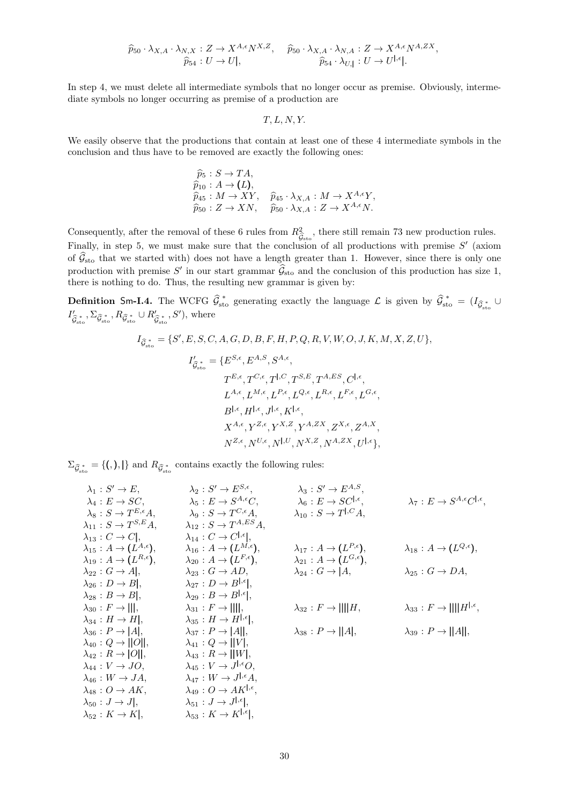$$
\widehat{p}_{50} \cdot \lambda_{X,A} \cdot \lambda_{N,X} : Z \to X^{A,\epsilon} N^{X,Z}, \quad \widehat{p}_{50} \cdot \lambda_{X,A} \cdot \lambda_{N,A} : Z \to X^{A,\epsilon} N^{A,ZX}, \n\widehat{p}_{54} : U \to U|, \quad \widehat{p}_{54} \cdot \lambda_{U,|} : U \to U^{|,\epsilon|}.
$$

In step 4, we must delete all intermediate symbols that no longer occur as premise. Obviously, intermediate symbols no longer occurring as premise of a production are

$$
T, L, N, Y.
$$

We easily observe that the productions that contain at least one of these 4 intermediate symbols in the conclusion and thus have to be removed are exactly the following ones:

$$
\begin{array}{ll}\n\widehat{p}_5: S \to TA, \\
\widehat{p}_{10}: A \to (L), \\
\widehat{p}_{45}: M \to XY, \quad \widehat{p}_{45} \cdot \lambda_{X,A}: M \to X^{A,\epsilon}Y, \\
\widehat{p}_{50}: Z \to XN, \quad \widehat{p}_{50} \cdot \lambda_{X,A}: Z \to X^{A,\epsilon}N.\n\end{array}
$$

Consequently, after the removal of these 6 rules from  $R_{\hat{g}_{\text{sto}}}^2$ , there still remain 73 new production rules. Finally, in step 5, we must make sure that the conclusion of all productions with premise  $S'$  (axiom of  $\hat{\mathcal{G}}_{\text{sto}}$  that we started with) does not have a length greater than 1. However, since there is only one production with premise  $S'$  in our start grammar  $\hat{\mathcal{G}}_{\text{sto}}$  and the conclusion of this production has size 1, there is nothing to do. Thus, the resulting new grammar is given by:

**Definition Sm-I.4.** The WCFG  $\hat{\mathcal{G}}_{\text{sto}}^{*}$  generating exactly the language  $\mathcal{L}$  is given by  $\hat{\mathcal{G}}_{\text{sto}}^{*} = (I_{\hat{\mathcal{G}}_{\text{sto}}^{*}} \cup$  $I'_{\hat{\mathcal{G}}_{\text{sto}}}$ ,  $\Sigma_{\hat{\mathcal{G}}_{\text{sto}}}$ ,  $R_{\hat{\mathcal{G}}_{\text{sto}}}$ ,  $U R'_{\hat{\mathcal{G}}_{\text{sto}}}$ ,  $S'$ ), where

$$
I_{\hat{g}^*_{\text{sto}}} = \{S', E, S, C, A, G, D, B, F, H, P, Q, R, V, W, O, J, K, M, X, Z, U\},\
$$
  

$$
I'_{\hat{g}^*_{\text{sto}}} = \{E^{S, \epsilon}, E^{A, S}, S^{A, \epsilon},
$$
  

$$
T^{E, \epsilon}, T^{C, \epsilon}, T^{|, C}, T^{S, E}, T^{A, ES}, C^{|, \epsilon},
$$
  

$$
L^{A, \epsilon}, L^{M, \epsilon}, L^{P, \epsilon}, L^{Q, \epsilon}, L^{R, \epsilon}, L^{F, \epsilon}, L^{G, \epsilon},
$$
  

$$
B^{|, \epsilon}, H^{|, \epsilon}, J^{|, \epsilon}, K^{|, \epsilon},
$$
  

$$
X^{A, \epsilon}, Y^{Z, \epsilon}, Y^{X, Z}, Y^{A, ZX}, Z^{X, \epsilon}, Z^{A, X},
$$
  

$$
N^{Z, \epsilon}, N^{U, \epsilon}, N^{|, U}, N^{X, Z}, N^{A, ZX}, U^{|, \epsilon}\},
$$

 $\Sigma_{\hat{\mathcal{G}}_{\text{sto}}^{*}} = \{(),\}\$  and  $R_{\hat{\mathcal{G}}_{\text{sto}}^{*}}$  contains exactly the following rules:

$$
\lambda_{1}: S' \rightarrow E, \qquad \lambda_{2}: S' \rightarrow E^{S,\epsilon}, \qquad \lambda_{3}: S' \rightarrow E^{A,S},
$$
\n
$$
\lambda_{4}: E \rightarrow SC, \qquad \lambda_{5}: E \rightarrow SA^{A,\epsilon}C, \qquad \lambda_{6}: E \rightarrow SC^{\dagger,\epsilon}, \qquad \lambda_{7}: E \rightarrow SA^{A,\epsilon}C^{\dagger,\epsilon},
$$
\n
$$
\lambda_{8}: S \rightarrow T^{E,\epsilon}A, \qquad \lambda_{9}: S \rightarrow T^{C,\epsilon}A, \qquad \lambda_{10}: S \rightarrow T^{\dagger,C}A, \qquad \lambda_{11}: S \rightarrow T^{S,E}A, \qquad \lambda_{12}: S \rightarrow T^{A,ES}A, \qquad \lambda_{10}: S \rightarrow T^{\dagger,C}A, \qquad \lambda_{13}: C \rightarrow C^{\dagger}, \qquad \lambda_{14}: C \rightarrow C^{\dagger,\epsilon},
$$
\n
$$
\lambda_{15}: A \rightarrow (L^{A,\epsilon}), \qquad \lambda_{16}: A \rightarrow (L^{M,\epsilon}), \qquad \lambda_{17}: A \rightarrow (L^{P,\epsilon}), \qquad \lambda_{18}: A \rightarrow (L^{Q,\epsilon}),
$$
\n
$$
\lambda_{22}: G \rightarrow A^{\dagger}, \qquad \lambda_{23}: G \rightarrow AD, \qquad \lambda_{24}: G \rightarrow |A, \qquad \lambda_{25}: G \rightarrow DA, \qquad \lambda_{26}: D \rightarrow B^{\dagger}, \qquad \lambda_{31}: F \rightarrow |||, \qquad \lambda_{32}: B \rightarrow B^{\dagger,\epsilon},
$$
\n
$$
\lambda_{30}: F \rightarrow |||, \qquad \lambda_{31}: F \rightarrow |||, \qquad \lambda_{32}: F \rightarrow |||, H, \qquad \lambda_{33}: F \rightarrow |||, H^{\dagger,\epsilon},
$$
\n
$$
\lambda_{34}: H \rightarrow H|, \qquad \lambda_{35}: H \rightarrow H^{\dagger,\epsilon},
$$
\n
$$
\lambda_{36}: P \rightarrow |A|, \qquad \lambda_{37}: P \rightarrow |A|, \qquad \lambda_{38}: P \rightarrow ||A|, \qquad \lambda_{39}: P \rightarrow ||A||, \qquad \lambda_{40}: Q \rightarrow ||O||, \qquad \lambda_{41}: Q \rightarrow ||V|, \qquad \lambda_{43}: R \rightarrow ||W|, \qquad \lambda_{44}: V \rightarrow JO, \qquad \lambda_{45}: V \rightarrow J^{\dagger
$$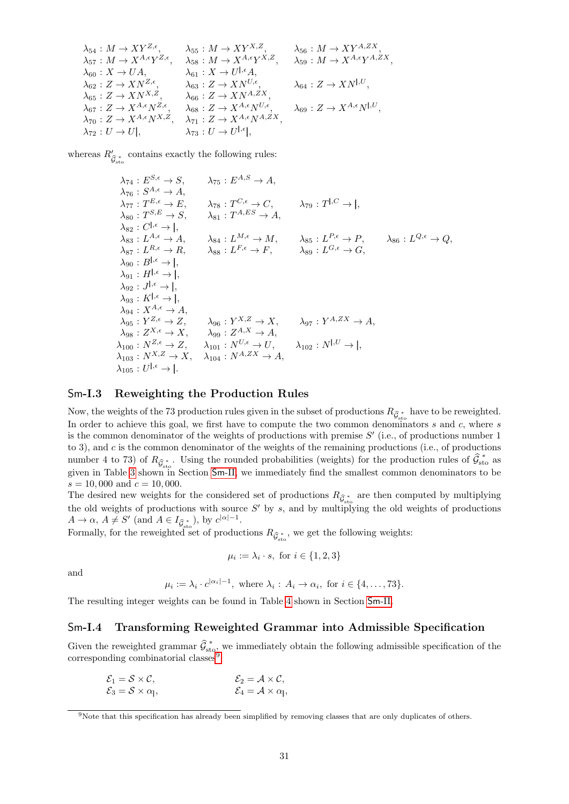$$
\lambda_{54}: M \to XY^{Z,\epsilon}, \qquad \lambda_{55}: M \to XY^{X,Z}, \qquad \lambda_{56}: M \to XY^{A,ZX},
$$
  
\n
$$
\lambda_{57}: M \to X^{A,\epsilon}Y^{Z,\epsilon}, \qquad \lambda_{58}: M \to X^{A,\epsilon}Y^{X,Z}, \qquad \lambda_{59}: M \to X^{A,\epsilon}Y^{A,ZX},
$$
  
\n
$$
\lambda_{60}: X \to UA, \qquad \lambda_{61}: X \to U^{1,\epsilon}A,
$$
  
\n
$$
\lambda_{62}: Z \to XN^{Z,\epsilon}, \qquad \lambda_{63}: Z \to XN^{U,\epsilon}, \qquad \lambda_{64}: Z \to XN^{1,U},
$$
  
\n
$$
\lambda_{65}: Z \to X^{A,\epsilon}N^{Z,\epsilon}, \qquad \lambda_{68}: Z \to X^{A,\epsilon}N^{U,\epsilon}, \qquad \lambda_{69}: Z \to X^{A,\epsilon}N^{1,U},
$$
  
\n
$$
\lambda_{70}: Z \to X^{A,\epsilon}N^{X,Z}, \qquad \lambda_{71}: Z \to X^{A,\epsilon}N^{A,ZX},
$$
  
\n
$$
\lambda_{72}: U \to U|, \qquad \lambda_{73}: U \to U^{1,\epsilon}|,
$$

whereas  $R'_{\widehat{\mathcal{G}}_{\text{sto}}}$  contains exactly the following rules:

$$
\lambda_{74}: E^{S,\epsilon} \to S, \quad \lambda_{75}: E^{A,S} \to A, \n\lambda_{76}: S^{A,\epsilon} \to A, \n\lambda_{77}: T^{E,\epsilon} \to E, \quad \lambda_{78}: T^{C,\epsilon} \to C, \quad \lambda_{79}: T^{1,C} \to I, \n\lambda_{80}: T^{S,E} \to S, \quad \lambda_{81}: T^{A,ES} \to A, \n\lambda_{82}: C^{1,\epsilon} \to I, \n\lambda_{83}: L^{A,\epsilon} \to A, \quad \lambda_{84}: L^{M,\epsilon} \to M, \quad \lambda_{85}: L^{P,\epsilon} \to P, \quad \lambda_{86}: L^{Q,\epsilon} \to Q, \n\lambda_{87}: L^{R,\epsilon} \to R, \quad \lambda_{88}: L^{F,\epsilon} \to F, \quad \lambda_{89}: L^{G,\epsilon} \to G, \n\lambda_{90}: B^{1,\epsilon} \to I, \n\lambda_{91}: H^{1,\epsilon} \to I, \n\lambda_{92}: J^{1,\epsilon} \to I, \n\lambda_{93}: K^{1,\epsilon} \to A, \n\lambda_{94}: X^{A,\epsilon} \to A, \n\lambda_{95}: Y^{Z,\epsilon} \to Z, \quad \lambda_{96}: Y^{X,Z} \to X, \quad \lambda_{97}: Y^{A,ZX} \to A, \n\lambda_{98}: Z^{X,\epsilon} \to X, \quad \lambda_{99}: Z^{A,X} \to A, \n\lambda_{100}: N^{Z,\epsilon} \to Z, \quad \lambda_{101}: N^{U,\epsilon} \to U, \quad \lambda_{102}: N^{1,U} \to I, \n\lambda_{103}: N^{X,Z} \to X, \quad \lambda_{104}: N^{A,ZX} \to A, \n\lambda_{105}: U^{1,\epsilon} \to I.
$$

### Sm-I.3 Reweighting the Production Rules

Now, the weights of the 73 production rules given in the subset of productions  $R_{\hat{\mathcal{G}}_{\text{sto}}}^*$  have to be reweighted. In order to achieve this goal, we first have to compute the two common denominators s and c, where s is the common denominator of the weights of productions with premise  $S'$  (i.e., of productions number 1 to 3), and c is the common denominator of the weights of the remaining productions (i.e., of productions number 4 to 73) of  $R_{\hat{\mathcal{G}}_{\text{sto}}}$ . Using the rounded probabilities (weights) for the production rules of  $\hat{\mathcal{G}}_{\text{sto}}^{*}$  as given in Table [3](#page-21-10) shown in Section [Sm](#page-36-0)-II, we immediately find the smallest common denominators to be  $s = 10,000$  and  $c = 10,000$ .

The desired new weights for the considered set of productions  $R_{\mathcal{G}_{\text{sto}}}$  are then computed by multiplying the old weights of productions with source  $S'$  by s, and by multiplying the old weights of productions  $A \to \alpha$ ,  $A \neq S'$  (and  $A \in I_{\widehat{\mathcal{G}}_{\text{sto}}^{*}}$ ), by  $c^{|\alpha|-1}$ .

Formally, for the reweighted set of productions  $R_{\hat{\mathcal{G}}_{\text{sto}}}$ , we get the following weights:

$$
\mu_i := \lambda_i \cdot s, \text{ for } i \in \{1, 2, 3\}
$$

and

$$
u_i := \lambda_i \cdot c^{|\alpha_i|-1}, \text{ where } \lambda_i : A_i \to \alpha_i, \text{ for } i \in \{4, \dots, 73\}.
$$

The resulting integer weights can be found in Table [4](#page-21-11) shown in Section [Sm](#page-36-0)-II.

### Sm-I.4 Transforming Reweighted Grammar into Admissible Specification

Given the reweighted grammar  $\hat{\mathcal{G}}_{\text{sto}}^{*}$ , we immediately obtain the following admissible specification of the corresponding combinatorial classes<sup>[9](#page-30-0)</sup>:

$$
\begin{aligned}\n\mathcal{E}_1 &= \mathcal{S} \times \mathcal{C}, \\
\mathcal{E}_3 &= \mathcal{S} \times \alpha_1, \\
\mathcal{E}_4 &= \mathcal{A} \times \alpha_1,\n\end{aligned}
$$
\n
$$
\begin{aligned}\n\mathcal{E}_2 &= \mathcal{A} \times \mathcal{C}, \\
\mathcal{E}_4 &= \mathcal{A} \times \alpha_1,\n\end{aligned}
$$

µi

<span id="page-30-0"></span><sup>9</sup>Note that this specification has already been simplified by removing classes that are only duplicates of others.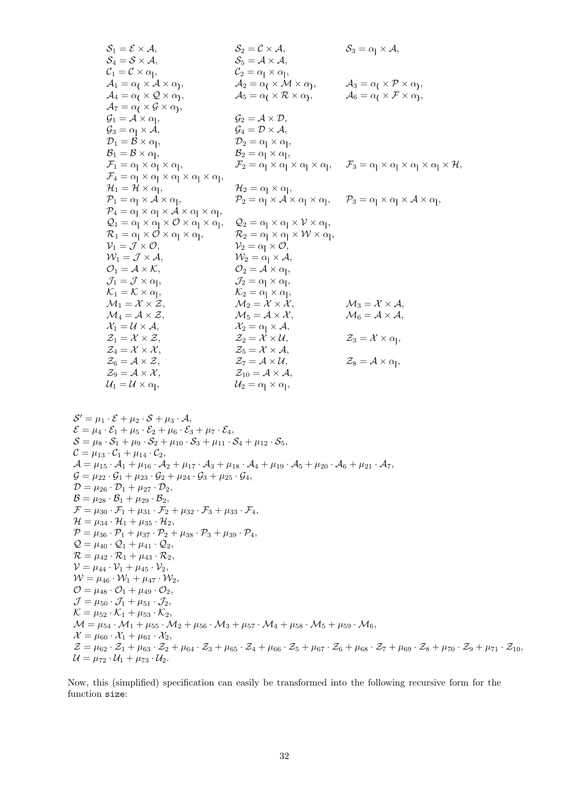$$
S_1 = \mathcal{E} \times \mathcal{A}, \quad S_2 = \mathcal{C} \times \mathcal{A}, \quad S_3 = \alpha_1 \times \mathcal{A},
$$
\n
$$
S_4 = \mathcal{S} \times \mathcal{A}, \quad S_5 = \mathcal{A} \times \mathcal{A}, \quad S_6 = \mathcal{A} \times \mathcal{A},
$$
\n
$$
C_1 = \mathcal{C} \times \alpha_1, \quad C_2 = \alpha_1 \times \alpha_1, \quad C_3 = \alpha_1 \times \mathcal{A},
$$
\n
$$
A_4 = \alpha_1 \times \mathcal{Q} \times \alpha_2, \quad A_5 = \alpha_1 \times \mathcal{R} \times \alpha_3, \quad A_6 = \alpha_1 \times \mathcal{P} \times \alpha_3, \\
\mathcal{A}_7 = \alpha_1 \times \mathcal{G} \times \alpha_1, \quad \mathcal{G}_2 = \mathcal{A} \times \mathcal{D}, \\
\mathcal{G}_3 = \alpha_1 \times \mathcal{A}, \quad \mathcal{G}_4 = \mathcal{D} \times \mathcal{A}, \\
\mathcal{D}_1 = \mathcal{B} \times \alpha_1, \quad \mathcal{D}_2 = \alpha_1 \times \alpha_1, \\
\mathcal{F}_1 = \alpha_1 \times \alpha_1 \times \alpha_1, \quad \mathcal{F}_2 = \alpha_1 \times \alpha_1, \\
\mathcal{H}_1 = \mathcal{H} \times \alpha_1 \times \alpha_1 \times \alpha_1, \quad \mathcal{F}_2 = \alpha_1 \times \alpha_1, \\
\mathcal{F}_3 = \alpha_1 \times \alpha_1 \times \alpha_1 \times \alpha_1 \times \mathcal{F}_3, \\
\mathcal{H}_4 = \alpha_1 \times \mathcal{A} \times \alpha_1, \quad \mathcal{F}_2 = \alpha_1 \times \mathcal{A} \times \alpha_1, \quad \mathcal{F}_3 = \alpha_1 \times \alpha_1 \times \mathcal{A}, \\
\mathcal{H}_4 = \mathcal{H} \times \alpha_1 \times \mathcal{A} \times \alpha_1 \times \mathcal{Q}_1, \quad \mathcal{F}_2 = \alpha_1 \times \mathcal{A}, \\
\mathcal{F}_3 = \alpha_1 \times \alpha_1 \times \mathcal{A} \times \mathcal{Q}_1, \\
\mathcal{F}_4 = \alpha_1 \times \mathcal
$$

$$
S' = \mu_1 \cdot \mathcal{E} + \mu_2 \cdot \mathcal{S} + \mu_3 \cdot \mathcal{A},
$$
  
\n
$$
\mathcal{E} = \mu_4 \cdot \mathcal{E}_1 + \mu_5 \cdot \mathcal{E}_2 + \mu_6 \cdot \mathcal{E}_3 + \mu_7 \cdot \mathcal{E}_4,
$$
  
\n
$$
S = \mu_8 \cdot S_1 + \mu_9 \cdot S_2 + \mu_{10} \cdot S_3 + \mu_{11} \cdot S_4 + \mu_{12} \cdot S_5,
$$
  
\n
$$
C = \mu_{13} \cdot C_1 + \mu_{14} \cdot C_2,
$$
  
\n
$$
\mathcal{A} = \mu_{15} \cdot \mathcal{A}_1 + \mu_{16} \cdot \mathcal{A}_2 + \mu_{17} \cdot \mathcal{A}_3 + \mu_{18} \cdot \mathcal{A}_4 + \mu_{19} \cdot \mathcal{A}_5 + \mu_{20} \cdot \mathcal{A}_6 + \mu_{21} \cdot \mathcal{A}_7,
$$
  
\n
$$
G = \mu_{22} \cdot G_1 + \mu_{23} \cdot G_2 + \mu_{24} \cdot G_3 + \mu_{25} \cdot G_4,
$$
  
\n
$$
\mathcal{D} = \mu_{26} \cdot \mathcal{D}_1 + \mu_{27} \cdot \mathcal{D}_2,
$$
  
\n
$$
\mathcal{B} = \mu_{28} \cdot \mathcal{B}_1 + \mu_{23} \cdot \mathcal{F}_2,
$$
  
\n
$$
\mathcal{F} = \mu_{30} \cdot \mathcal{F}_1 + \mu_{31} \cdot \mathcal{F}_2 + \mu_{32} \cdot \mathcal{F}_3 + \mu_{33} \cdot \mathcal{F}_4,
$$
  
\n
$$
\mathcal{H} = \mu_{34} \cdot \mathcal{H}_1 + \mu_{35} \cdot \mathcal{H}_2,
$$
  
\n
$$
\mathcal{P} = \mu_{40} \cdot \mathcal{Q}_1 + \mu_{41} \cdot \mathcal{Q}_2,
$$
  
\n
$$
\mathcal{P} = \mu_{40} \cdot \mathcal{Q}_1 + \mu_{41} \cdot \mathcal{Q}_2,
$$
  
\n
$$
\mathcal{V} = \mu_{44
$$

Now, this (simplified) specification can easily be transformed into the following recursive form for the function size: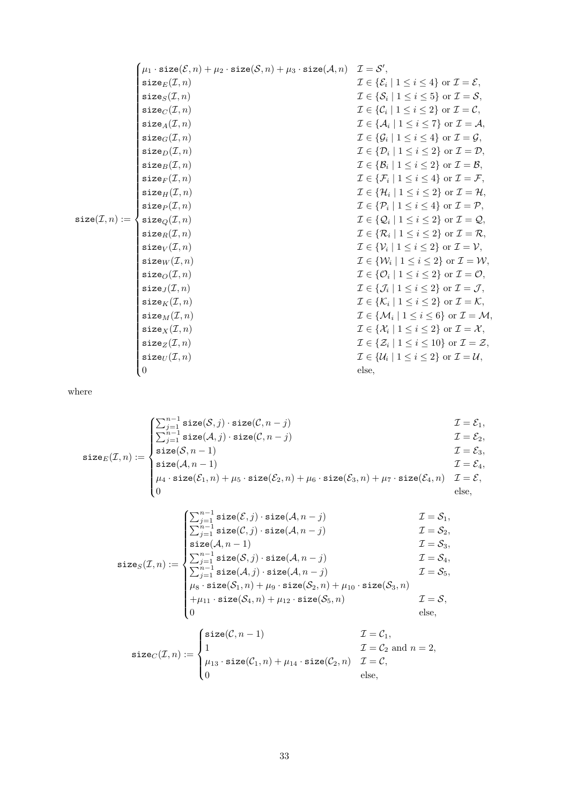| \n $\begin{cases}\n \mu_1 \cdot \text{size}(\mathcal{E}, n) + \mu_2 \cdot \text{size}(\mathcal{S}, n) + \mu_3 \cdot \text{size}(A, n) & \mathcal{I} = \mathcal{S}', \\  \text{size}_{\mathcal{I}}(\mathcal{I}, n) & \text{size}_{\mathcal{I}}(\mathcal{I}, n) \\  \text{size}_{\mathcal{I}}(\mathcal{I}, n) & \text{size}_{\mathcal{I}}(\mathcal{I}, n) \\  \text{size}_{\mathcal{I}}(\mathcal{I}, n) & \text{size}_{\mathcal{I}}(\mathcal{I}, n) \\  \text{size}_{\mathcal{I}}(\mathcal{I}, n) & \text{size}_{\mathcal{I}}(\mathcal{I}, n) \\  \text{size}_{\mathcal{I}}(\mathcal{I}, n) & \text{size}_{\mathcal{I}}(\mathcal{I}, n) \\  \text{size}_{\mathcal{I}}(\mathcal{I}, n) & \text{size}_{\mathcal{I}}(\mathcal{I}, n) \\  \text{size}_{\mathcal{I}}(\mathcal{I}, n) & \text{size}_{\mathcal{I}}(\mathcal{I}, n) \\  \text{size}_{\mathcal{I}}(\mathcal{I}, n) & \text{size}_{\mathcal{I}}(\mathcal{I}, n) \\  \text{size}_{\mathcal{I}}(\mathcal{I}, n) & \text{size}_{\mathcal{I}}(\mathcal{I}, n) \\  \text{size}_{\mathcal{I}}(\mathcal{I}, n) & \text{size}_{\mathcal{I}}(\mathcal{I}, n) \\  \text{size}_{\mathcal{I}}(\mathcal{I}, n) & \text{size}_{\mathcal{I}}(\mathcal{I}, n) \\  \text{size}_{\mathcal{I}}(\mathcal{I}, n) & \text{size}_{\mathcal{I}}(\mathcal{I}, n) \\  \text{size}_{\mathcal{I}}(\mathcal{I}, n) & \text{size}_{\mathcal{I}}(\mathcal{I}, n) \\  \text{size}_{\mathcal{I}}(\mathcal{I}, n) & \text{size}_{\mathcal{I}}(\mathcal{I}, n) \\  \text{size}_{\mathcal{I}}(\mathcal{I}, n) & \text{size}_{\mathcal{I}}(\mathcal{I}, n) \\  \text{size}_{\mathcal{I}}(\mathcal{I}, n) & \text{size}_{\mathcal{I}}(\mathcal{I}, n$ |
|---------------------------------------------------------------------------------------------------------------------------------------------------------------------------------------------------------------------------------------------------------------------------------------------------------------------------------------------------------------------------------------------------------------------------------------------------------------------------------------------------------------------------------------------------------------------------------------------------------------------------------------------------------------------------------------------------------------------------------------------------------------------------------------------------------------------------------------------------------------------------------------------------------------------------------------------------------------------------------------------------------------------------------------------------------------------------------------------------------------------------------------------------------------------------------------------------------------------------------------------------------------------------------------------------------------------------------------------------------------------------------------------------------------------------------------------------------------------------------------------------------------------------------------------------------------------------------------------------------------------------------------------------------------------|
|---------------------------------------------------------------------------------------------------------------------------------------------------------------------------------------------------------------------------------------------------------------------------------------------------------------------------------------------------------------------------------------------------------------------------------------------------------------------------------------------------------------------------------------------------------------------------------------------------------------------------------------------------------------------------------------------------------------------------------------------------------------------------------------------------------------------------------------------------------------------------------------------------------------------------------------------------------------------------------------------------------------------------------------------------------------------------------------------------------------------------------------------------------------------------------------------------------------------------------------------------------------------------------------------------------------------------------------------------------------------------------------------------------------------------------------------------------------------------------------------------------------------------------------------------------------------------------------------------------------------------------------------------------------------|

where

$$
\text{size}_{E}(\mathcal{I}, n) := \begin{cases} \sum_{j=1}^{n-1} \text{size}(\mathcal{S}, j) \cdot \text{size}(\mathcal{C}, n - j) & \mathcal{I} = \mathcal{E}_{1}, \\ \sum_{j=1}^{n-1} \text{size}(\mathcal{A}, j) \cdot \text{size}(\mathcal{C}, n - j) & \mathcal{I} = \mathcal{E}_{2}, \\ \text{size}(\mathcal{S}, n - 1) & \mathcal{I} = \mathcal{E}_{3}, \\ \text{size}(\mathcal{A}, n - 1) & \mathcal{I} = \mathcal{E}_{4}, \\ \mu_{4} \cdot \text{size}(\mathcal{E}_{1}, n) + \mu_{5} \cdot \text{size}(\mathcal{E}_{2}, n) + \mu_{6} \cdot \text{size}(\mathcal{E}_{3}, n) + \mu_{7} \cdot \text{size}(\mathcal{E}_{4}, n) & \mathcal{I} = \mathcal{E}, \\ 0 & \text{else,} \end{cases}
$$

$$
\text{size}_{S}(\mathcal{I}, n) := \begin{cases} \sum_{j=1}^{n-1} \text{size}(\mathcal{E}, j) \cdot \text{size}(\mathcal{A}, n-j) & \mathcal{I} = \mathcal{S}_{1}, \\ \sum_{j=1}^{n-1} \text{size}(\mathcal{C}, j) \cdot \text{size}(\mathcal{A}, n-j) & \mathcal{I} = \mathcal{S}_{2}, \\ \text{size}(\mathcal{A}, n-1) & \mathcal{I} = \mathcal{S}_{3}, \\ \sum_{j=1}^{n-1} \text{size}(\mathcal{S}, j) \cdot \text{size}(\mathcal{A}, n-j) & \mathcal{I} = \mathcal{S}_{4}, \\ \sum_{j=1}^{n-1} \text{size}(\mathcal{S}, j) \cdot \text{size}(\mathcal{A}, n-j) & \mathcal{I} = \mathcal{S}_{5}, \\ \mu_{8} \cdot \text{size}(\mathcal{S}_{1}, n) + \mu_{9} \cdot \text{size}(\mathcal{S}_{2}, n) + \mu_{10} \cdot \text{size}(\mathcal{S}_{3}, n) \\ + \mu_{11} \cdot \text{size}(\mathcal{S}_{4}, n) + \mu_{12} \cdot \text{size}(\mathcal{S}_{5}, n) & \mathcal{I} = \mathcal{S}, \\ 0 & \text{else}, \\ 0 & \text{else}, \end{cases} \quad \text{size}_{\mathcal{I}}(\mathcal{I}, n) := \begin{cases} \text{size}(\mathcal{C}, n-1) & \mathcal{I} = \mathcal{C}_{1}, \\ 1 & \mathcal{I} = \mathcal{C}_{2} \text{ and } n = 2, \\ \mu_{13} \cdot \text{size}(\mathcal{C}_{1}, n) + \mu_{14} \cdot \text{size}(\mathcal{C}_{2}, n) & \mathcal{I} = \mathcal{C}, \end{cases}
$$

 $\overline{\mathcal{L}}$ 

 $0 \t\t\t else,$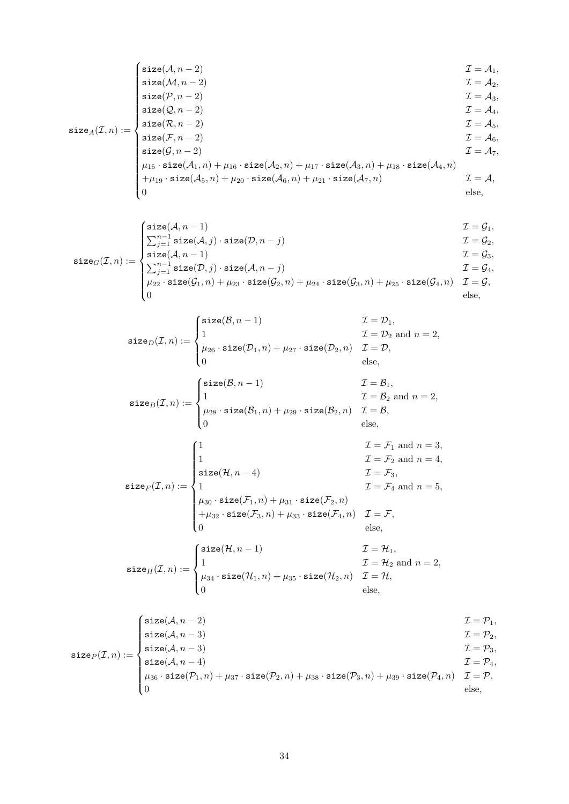$$
\text{size}_{A}(\mathcal{I}, n) := \begin{cases} \text{size}(\mathcal{A}, n-2) & \mathcal{I} = \mathcal{A}_{1}, \\ \text{size}(\mathcal{M}, n-2) & \mathcal{I} = \mathcal{A}_{2}, \\ \text{size}(\mathcal{P}, n-2) & \mathcal{I} = \mathcal{A}_{3}, \\ \text{size}(\mathcal{Q}, n-2) & \mathcal{I} = \mathcal{A}_{4}, \\ \text{size}(\mathcal{F}, n-2) & \mathcal{I} = \mathcal{A}_{5}, \\ \text{size}(\mathcal{F}, n-2) & \mathcal{I} = \mathcal{A}_{6}, \\ \text{size}(\mathcal{G}, n-2) & \mathcal{I} = \mathcal{A}_{7}, \\ \text{size}(\mathcal{G}, n-2) & \mathcal{I} = \mathcal{A}_{7}, \\ \mu_{15} \cdot \text{size}(\mathcal{A}_{1}, n) + \mu_{16} \cdot \text{size}(\mathcal{A}_{2}, n) + \mu_{17} \cdot \text{size}(\mathcal{A}_{3}, n) + \mu_{18} \cdot \text{size}(\mathcal{A}_{4}, n) \\ + \mu_{19} \cdot \text{size}(\mathcal{A}_{5}, n) + \mu_{20} \cdot \text{size}(\mathcal{A}_{6}, n) + \mu_{21} \cdot \text{size}(\mathcal{A}_{7}, n) & \mathcal{I} = \mathcal{A}, \\ 0 & \text{else}, \end{cases}
$$

$$
\texttt{size}_G(\mathcal{I}, n) := \begin{cases} \texttt{size}(\mathcal{A}, n-1) & \mathcal{I} = \mathcal{G}_1, \\ \sum_{j=1}^{n-1} \texttt{size}(\mathcal{A}, j) \cdot \texttt{size}(\mathcal{D}, n-j) & \mathcal{I} = \mathcal{G}_2, \\ \texttt{size}(\mathcal{A}, n-1) & \mathcal{I} = \mathcal{G}_3, \\ \sum_{j=1}^{n-1} \texttt{size}(\mathcal{D}, j) \cdot \texttt{size}(\mathcal{A}, n-j) & \mathcal{I} = \mathcal{G}_4, \\ \mu_{22} \cdot \texttt{size}(\mathcal{G}_1, n) + \mu_{23} \cdot \texttt{size}(\mathcal{G}_2, n) + \mu_{24} \cdot \texttt{size}(\mathcal{G}_3, n) + \mu_{25} \cdot \texttt{size}(\mathcal{G}_4, n) & \mathcal{I} = \mathcal{G}, \\ 0 & \text{else,} \end{cases}
$$

$$
\begin{aligned}\n\text{size}_D(\mathcal{I}, n) &:= \begin{cases}\n\text{size}(\mathcal{B}, n-1) & \mathcal{I} = \mathcal{D}_1, \\
1 & \mathcal{I} = \mathcal{D}_2 \text{ and } n = 2, \\
\mu_{26} \cdot \text{size}(\mathcal{D}_1, n) + \mu_{27} \cdot \text{size}(\mathcal{D}_2, n) & \mathcal{I} = \mathcal{D}, \\
0 & \text{else},\n\end{cases} \\
\text{size}_B(\mathcal{I}, n) &:= \begin{cases}\n\text{size}(\mathcal{B}, n-1) & \mathcal{I} = \mathcal{B}_1, \\
1 & \mathcal{I} = \mathcal{B}_2, \\
\mu_{28} \cdot \text{size}(\mathcal{B}_1, n) + \mu_{29} \cdot \text{size}(\mathcal{B}_2, n) & \mathcal{I} = \mathcal{B}, \\
0 & \text{else},\n\end{cases} \\
\text{else,} \\
\text{else,} \\
\text{else,} \\
\text{else,} \\
\text{else,} \\
\text{else,} \\
\text{else,} \\
\text{else,} \\
\text{else,} \\
\text{else,} \\
\text{else,} \\
\text{else,} \\
\text{else,} \\
\text{else,} \\
\text{else,} \\
\text{else,} \\
\text{else,} \\
\text{else,} \\
\text{else,} \\
\text{else,} \\
\text{else,} \\
\text{else,} \\
\text{else,} \\
\text{else,} \\
\text{else,} \\
\text{else,} \\
\text{else,} \\
\text{else,} \\
\text{else,} \\
\text{else,} \\
\text{else,} \\
\text{else,} \\
\text{else,} \\
\text{else,} \\
\text{else,} \\
\text{else,} \\
\text{else,} \\
\text{else,} \\
\text{else,} \\
\text{else,} \\
\text{else,} \\
\text{else,} \\
\text{else,} \\
\text{else,} \\
\text{else,} \\
\text{else,} \\
\text{else,} \\
\text{else,} \\
\text{else,} \\
\text{else,} \\
\text{else,} \\
\text{else,} \\
\text{else,} \\
\text{else,} \\
\text{else,} \\
\text{else,} \\
\text{else,} \\
\text{else,} \\
\text{else,} \\
\text{else,} \\
\text{else,} \\
$$

$$
\text{size}_F(\mathcal{I}, n) := \begin{cases} 1 & \mathcal{I} = \mathcal{F}_1 \text{ and } n = 3, \\ 1 & \mathcal{I} = \mathcal{F}_2 \text{ and } n = 4, \\ \text{size}(\mathcal{H}, n - 4) & \mathcal{I} = \mathcal{F}_3, \\ 1 & \mathcal{I} = \mathcal{F}_4 \text{ and } n = 5, \\ \mu_{30} \cdot \text{size}(\mathcal{F}_1, n) + \mu_{31} \cdot \text{size}(\mathcal{F}_2, n) \\ + \mu_{32} \cdot \text{size}(\mathcal{F}_3, n) + \mu_{33} \cdot \text{size}(\mathcal{F}_4, n) & \mathcal{I} = \mathcal{F}, \\ 0 & \text{else,} \end{cases}
$$

$$
\texttt{size}_{H}(\mathcal{I}, n) := \begin{cases} \texttt{size}(\mathcal{H}, n - 1) & \mathcal{I} = \mathcal{H}_{1}, \\ 1 & \mathcal{I} = \mathcal{H}_{2} \text{ and } n = 2, \\ \mu_{34} \cdot \texttt{size}(\mathcal{H}_{1}, n) + \mu_{35} \cdot \texttt{size}(\mathcal{H}_{2}, n) & \mathcal{I} = \mathcal{H}, \\ 0 & \text{else,} \end{cases}
$$

$$
\text{size}_P(\mathcal{I},n) := \begin{cases} \text{size}(\mathcal{A},n-2) & \mathcal{I} = \mathcal{P}_1, \\ \text{size}(\mathcal{A},n-3) & \mathcal{I} = \mathcal{P}_2, \\ \text{size}(\mathcal{A},n-3) & \mathcal{I} = \mathcal{P}_3, \\ \text{size}(\mathcal{A},n-4) & \mathcal{I} = \mathcal{P}_4, \\ \mu_{36} \cdot \text{size}(\mathcal{P}_1,n) + \mu_{37} \cdot \text{size}(\mathcal{P}_2,n) + \mu_{38} \cdot \text{size}(\mathcal{P}_3,n) + \mu_{39} \cdot \text{size}(\mathcal{P}_4,n) & \mathcal{I} = \mathcal{P}, \\ 0 & \text{else,} \end{cases}
$$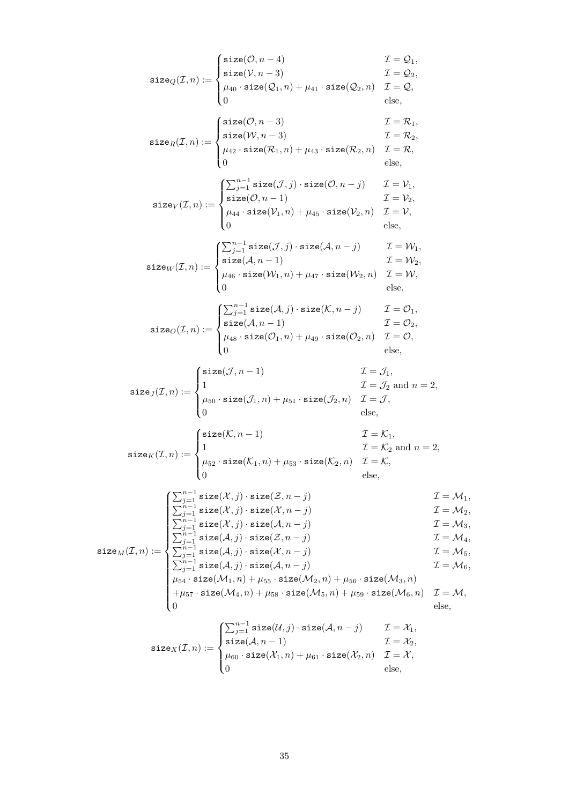$$
\begin{split} \text{size}_Q(\mathcal{I},n):=\begin{cases} \text{size}(\mathcal{O},n-4) & \mathcal{I}=\mathcal{Q}_1, \\ \mu_{40}\cdot\text{size}(\mathcal{Q}_1,n)+\mu_{41}\cdot\text{size}(\mathcal{Q}_2,n) & \mathcal{I}=\mathcal{Q}_2, \\ \mu_{40}\cdot\text{size}(\mathcal{Q}_1,n)+\mu_{41}\cdot\text{size}(\mathcal{Q}_2,n) & \mathcal{I}=\mathcal{Q}_3, \\ \text{else,}\\ 0 & \text{else,}\\ 0 & \text{else,}\\ 0 & \text{size}_R(\mathcal{I},n):=\begin{cases} \text{size}(0,n-3) & \mathcal{I}=\mathcal{R}_1, \\ \text{size}(0,n-3) & \mathcal{I}=\mathcal{R}_2, \\ \mu_{42}\cdot\text{size}(\mathcal{R}_1,n)+\mu_{43}\cdot\text{size}(\mathcal{R}_2,n) & \mathcal{I}=\mathcal{R}, \\ 0 & \text{else,}\\ 0 & \mathcal{I}=\mathcal{R}_2,\\ 0 & \text{else,}\\ 0 & \text{else,}\\ 0 & \text{size}_V(\mathcal{I},n):=\begin{cases} \sum_{j=1}^{n-1}\text{size}(\mathcal{J},j)\cdot\text{size}(\mathcal{O},n-j) & \mathcal{I}=\mathcal{V}_1, \\ \mu_{44}\cdot\text{size}(\mathcal{V}_1,n)+\mu_{45}\cdot\text{size}(\mathcal{V}_2,n) & \mathcal{I}=\mathcal{V}_1, \\ \mu_{46}\cdot\text{size}(\mathcal{V}_1,n)+\mu_{47}\cdot\text{size}(\mathcal{V}_2,n) & \mathcal{I}=\mathcal{W}_1, \\ \mu_{48}\cdot\text{size}(\mathcal{A},n-1) & \mathcal{I}=\mathcal{W}_2,\\ \mu_{48}\cdot\text{size}(\mathcal{A},n-1) & \mathcal{I}=\mathcal{W}_3,\\ 0 & \text{else,}\\ 0 & \text{else,}\\ 0 & \text{size}_V(\mathcal{I},n):=\begin{cases} \sum_{j=1}^{n-1}\text{size}(\mathcal{A},j)\cdot\text{size}(\mathcal{K},n-j) & \mathcal{I}=\mathcal{O}_1, \\ \mu_{48}\cdot\text{size}(\mathcal{O}_1,n)+\mu_{43
$$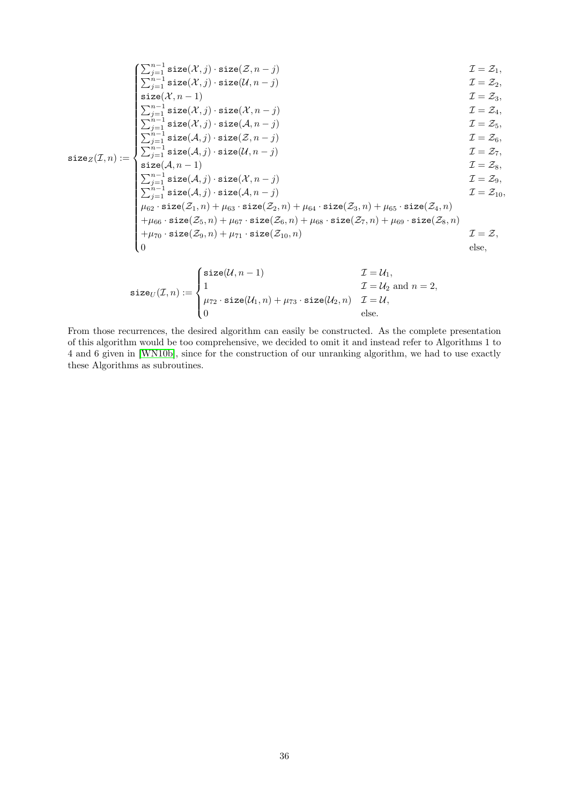$$
\begin{cases}\n\sum_{j=1}^{n-1} \text{size}(\mathcal{X},j) \cdot \text{size}(\mathcal{Z},n-j) & \mathcal{I} = \mathcal{Z}_1, \\
\sum_{j=1}^{n-1} \text{size}(\mathcal{X},j) \cdot \text{size}(\mathcal{U},n-j) & \mathcal{I} = \mathcal{Z}_2, \\
\text{size}(\mathcal{X},n-1) & \mathcal{I} = \mathcal{Z}_3, \\
\sum_{j=1}^{n-1} \text{size}(\mathcal{X},j) \cdot \text{size}(\mathcal{X},n-j) & \mathcal{I} = \mathcal{Z}_4, \\
\sum_{j=1}^{n-1} \text{size}(\mathcal{X},j) \cdot \text{size}(\mathcal{A},n-j) & \mathcal{I} = \mathcal{Z}_5, \\
\sum_{j=1}^{n-1} \text{size}(\mathcal{A},j) \cdot \text{size}(\mathcal{Z},n-j) & \mathcal{I} = \mathcal{Z}_6, \\
\sum_{j=1}^{n-1} \text{size}(\mathcal{A},j) \cdot \text{size}(\mathcal{U},n-j) & \mathcal{I} = \mathcal{Z}_6, \\
\sum_{j=1}^{n-1} \text{size}(\mathcal{A},j) \cdot \text{size}(\mathcal{U},n-j) & \mathcal{I} = \mathcal{Z}_7, \\
\sum_{j=1}^{n-1} \text{size}(\mathcal{A},j) \cdot \text{size}(\mathcal{X},n-j) & \mathcal{I} = \mathcal{Z}_8, \\
\sum_{j=1}^{n-1} \text{size}(\mathcal{A},j) \cdot \text{size}(\mathcal{A},n-j) & \mathcal{I} = \mathcal{Z}_9, \\
\sum_{j=1}^{n-1} \text{size}(\mathcal{A},j) \cdot \text{size}(\mathcal{Z}_3,n) + \mu_{64} \cdot \text{size}(\mathcal{Z}_3,n) + \mu_{65} \cdot \text{size}(\mathcal{Z}_4,n) \\
+\mu_{66} \cdot \text{size}(\mathcal{Z}_5,n) + \mu_{67} \cdot \text{size}(\mathcal{Z}_6,n) + \mu_{68} \cdot \text{size}(\mathcal{Z}_7,n) + \mu_{69} \cdot \text{size}(\mathcal{Z}_8,n) \\
+\mu_{70} \cdot \text{size}(\mathcal{Z}_9
$$

$$
\texttt{size}_{U}(\mathcal{I}, n) := \begin{cases} \texttt{size}(\mathcal{U}, n - 1) & \mathcal{I} = \mathcal{U}_1, \\ 1 & \mathcal{I} = \mathcal{U}_2 \text{ and } n = 2, \\ \mu_{72} \cdot \texttt{size}(\mathcal{U}_1, n) + \mu_{73} \cdot \texttt{size}(\mathcal{U}_2, n) & \mathcal{I} = \mathcal{U}, \\ 0 & \text{else.} \end{cases}
$$

From those recurrences, the desired algorithm can easily be constructed. As the complete presentation of this algorithm would be too comprehensive, we decided to omit it and instead refer to Algorithms 1 to 4 and 6 given in [\[WN10b\]](#page-21-2), since for the construction of our unranking algorithm, we had to use exactly these Algorithms as subroutines.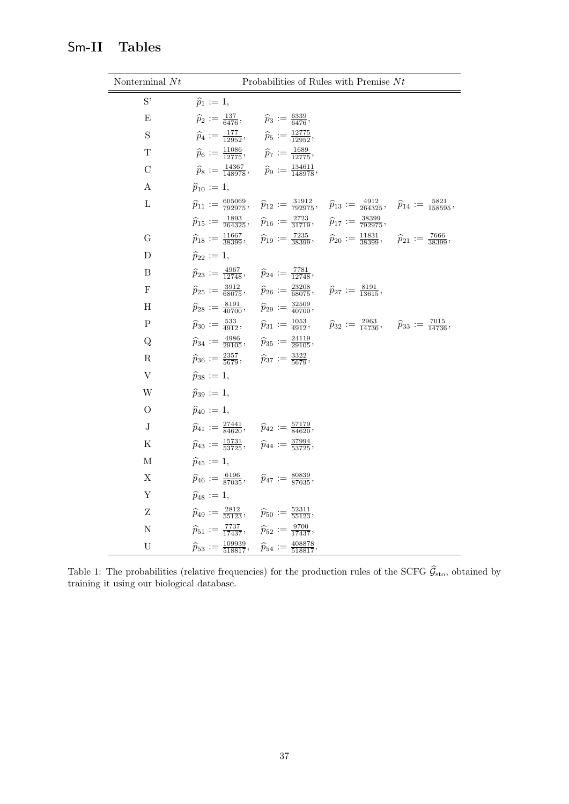# <span id="page-36-0"></span>Sm-II Tables

| Nonterminal Nt |                                                                                              | Probabilities of Rules with Premise $Nt$                                                                                                                                                   |  |
|----------------|----------------------------------------------------------------------------------------------|--------------------------------------------------------------------------------------------------------------------------------------------------------------------------------------------|--|
| S'             | $\hat{p}_1 := 1,$                                                                            |                                                                                                                                                                                            |  |
| E              | $\widehat{p}_2 := \frac{137}{6476},$                                                         | $\widehat{p}_3 := \frac{6339}{6476},$                                                                                                                                                      |  |
| S              | $\widehat{p}_4 := \frac{177}{12952}, \qquad \widehat{p}_5 := \frac{12775}{12952},$           |                                                                                                                                                                                            |  |
| т              | $\widehat{p}_6 := \frac{11086}{12775}, \qquad \widehat{p}_7 := \frac{1689}{12775},$          |                                                                                                                                                                                            |  |
| $\mathcal{C}$  |                                                                                              | $\widehat{p}_8 := \frac{14367}{148978}, \quad \widehat{p}_9 := \frac{134611}{148978},$                                                                                                     |  |
| А              | $\hat{p}_{10} := 1,$                                                                         |                                                                                                                                                                                            |  |
| L              |                                                                                              | $\widehat{p}_{11} := \frac{605069}{792975}, \quad \widehat{p}_{12} := \frac{31912}{792975}, \quad \widehat{p}_{13} := \frac{4912}{264325}, \quad \widehat{p}_{14} := \frac{5821}{158595},$ |  |
|                |                                                                                              | $\widehat{p}_{15} := \frac{1893}{264325}, \quad \widehat{p}_{16} := \frac{2723}{31719}, \quad \widehat{p}_{17} := \frac{38399}{792975},$                                                   |  |
| G              |                                                                                              | $\widehat{p}_{18} := \frac{11667}{38399}, \quad \widehat{p}_{19} := \frac{7235}{38399}, \quad \widehat{p}_{20} := \frac{11831}{38399}, \quad \widehat{p}_{21} := \frac{7666}{38399},$      |  |
| D              | $\hat{p}_{22} := 1,$                                                                         |                                                                                                                                                                                            |  |
| Β              | $\widehat{p}_{23} := \frac{4967}{12748}, \quad \widehat{p}_{24} := \frac{7781}{12748},$      |                                                                                                                                                                                            |  |
| F              |                                                                                              | $\widehat{p}_{25} := \frac{3912}{68075},$ $\widehat{p}_{26} := \frac{23208}{68075},$ $\widehat{p}_{27} := \frac{8191}{13615},$                                                             |  |
| Η              | $\widehat{p}_{28} := \frac{8191}{40700}, \quad \widehat{p}_{29} := \frac{32509}{40700},$     |                                                                                                                                                                                            |  |
| P              |                                                                                              | $\widehat{p}_{30} := \frac{533}{4912},$ $\widehat{p}_{31} := \frac{1053}{4912},$ $\widehat{p}_{32} := \frac{2963}{14736},$ $\widehat{p}_{33} := \frac{7015}{14736}$                        |  |
| Q              | $\widehat{p}_{34} := \frac{4986}{29105}, \quad \widehat{p}_{35} := \frac{24119}{29105},$     |                                                                                                                                                                                            |  |
| R              | $\widehat{p}_{36} := \frac{2357}{5679}, \qquad \widehat{p}_{37} := \frac{3322}{5679},$       |                                                                                                                                                                                            |  |
| V              | $\hat{p}_{38} := 1,$                                                                         |                                                                                                                                                                                            |  |
| W              | $\hat{p}_{39} := 1,$                                                                         |                                                                                                                                                                                            |  |
| O              | $\hat{p}_{40} := 1,$                                                                         |                                                                                                                                                                                            |  |
| J.             | $\widehat{p}_{41} := \frac{27441}{84620}, \quad \widehat{p}_{42} := \frac{57179}{84620},$    |                                                                                                                                                                                            |  |
| K              | $\widehat{p}_{43} := \frac{15731}{53725}, \quad \widehat{p}_{44} := \frac{37994}{53725},$    |                                                                                                                                                                                            |  |
| М              | $\hat{p}_{45} := 1,$                                                                         |                                                                                                                                                                                            |  |
| X              | $\widehat{p}_{46} := \frac{6196}{87035}, \quad \widehat{p}_{47} := \frac{80839}{87035},$     |                                                                                                                                                                                            |  |
| Υ              | $\widehat{p}_{48} := 1,$                                                                     |                                                                                                                                                                                            |  |
| Z              | $\widehat{p}_{49} := \frac{2812}{55123}, \quad \widehat{p}_{50} := \frac{52311}{55123},$     |                                                                                                                                                                                            |  |
| Ν              | $\widehat{p}_{51} := \frac{7737}{17437}, \quad \widehat{p}_{52} := \frac{9700}{17437},$      |                                                                                                                                                                                            |  |
| U              | $\widehat{p}_{53} := \frac{109939}{518817}, \quad \widehat{p}_{54} := \frac{408878}{518817}$ |                                                                                                                                                                                            |  |

Table 1: The probabilities (relative frequencies) for the production rules of the SCFG  $\mathcal{G}_{\rm sto}$ , obtained by training it using our biological database.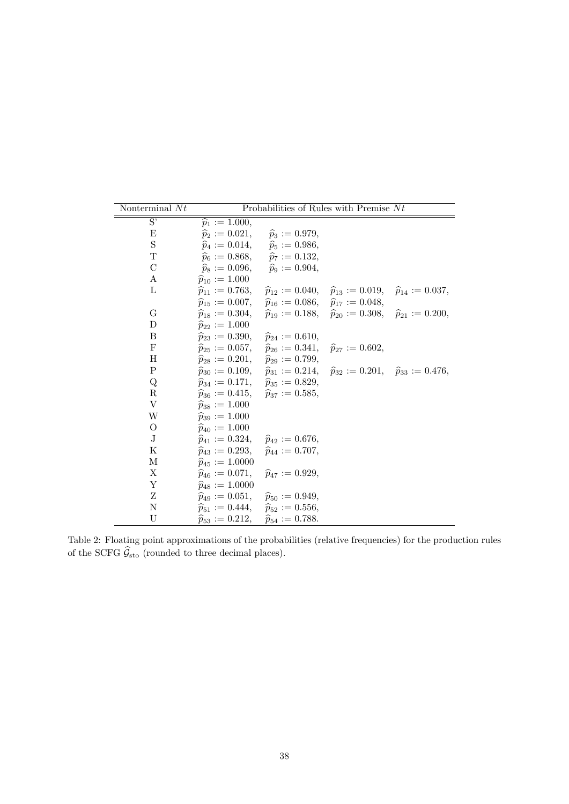| Nonterminal $Nt$ |                                                               | Probabilities of Rules with Premise Nt                                                                                          |  |
|------------------|---------------------------------------------------------------|---------------------------------------------------------------------------------------------------------------------------------|--|
| $\overline{S'}$  | $\hat{p}_1 := 1.000,$                                         |                                                                                                                                 |  |
| Ε                |                                                               | $\widehat{p}_2 := 0.021, \quad \widehat{p}_3 := 0.979,$                                                                         |  |
| S                |                                                               | $\widehat{p}_4 := 0.014, \quad \widehat{p}_5 := 0.986,$                                                                         |  |
| т                |                                                               | $\hat{p}_6 := 0.868, \quad \hat{p}_7 := 0.132,$                                                                                 |  |
| $\mathcal{C}$    |                                                               | $\widehat{p}_8 := 0.096, \quad \widehat{p}_9 := 0.904,$                                                                         |  |
| A                | $\hat{p}_{10} := 1.000$                                       |                                                                                                                                 |  |
| L                |                                                               | $\widehat{p}_{11} := 0.763, \quad \widehat{p}_{12} := 0.040, \quad \widehat{p}_{13} := 0.019, \quad \widehat{p}_{14} := 0.037,$ |  |
|                  |                                                               | $\widehat{p}_{15} := 0.007, \quad \widehat{p}_{16} := 0.086, \quad \widehat{p}_{17} := 0.048,$                                  |  |
| G                |                                                               | $\hat{p}_{18} := 0.304, \quad \hat{p}_{19} := 0.188, \quad \hat{p}_{20} := 0.308, \quad \hat{p}_{21} := 0.200,$                 |  |
| D                | $\hat{p}_{22} := 1.000$                                       |                                                                                                                                 |  |
| B                | $\widehat{p}_{23} := 0.390, \quad \widehat{p}_{24} := 0.610,$ |                                                                                                                                 |  |
| $_{\rm F}$       |                                                               | $\widehat{p}_{25} := 0.057, \quad \widehat{p}_{26} := 0.341, \quad \widehat{p}_{27} := 0.602,$                                  |  |
| H                | $\widehat{p}_{28} := 0.201, \quad \widehat{p}_{29} := 0.799,$ |                                                                                                                                 |  |
| P                |                                                               | $\hat{p}_{30} := 0.109, \quad \hat{p}_{31} := 0.214, \quad \hat{p}_{32} := 0.201, \quad \hat{p}_{33} := 0.476,$                 |  |
| Q                | $\widehat{p}_{34} := 0.171, \quad \widehat{p}_{35} := 0.829,$ |                                                                                                                                 |  |
| $\mathbf R$      | $\widehat{p}_{36} := 0.415, \quad \widehat{p}_{37} := 0.585,$ |                                                                                                                                 |  |
| V                | $\widehat{p}_{38} := 1.000$                                   |                                                                                                                                 |  |
| W                | $\hat{p}_{39} := 1.000$                                       |                                                                                                                                 |  |
| $\Omega$         | $\hat{p}_{40} := 1.000$                                       |                                                                                                                                 |  |
| J                | $\widehat{p}_{41} := 0.324, \quad \widehat{p}_{42} := 0.676,$ |                                                                                                                                 |  |
| Κ                | $\widehat{p}_{43} := 0.293, \quad \widehat{p}_{44} := 0.707,$ |                                                                                                                                 |  |
| М                | $\hat{p}_{45} := 1.0000$                                      |                                                                                                                                 |  |
| X                | $\widehat{p}_{46} := 0.071, \quad \widehat{p}_{47} := 0.929,$ |                                                                                                                                 |  |
| Y                | $\hat{p}_{48} := 1.0000$                                      |                                                                                                                                 |  |
| Z                | $\widehat{p}_{49} := 0.051, \quad \widehat{p}_{50} := 0.949,$ |                                                                                                                                 |  |
| N                | $\widehat{p}_{51} := 0.444, \quad \widehat{p}_{52} := 0.556,$ |                                                                                                                                 |  |
| U                | $\widehat{p}_{53} := 0.212,$                                  | $\widehat{p}_{54} := 0.788.$                                                                                                    |  |

Table 2: Floating point approximations of the probabilities (relative frequencies) for the production rules of the SCFG  $\mathcal{G}_{\text{sto}}$  (rounded to three decimal places).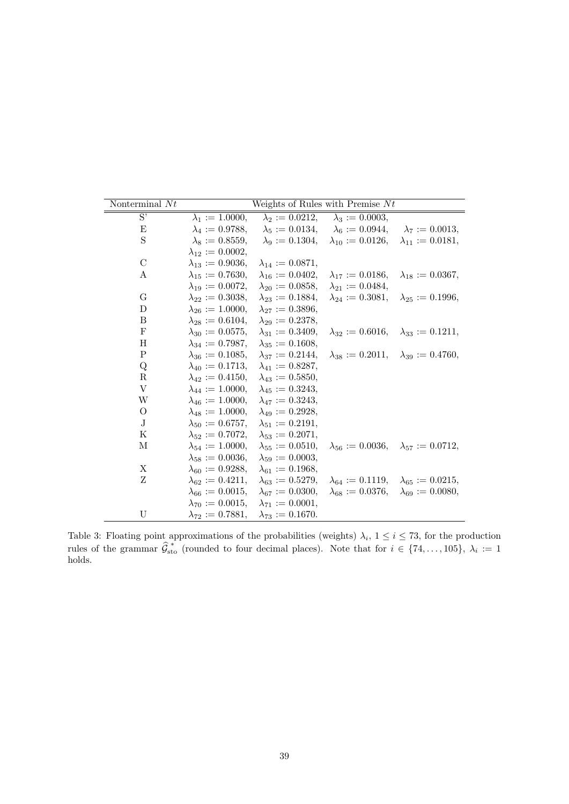| Nonterminal $Nt$ |                           | Weights of Rules with Premise $Nt$                      |                                                                                    |                                                         |
|------------------|---------------------------|---------------------------------------------------------|------------------------------------------------------------------------------------|---------------------------------------------------------|
| $\overline{S}$   | $\lambda_1 := 1.0000,$    |                                                         | $\lambda_2 := 0.0212, \quad \lambda_3 := 0.0003,$                                  |                                                         |
| Ε                | $\lambda_4 := 0.9788,$    |                                                         | $\lambda_5 := 0.0134, \quad \lambda_6 := 0.0944, \quad \lambda_7 := 0.0013,$       |                                                         |
| $\mathbf S$      | $\lambda_8 := 0.8559,$    |                                                         | $\lambda_9 := 0.1304, \quad \lambda_{10} := 0.0126, \quad \lambda_{11} := 0.0181,$ |                                                         |
|                  | $\lambda_{12} := 0.0002,$ |                                                         |                                                                                    |                                                         |
| $\mathcal{C}$    | $\lambda_{13} := 0.9036,$ | $\lambda_{14} := 0.0871,$                               |                                                                                    |                                                         |
| A                | $\lambda_{15} := 0.7630,$ | $\lambda_{16} := 0.0402,$                               | $\lambda_{17} := 0.0186,$                                                          | $\lambda_{18} := 0.0367,$                               |
|                  | $\lambda_{19} := 0.0072,$ | $\lambda_{20} := 0.0858,$                               | $\lambda_{21} := 0.0484,$                                                          |                                                         |
| $\mathcal G$     | $\lambda_{22} := 0.3038,$ | $\lambda_{23} := 0.1884,$                               | $\lambda_{24} := 0.3081, \quad \lambda_{25} := 0.1996,$                            |                                                         |
| D                | $\lambda_{26} := 1.0000,$ | $\lambda_{27} := 0.3896,$                               |                                                                                    |                                                         |
| B                | $\lambda_{28} := 0.6104,$ | $\lambda_{29} := 0.2378,$                               |                                                                                    |                                                         |
| F                | $\lambda_{30} := 0.0575,$ | $\lambda_{31} := 0.3409,$                               | $\lambda_{32} := 0.6016, \quad \lambda_{33} := 0.1211,$                            |                                                         |
| H                | $\lambda_{34} := 0.7987,$ | $\lambda_{35} := 0.1608,$                               |                                                                                    |                                                         |
| P                | $\lambda_{36} := 0.1085,$ | $\lambda_{37} := 0.2144,$                               | $\lambda_{38} := 0.2011, \quad \lambda_{39} := 0.4760,$                            |                                                         |
| Q                | $\lambda_{40} := 0.1713,$ | $\lambda_{41} := 0.8287,$                               |                                                                                    |                                                         |
| R                | $\lambda_{42} := 0.4150,$ | $\lambda_{43} := 0.5850,$                               |                                                                                    |                                                         |
| V                | $\lambda_{44} := 1.0000,$ | $\lambda_{45} := 0.3243,$                               |                                                                                    |                                                         |
| W                |                           | $\lambda_{46} := 1.0000, \quad \lambda_{47} := 0.3243,$ |                                                                                    |                                                         |
| $\Omega$         | $\lambda_{48} := 1.0000,$ | $\lambda_{49} := 0.2928,$                               |                                                                                    |                                                         |
| J                | $\lambda_{50} := 0.6757,$ | $\lambda_{51} := 0.2191,$                               |                                                                                    |                                                         |
| K                | $\lambda_{52} := 0.7072,$ | $\lambda_{53} := 0.2071,$                               |                                                                                    |                                                         |
| М                | $\lambda_{54} := 1.0000,$ | $\lambda_{55} := 0.0510,$                               | $\lambda_{56} := 0.0036, \quad \lambda_{57} := 0.0712,$                            |                                                         |
|                  | $\lambda_{58} := 0.0036,$ | $\lambda_{59} := 0.0003,$                               |                                                                                    |                                                         |
| X                | $\lambda_{60} := 0.9288,$ | $\lambda_{61} := 0.1968,$                               |                                                                                    |                                                         |
| Ζ                | $\lambda_{62} := 0.4211,$ | $\lambda_{63} := 0.5279,$                               |                                                                                    | $\lambda_{64} := 0.1119, \quad \lambda_{65} := 0.0215,$ |
|                  | $\lambda_{66} := 0.0015,$ | $\lambda_{67} := 0.0300,$                               | $\lambda_{68} := 0.0376, \quad \lambda_{69} := 0.0080,$                            |                                                         |
|                  | $\lambda_{70} := 0.0015,$ | $\lambda_{71} := 0.0001,$                               |                                                                                    |                                                         |
| U                | $\lambda_{72} := 0.7881,$ | $\lambda_{73} := 0.1670.$                               |                                                                                    |                                                         |

Table 3: Floating point approximations of the probabilities (weights)  $\lambda_i$ ,  $1 \le i \le 73$ , for the production rules of the grammar  $\hat{\mathcal{G}}_{\text{sto}}^{*}$  (rounded to four decimal places). Note that for  $i \in \{74, \ldots, 105\}, \lambda_i := 1$ holds.